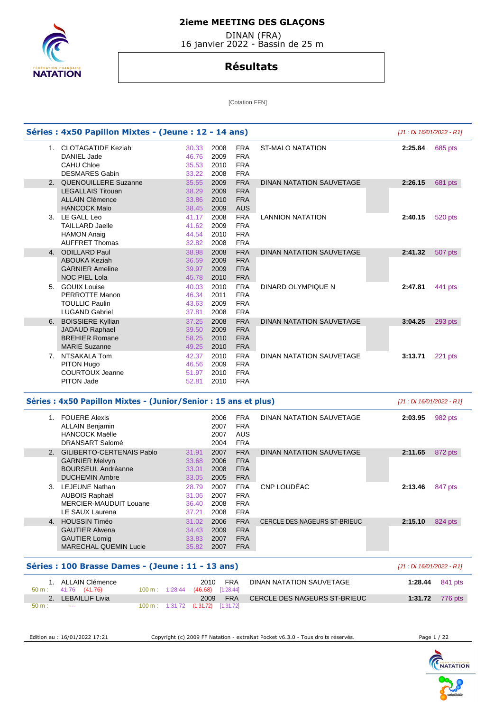

 DINAN (FRA) 16 janvier 2022 - Bassin de 25 m

## **Résultats**

[Cotation FFN]

|       | Séries : 4x50 Papillon Mixtes - (Jeune : 12 - 14 ans)            |       |                             |            |                              | [J1 : Di 16/01/2022 - R1] |                                                                |
|-------|------------------------------------------------------------------|-------|-----------------------------|------------|------------------------------|---------------------------|----------------------------------------------------------------|
|       | 1. CLOTAGATIDE Keziah                                            | 30.33 | 2008                        | <b>FRA</b> | <b>ST-MALO NATATION</b>      | 2:25.84                   | 685 pts                                                        |
|       | DANIEL Jade                                                      | 46.76 | 2009                        | <b>FRA</b> |                              |                           |                                                                |
|       | <b>CAHU Chloe</b>                                                | 35.53 | 2010                        | <b>FRA</b> |                              |                           |                                                                |
|       | <b>DESMARES Gabin</b>                                            | 33.22 | 2008                        | <b>FRA</b> |                              |                           |                                                                |
| 2.    | QUENOUILLERE Suzanne                                             | 35.55 | 2009                        | <b>FRA</b> | DINAN NATATION SAUVETAGE     | 2:26.15                   | 681 pts                                                        |
|       | <b>LEGALLAIS Titouan</b>                                         | 38.29 | 2009                        | <b>FRA</b> |                              |                           |                                                                |
|       | <b>ALLAIN Clémence</b>                                           | 33.86 | 2010                        | <b>FRA</b> |                              |                           |                                                                |
|       | <b>HANCOCK Malo</b>                                              | 38.45 | 2009                        | <b>AUS</b> |                              |                           |                                                                |
|       | 3. LE GALL Leo                                                   | 41.17 | 2008                        | <b>FRA</b> | <b>LANNION NATATION</b>      | 2:40.15                   | 520 pts                                                        |
|       | <b>TAILLARD Jaelle</b>                                           | 41.62 | 2009                        | <b>FRA</b> |                              |                           |                                                                |
|       | <b>HAMON Anaig</b>                                               | 44.54 | 2010                        | <b>FRA</b> |                              |                           |                                                                |
|       | <b>AUFFRET Thomas</b>                                            | 32.82 | 2008                        | <b>FRA</b> |                              |                           |                                                                |
| 4.    | <b>ODILLARD Paul</b>                                             | 38.98 | 2008                        | <b>FRA</b> | DINAN NATATION SAUVETAGE     | 2:41.32                   | 507 pts                                                        |
|       | <b>ABOUKA Keziah</b>                                             | 36.59 | 2009                        | <b>FRA</b> |                              |                           |                                                                |
|       | <b>GARNIER Ameline</b>                                           | 39.97 | 2009                        | <b>FRA</b> |                              |                           |                                                                |
|       | <b>NOC PIEL Lola</b>                                             | 45.78 | 2010                        | <b>FRA</b> |                              |                           |                                                                |
| 5.    | <b>GOUIX Louise</b>                                              | 40.03 | 2010                        | <b>FRA</b> | DINARD OLYMPIQUE N           | 2:47.81                   | 441 pts                                                        |
|       | PERROTTE Manon                                                   | 46.34 | 2011                        | <b>FRA</b> |                              |                           |                                                                |
|       | <b>TOULLIC Paulin</b>                                            | 43.63 | 2009                        | <b>FRA</b> |                              |                           |                                                                |
|       | <b>LUGAND Gabriel</b>                                            | 37.81 | 2008                        | <b>FRA</b> |                              |                           |                                                                |
|       | <b>BOISSIERE Kyllian</b>                                         | 37.25 | 2008                        | <b>FRA</b> | DINAN NATATION SAUVETAGE     |                           | 293 pts                                                        |
| 6.    |                                                                  |       | 2009                        | <b>FRA</b> |                              | 3:04.25                   |                                                                |
|       | JADAUD Raphael<br><b>BREHIER Romane</b>                          | 39.50 |                             |            |                              |                           |                                                                |
|       |                                                                  | 58.25 | 2010                        | <b>FRA</b> |                              |                           |                                                                |
|       | <b>MARIE Suzanne</b>                                             | 49.25 | 2010                        | <b>FRA</b> |                              |                           |                                                                |
|       | 7. NTSAKALA Tom                                                  | 42.37 | 2010                        | <b>FRA</b> | DINAN NATATION SAUVETAGE     | 3:13.71                   | 221 pts                                                        |
|       | PITON Hugo                                                       | 46.56 | 2009                        | <b>FRA</b> |                              |                           |                                                                |
|       |                                                                  |       |                             |            |                              |                           |                                                                |
|       | <b>COURTOUX Jeanne</b>                                           | 51.97 | 2010                        | <b>FRA</b> |                              |                           |                                                                |
|       | <b>PITON Jade</b>                                                | 52.81 | 2010                        | <b>FRA</b> |                              |                           |                                                                |
|       | Séries : 4x50 Papillon Mixtes - (Junior/Senior : 15 ans et plus) |       |                             |            |                              | [J1 : Di 16/01/2022 - R1] |                                                                |
| 1.    | <b>FOUERE Alexis</b>                                             |       | 2006                        | <b>FRA</b> | DINAN NATATION SAUVETAGE     | 2:03.95                   |                                                                |
|       | <b>ALLAIN Benjamin</b>                                           |       | 2007                        | <b>FRA</b> |                              |                           |                                                                |
|       | <b>HANCOCK Maëlle</b>                                            |       | 2007                        | <b>AUS</b> |                              |                           |                                                                |
|       | <b>DRANSART Salomé</b>                                           |       | 2004                        | <b>FRA</b> |                              |                           |                                                                |
|       |                                                                  |       |                             |            |                              |                           |                                                                |
| 2.    | GILIBERTO-CERTENAIS Pablo                                        | 31.91 | 2007                        | <b>FRA</b> | DINAN NATATION SAUVETAGE     | 2:11.65                   |                                                                |
|       | <b>GARNIER Melvyn</b>                                            | 33.68 | 2006                        | <b>FRA</b> |                              |                           |                                                                |
|       | <b>BOURSEUL Andréanne</b>                                        | 33.01 | 2008                        | <b>FRA</b> |                              |                           |                                                                |
|       | <b>DUCHEMIN Ambre</b>                                            | 33.05 | 2005                        | <b>FRA</b> |                              |                           |                                                                |
|       | 3. LEJEUNE Nathan                                                | 28.79 | 2007                        | <b>FRA</b> | CNP LOUDÉAC                  | 2:13.46                   |                                                                |
|       | AUBOIS Raphaël                                                   | 31.06 | 2007                        | <b>FRA</b> |                              |                           |                                                                |
|       | MERCIER-MAUDUIT Louane                                           | 36.40 | 2008                        | <b>FRA</b> |                              |                           |                                                                |
|       | LE SAUX Laurena                                                  | 37.21 | 2008                        | <b>FRA</b> |                              |                           |                                                                |
| 4.    | <b>HOUSSIN Timéo</b>                                             | 31.02 | 2006                        | <b>FRA</b> | CERCLE DES NAGEURS ST-BRIEUC | 2:15.10                   |                                                                |
|       | <b>GAUTIER Alwena</b>                                            | 34.43 | 2009                        | <b>FRA</b> |                              |                           |                                                                |
|       | <b>GAUTIER Lomig</b>                                             | 33.83 | 2007                        | <b>FRA</b> |                              |                           |                                                                |
|       | <b>MARECHAL QUEMIN Lucie</b>                                     | 35.82 | 2007                        | <b>FRA</b> |                              |                           |                                                                |
|       | Séries : 100 Brasse Dames - (Jeune : 11 - 13 ans)                |       |                             |            |                              | [J1 : Di 16/01/2022 - R1] |                                                                |
|       | 1. ALLAIN Clémence                                               |       | 2010                        | FRA        | DINAN NATATION SAUVETAGE     | 1:28.44                   |                                                                |
| 50 m: | 41.76 (41.76)<br>$100 m$ : 1:28.44<br>2. LEBAILLIF Livia         |       | $(46.68)$ [1:28.44]<br>2009 | <b>FRA</b> | CERCLE DES NAGEURS ST-BRIEUC | 1:31.72                   | 982 pts<br>872 pts<br>847 pts<br>824 pts<br>841 pts<br>776 pts |

Edition au : 16/01/2022 17:21 Copyright (c) 2009 FF Natation - extraNat Pocket v6.3.0 - Tous droits réservés. Page 1 / 22

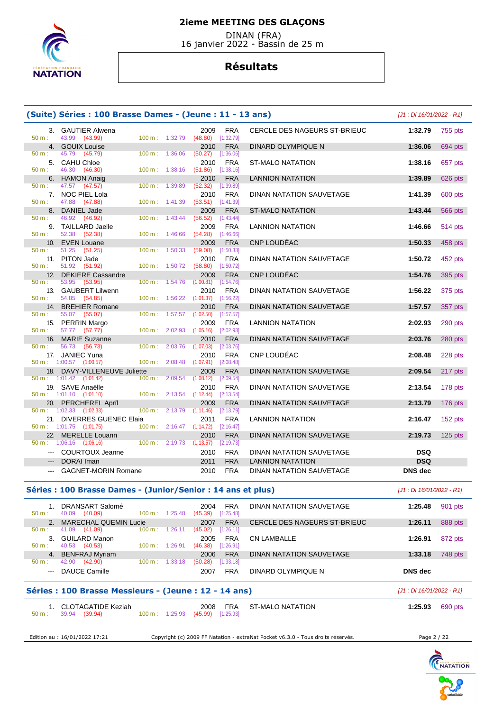

 DINAN (FRA) 16 janvier 2022 - Bassin de 25 m

# **Résultats**

|                | (Suite) Séries : 100 Brasse Dames - (Jeune : 11 - 13 ans)      |                          |         |                                                       |                          |                                                                                 | [J1 : Di 16/01/2022 - R1]    |           |
|----------------|----------------------------------------------------------------|--------------------------|---------|-------------------------------------------------------|--------------------------|---------------------------------------------------------------------------------|------------------------------|-----------|
| $50 m$ :       | 3. GAUTIER Alwena<br>43.99 (43.99)                             | 100 m: 1:32.79           |         | 2009<br>$(48.80)$ [1:32.79]                           | FRA                      | CERCLE DES NAGEURS ST-BRIEUC                                                    | 1:32.79                      | 755 pts   |
|                | 4. GOUIX Louise                                                |                          |         | 2010                                                  | <b>FRA</b>               | DINARD OLYMPIQUE N                                                              | 1:36.06                      | 694 pts   |
| 50 m:          | 45.79<br>(45.79)<br>5. CAHU Chloe                              | 100 m:                   | 1:36.06 | (50.27)<br>2010                                       | [1:36.06]<br><b>FRA</b>  | <b>ST-MALO NATATION</b>                                                         | 1:38.16                      | 657 pts   |
| 50 m:<br>6.    | 46.30 (46.30)<br><b>HAMON Anaig</b>                            | 100 m:                   | 1:38.16 | (51.86)<br>2010                                       | [1:38.16]<br><b>FRA</b>  | <b>LANNION NATATION</b>                                                         | 1:39.89                      | 626 pts   |
| 50 m:          | 47.57 (47.57)<br>7. NOC PIEL Lola                              | 100 m:                   | 1:39.89 | (52.32)<br>2010                                       | [1:39.89]<br><b>FRA</b>  | <b>DINAN NATATION SAUVETAGE</b>                                                 | 1:41.39                      | 600 pts   |
| $50 m$ :<br>8. | 47.88<br>(47.88)<br><b>DANIEL Jade</b>                         | $100 m$ :                | 1:41.39 | (53.51)<br>2009                                       | [1:41.39]<br><b>FRA</b>  | <b>ST-MALO NATATION</b>                                                         | 1:43.44                      |           |
| 50 m:          | 46.92 (46.92)                                                  | 100 m:                   | 1:43.44 | (56.52)                                               | [1:43.44]                |                                                                                 |                              | 566 pts   |
| 9.<br>50 m:    | <b>TAILLARD Jaelle</b><br>52.38 (52.38)                        | 100 m:                   | 1:46.66 | 2009<br>(54.28)                                       | <b>FRA</b><br>[1:46.66]  | <b>LANNION NATATION</b>                                                         | 1:46.66                      | 514 pts   |
| 10.<br>50 m:   | <b>EVEN Louane</b><br>51.25 (51.25)                            | 100 m:                   | 1:50.33 | 2009<br>(59.08)                                       | <b>FRA</b><br>[1:50.33]  | CNP LOUDÉAC                                                                     | 1:50.33                      | 458 pts   |
| 50 m:          | 11. PITON Jade<br>51.92 (51.92)                                | 100 m:                   | 1:50.72 | 2010<br>(58.80)                                       | <b>FRA</b><br>[1:50.72]  | DINAN NATATION SAUVETAGE                                                        | 1:50.72                      | 452 pts   |
| 12.<br>50 m:   | <b>DEKIERE Cassandre</b><br>53.95<br>(53.95)                   | 100 m:                   | 1:54.76 | 2009<br>(1:00.81)                                     | <b>FRA</b><br>[1:54.76]  | <b>CNP LOUDEAC</b>                                                              | 1:54.76                      | 395 pts   |
| $50 m$ :       | 13. GAUBERT Lilwenn<br>54.85<br>(54.85)                        | 100 m:                   | 1:56.22 | 2010<br>(1:01.37)                                     | <b>FRA</b><br>[1:56.22]  | DINAN NATATION SAUVETAGE                                                        | 1:56.22                      | 375 pts   |
|                | 14. BREHIER Romane                                             |                          |         | 2010                                                  | <b>FRA</b>               | DINAN NATATION SAUVETAGE                                                        | 1:57.57                      | 357 pts   |
| $50 m$ :       | 55.07 (55.07)<br>15. PERRIN Margo                              | 100 m:                   | 1:57.57 | (1:02.50)<br>2009                                     | [1:57.57]<br><b>FRA</b>  | <b>LANNION NATATION</b>                                                         | 2:02.93                      | 290 pts   |
| 50 m:          | 57.77 (57.77)<br>16. MARIE Suzanne                             | $100 \text{ m}: 2:02.93$ |         | (1:05.16)<br>2010                                     | [2:02.93]<br><b>FRA</b>  | <b>DINAN NATATION SAUVETAGE</b>                                                 | 2:03.76                      | 280 pts   |
| 50 m:          | 56.73<br>(56.73)<br>17. JANIEC Yuna                            | $100 m$ :                | 2:03.76 | (1:07.03)<br>2010                                     | [2:03.76]<br><b>FRA</b>  | CNP LOUDÉAC                                                                     | 2:08.48                      | 228 pts   |
| 18.            | $50 \text{ m}: 1:00.57$ (1:00.57)<br>DAVY-VILLENEUVE Juliette  | 100 m:                   | 2:08.48 | $(1:07.91)$ $[2:08.48]$<br>2009                       | <b>FRA</b>               | DINAN NATATION SAUVETAGE                                                        | 2:09.54                      | $217$ pts |
|                | 50 m: 1:01.42 (1:01.42)<br>19. SAVE Anaëlle                    | $100 \text{ m}$ :        | 2:09.54 | (1:08.12)                                             | [2:09.54]<br><b>FRA</b>  |                                                                                 |                              |           |
|                | $50 \text{ m}: 1:01.10$ $(1:01.10)$                            | 100 m: 2:13.54           |         | 2010<br>(1:12.44)                                     | [2:13.54]                | DINAN NATATION SAUVETAGE                                                        | 2:13.54                      | 178 pts   |
| 20.            | PERCHEREL April<br>$50 \text{ m}: 1:02.33$ $(1:02.33)$         | 100 m:                   | 2:13.79 | 2009<br>(1:11.46)                                     | <b>FRA</b><br>[2:13.79]  | DINAN NATATION SAUVETAGE                                                        | 2:13.79                      | 176 pts   |
|                | 21. DIVERRES GUENEC Elaia<br>$50 \text{ m}: 1:01.75$ (1:01.75) | $100 \text{ m}$ :        | 2:16.47 | 2011<br>(1:14.72)                                     | <b>FRA</b><br>[2:16.47]  | LANNION NATATION                                                                | 2:16.47                      | 152 pts   |
|                | 22. MERELLE Louann<br>$50 m$ : 1:06.16 (1:06.16)               |                          |         | 2010<br>$100 \text{ m}: 2:19.73$ $(1:13.57)$          | <b>FRA</b><br>[2:19.73]  | DINAN NATATION SAUVETAGE                                                        | 2:19.73                      | 125 pts   |
|                | --- COURTOUX Jeanne                                            |                          |         | 2010                                                  | <b>FRA</b>               | DINAN NATATION SAUVETAGE                                                        | <b>DSQ</b>                   |           |
| $- - -$        | DORAI Iman<br><b>GAGNET-MORIN Romane</b>                       |                          |         | 2011<br>2010                                          | <b>FRA</b><br><b>FRA</b> | <b>LANNION NATATION</b><br>DINAN NATATION SAUVETAGE                             | <b>DSQ</b><br><b>DNS</b> dec |           |
|                |                                                                |                          |         |                                                       |                          |                                                                                 |                              |           |
|                | Séries : 100 Brasse Dames - (Junior/Senior : 14 ans et plus)   |                          |         |                                                       |                          |                                                                                 | [J1 : Di 16/01/2022 - R1]    |           |
| 50 m:          | 1. DRANSART Salomé<br>40.09 (40.09)                            | $100 m$ : 1:25.48        |         | 2004<br>$(45.39)$ [1:25.48]                           | <b>FRA</b>               | DINAN NATATION SAUVETAGE                                                        | 1:25.48                      | 901 pts   |
| 50 m:          | 2. MARECHAL QUEMIN Lucie<br>41.09 (41.09)                      | $100 m$ : 1:26.11        |         | 2007<br>$(45.02)$ [1:26.11]                           | <b>FRA</b>               | CERCLE DES NAGEURS ST-BRIEUC                                                    | 1:26.11                      | 888 pts   |
| 50 m:          | 3. GUILARD Manon<br>40.53 (40.53)                              | $100 \text{ m}: 1:26.91$ |         | 2005<br>$(46.38)$ [1:26.91]                           | <b>FRA</b>               | <b>CN LAMBALLE</b>                                                              | 1:26.91                      | 872 pts   |
| 50 m :         | 4. BENFRAJ Myriam<br>42.90 (42.90)                             | $100 \text{ m}: 1:33.18$ |         | 2006<br>(50.28)                                       | <b>FRA</b><br>[1:33.18]  | DINAN NATATION SAUVETAGE                                                        | 1:33.18                      | 748 pts   |
|                | --- DAUCE Camille                                              |                          |         | 2007                                                  | FRA                      | DINARD OLYMPIQUE N                                                              | <b>DNS</b> dec               |           |
|                | Séries : 100 Brasse Messieurs - (Jeune : 12 - 14 ans)          |                          |         |                                                       |                          |                                                                                 | [J1 : Di 16/01/2022 - R1]    |           |
| $50 m$ :       | 1. CLOTAGATIDE Keziah<br>39.94 (39.94)                         |                          |         | 2008<br>$100 \text{ m}$ : $1:25.93$ (45.99) [1:25.93] | FRA                      | ST-MALO NATATION                                                                | 1:25.93                      | 690 pts   |
|                |                                                                |                          |         |                                                       |                          |                                                                                 |                              |           |
|                | Edition au : 16/01/2022 17:21                                  |                          |         |                                                       |                          | Copyright (c) 2009 FF Natation - extraNat Pocket v6.3.0 - Tous droits réservés. | Page 2 / 22                  |           |

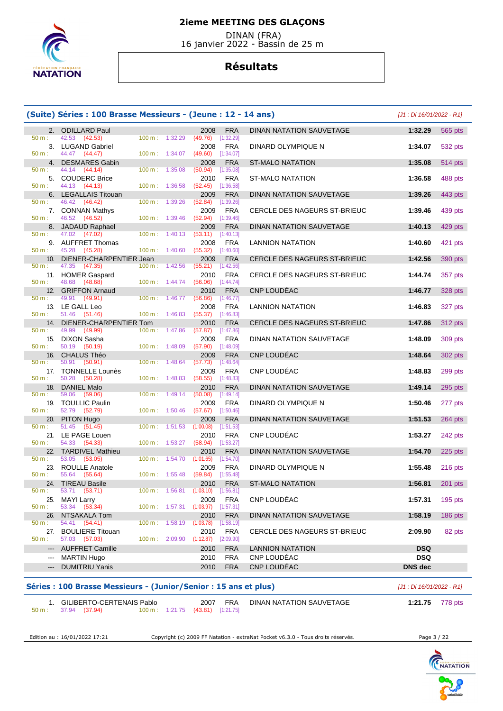

 DINAN (FRA) 16 janvier 2022 - Bassin de 25 m

## **Résultats**

|                  | (Suite) Séries : 100 Brasse Messieurs - (Jeune : 12 - 14 ans) |                   |                           |                                            |                         |                                 |                | [J1 : Di 16/01/2022 - R1] |
|------------------|---------------------------------------------------------------|-------------------|---------------------------|--------------------------------------------|-------------------------|---------------------------------|----------------|---------------------------|
|                  | 2. ODILLARD Paul                                              |                   |                           | 2008                                       | <b>FRA</b>              | <b>DINAN NATATION SAUVETAGE</b> | 1:32.29        | 565 pts                   |
| 50 m:            | 42.53 (42.53)                                                 | 100 m:            | 1:32.29                   | $(49.76)$ [1:32.29]                        |                         |                                 |                |                           |
| 50 m:            | 3. LUGAND Gabriel<br>44.47 (44.47)                            |                   | 100 m: 1:34.07            | 2008<br>$(49.60)$ [1:34.07]                | <b>FRA</b>              | DINARD OLYMPIQUE N              | 1:34.07        | 532 pts                   |
|                  | 4. DESMARES Gabin                                             |                   |                           | 2008                                       | <b>FRA</b>              | ST-MALO NATATION                | 1:35.08        | 514 pts                   |
| 50 m:            | 44.14 (44.14)                                                 | 100 m:            | 1:35.08                   | (50.94)                                    | [1:35.08]               |                                 |                |                           |
|                  | 5. COUDERC Brice                                              |                   |                           | 2010                                       | <b>FRA</b>              | <b>ST-MALO NATATION</b>         | 1:36.58        | 488 pts                   |
| 50 m:            | 44.13 (44.13)                                                 | 100 m:            | 1:36.58                   | $(52.45)$ [1:36.58]                        |                         |                                 |                |                           |
|                  | 6. LEGALLAIS Titouan<br>46.42 (46.42)                         |                   |                           | 2009                                       | <b>FRA</b>              | <b>DINAN NATATION SAUVETAGE</b> | 1:39.26        | 443 pts                   |
| 50 m:            | 7. CONNAN Mathys                                              | 100 m:            | 1:39.26                   | (52.84)<br>2009                            | [1:39.26]<br><b>FRA</b> | CERCLE DES NAGEURS ST-BRIEUC    | 1:39.46        | 439 pts                   |
| 50 m:            | 46.52 (46.52)                                                 | 100 m:            | 1:39.46                   | $(52.94)$ [1:39.46]                        |                         |                                 |                |                           |
|                  | 8. JADAUD Raphael                                             |                   |                           | 2009                                       | <b>FRA</b>              | DINAN NATATION SAUVETAGE        | 1:40.13        | 429 pts                   |
| 50 m:            | 47.02 (47.02)                                                 | 100 m:            | 1:40.13                   | $(53.11)$ [1:40.13]                        |                         |                                 |                |                           |
| 50 m:            | 9. AUFFRET Thomas<br>45.28 (45.28)                            |                   | 1:40.60                   | 2008<br>(55.32)                            | <b>FRA</b><br>[1:40.60] | <b>LANNION NATATION</b>         | 1:40.60        | 421 pts                   |
| 10.              | DIENER-CHARPENTIER Jean                                       | 100 m:            |                           | 2009                                       | <b>FRA</b>              | CERCLE DES NAGEURS ST-BRIEUC    | 1:42.56        | 390 pts                   |
| 50 m:            | 47.35 (47.35)                                                 |                   | 100 m: 1:42.56            | (55.21)                                    | [1:42.56]               |                                 |                |                           |
|                  | 11. HOMER Gaspard                                             |                   |                           | 2010                                       | <b>FRA</b>              | CERCLE DES NAGEURS ST-BRIEUC    | 1:44.74        | 357 pts                   |
| 50 m:            | 48.68 (48.68)                                                 |                   | 100 m: 1:44.74            | $(56.06)$ [1:44.74]                        |                         |                                 |                |                           |
| $50 m$ :         | 12. GRIFFON Arnaud                                            |                   |                           | 2010                                       | <b>FRA</b>              | <b>CNP LOUDEAC</b>              | 1:46.77        | 328 pts                   |
|                  | 49.91 (49.91)<br>13. LE GALL Leo                              | 100 m:            | 1:46.77                   | (56.86)<br>2008                            | [1:46.77]<br><b>FRA</b> | <b>LANNION NATATION</b>         | 1:46.83        | 327 pts                   |
| 50 m:            | 51.46 (51.46)                                                 |                   | $100 \text{ m}$ : 1:46.83 | $(55.37)$ [1:46.83]                        |                         |                                 |                |                           |
| 14.              | DIENER-CHARPENTIER Tom                                        |                   |                           | 2010                                       | <b>FRA</b>              | CERCLE DES NAGEURS ST-BRIEUC    | 1:47.86        | 312 pts                   |
| 50 m:            | 49.99 (49.99)                                                 |                   | 100 m: 1:47.86            | $(57.87)$ [1:47.86]                        |                         |                                 |                |                           |
|                  | 15. DIXON Sasha                                               |                   |                           | 2009                                       | <b>FRA</b>              | DINAN NATATION SAUVETAGE        | 1:48.09        | 309 pts                   |
| 50 m:            | 50.19 (50.19)<br>16. CHALUS Théo                              | 100 m:            | 1:48.09                   | (57.90)<br>2009                            | [1:48.09]<br><b>FRA</b> | <b>CNP LOUDEAC</b>              | 1:48.64        | 302 pts                   |
| 50 m:            | 50.91 (50.91)                                                 | $100 \text{ m}$ : | 1:48.64                   | (57.73)                                    | [1:48.64]               |                                 |                |                           |
|                  | 17. TONNELLE Lounès                                           |                   |                           | 2009                                       | <b>FRA</b>              | <b>CNP LOUDEAC</b>              | 1:48.83        | 299 pts                   |
| 50 m:            | 50.28 (50.28)                                                 | 100 m:            | 1:48.83                   | (58.55)                                    | [1:48.83]               |                                 |                |                           |
| 18.              | <b>DANIEL Malo</b>                                            |                   |                           | 2010                                       | <b>FRA</b>              | DINAN NATATION SAUVETAGE        | 1:49.14        | $295$ pts                 |
| 50 m:            | 59.06 (59.06)<br>19. TOULLIC Paulin                           | 100 m:            | 1:49.14                   | (50.08)<br>2009                            | [1:49.14]<br><b>FRA</b> | DINARD OLYMPIQUE N              | 1:50.46        | 277 pts                   |
| $50 m$ :         | 52.79 (52.79)                                                 | 100 m:            | 1:50.46                   | (57.67)                                    | [1:50.46]               |                                 |                |                           |
| 20.              | PITON Hugo                                                    |                   |                           | 2009                                       | <b>FRA</b>              | DINAN NATATION SAUVETAGE        | 1:51.53        | 264 pts                   |
| 50 m:            | 51.45 (51.45)                                                 | 100 m:            | 1:51.53                   | (1:00.08)                                  | [1:51.53]               |                                 |                |                           |
|                  | 21. LE PAGE Louen                                             |                   |                           | 2010                                       | <b>FRA</b>              | <b>CNP LOUDEAC</b>              | 1:53.27        | 242 pts                   |
| 50 m:            | 54.33 (54.33)<br>22. TARDIVEL Mathieu                         | 100 m:            | 1:53.27                   | (58.94)                                    | [1:53.27]<br><b>FRA</b> | DINAN NATATION SAUVETAGE        | 1:54.70        |                           |
| 50 m:            | 53.05<br>(53.05)                                              | 100 m:            | 1:54.70                   | 2010<br>(1:01.65)                          | [1:54.70]               |                                 |                | $225$ pts                 |
| 23.              | <b>ROULLE Anatole</b>                                         |                   |                           | 2009                                       | <b>FRA</b>              | DINARD OLYMPIQUE N              | 1:55.48        | 216 pts                   |
| 50 m:            | 55.64 (55.64)                                                 |                   | $100 \text{ m}: 1:55.48$  | $(59.84)$ [1:55.48]                        |                         |                                 |                |                           |
|                  | 24. TIREAU Basile                                             |                   |                           | 2010                                       | <b>FRA</b>              | <b>ST-MALO NATATION</b>         | 1:56.81        | 201 pts                   |
| $50 \text{ m}$ : | 53.71 (53.71)                                                 |                   |                           | 100 m: 1:56.81 (1:03.10) [1:56.81]         |                         | CNP LOUDÉAC                     |                |                           |
| $50 m$ :         | 25. MAYI Larry<br>53.34 (53.34)                               |                   |                           | 2009<br>100 m: 1:57.31 (1:03.97) [1:57.31] | <b>FRA</b>              |                                 | 1:57.31        | $195$ pts                 |
|                  | 26. NTSAKALA Tom                                              |                   |                           | 2010                                       | <b>FRA</b>              | DINAN NATATION SAUVETAGE        | 1:58.19        | 186 pts                   |
| $50 m$ :         | 54.41 (54.41)                                                 |                   |                           | 100 m: 1:58.19 (1:03.78) [1:58.19]         |                         |                                 |                |                           |
|                  | 27. BOULIERE Titouan                                          |                   |                           | 2010                                       | FRA                     | CERCLE DES NAGEURS ST-BRIEUC    | 2:09.90        | 82 pts                    |
| $50 m$ :         | 57.03 (57.03)                                                 |                   |                           | 100 m: 2:09.90 (1:12.87) [2:09.90]         |                         |                                 |                |                           |
|                  | --- AUFFRET Camille                                           |                   |                           | 2010                                       | <b>FRA</b>              | <b>LANNION NATATION</b>         | <b>DSQ</b>     |                           |
|                  | --- MARTIN Hugo                                               |                   |                           | 2010                                       | <b>FRA</b>              | CNP LOUDÉAC                     | <b>DSQ</b>     |                           |
|                  | --- DUMITRIU Yanis                                            |                   |                           | 2010                                       | <b>FRA</b>              | CNP LOUDÉAC                     | <b>DNS</b> dec |                           |

| GILIBERTO-CERTENAIS Pablo |                                  | 2007 | <b>FRA</b> | DINAN NATATION SAUVETAGE | 1:21.75 | 778 pts |
|---------------------------|----------------------------------|------|------------|--------------------------|---------|---------|
| 50 m : 37.94 (37.94)      | 100 m: 1:21.75 (43.81) [1:21.75] |      |            |                          |         |         |

Edition au : 16/01/2022 17:21 Copyright (c) 2009 FF Natation - extraNat Pocket v6.3.0 - Tous droits réservés. Page 3 / 22

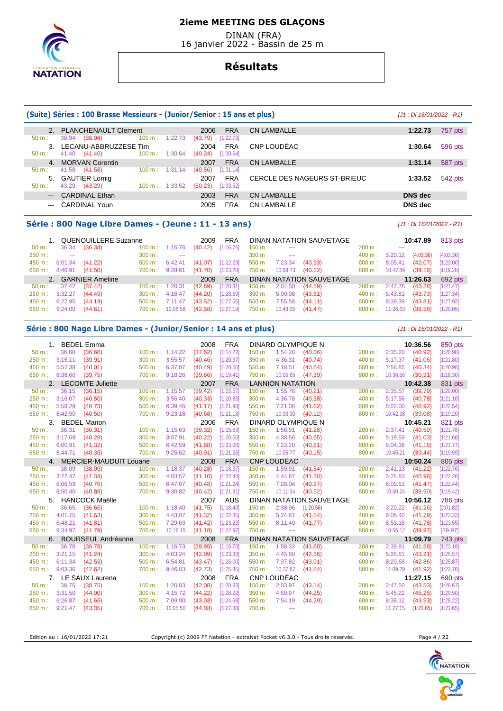# **NATATION**

## **2ieme MEETING DES GLAÇONS**

 DINAN (FRA) 16 janvier 2022 - Bassin de 25 m

## **Résultats**

#### **(Suite) Séries : 100 Brasse Messieurs - (Junior/Senior : 15 ans et plus)** [J1 : Di 16/01/2022 - R1] 2. PLANCHENAULT Clement 2006 FRA CN LAMBALLE **1:22.73** 757 pts **1:22.73** 757 pts **1:22.73 1:22.73 1:22.73 1:22.73 1:22.73 1:22.73 1:22.73 1:22.73 1:22.73 1:22.73 1:22.73 1:22.73 1:22.73 1:22.73** 38.94 (38.94) 3. LECANU-ABBRUZZESE Tim 2004 FRA CNP LOUDÉAC **1:30.64** 596 pts  $(49.24)$   $[1:30.64]$ 4. MORVAN Corentin 2007 FRA CN LAMBALLE **1:31.14** 587 pts **1:31.14** 587 pts **1:31.14** 587 pts 41.58 (41.58) 5. GAUTIER Lomig 2007 FRA CERCLE DES NAGEURS ST-BRIEUC **1:33.52** 542 pts 50 m : 43.29 (43.29) 100 m : 1:33.52 (50.23) [1:33.52] --- CARDINAL Ethan 2003 FRA CN LAMBALLE **DNS dec**  --- CARDINAL Youn 2005 FRA CN LAMBALLE **DNS dec**

#### **Série : 800 Nage Libre Dames - (Jeune : 11 - 13 ans)** [J1 : Di 16/01/2022 - R1]

|          |                | 1. QUENOUILLERE Suzanne |                           |                      | 2009    | <b>FRA</b> |                   |                          | DINAN NATATION SAUVETAGE |                   |          | 10:47.89  | 813 pts   |
|----------|----------------|-------------------------|---------------------------|----------------------|---------|------------|-------------------|--------------------------|--------------------------|-------------------|----------|-----------|-----------|
| $50 m$ : | 36.34          | (36.34)                 | $100 \text{ m}$ : 1:16.76 |                      | (40.42) | [1:16.76]  | $150 \text{ m}$ : | $\sim$ $\sim$            |                          | 200 m:            |          |           |           |
| 250 m:   | <b>Service</b> |                         | 300 m:                    | $\sim$ $\sim$ $\sim$ |         |            | $350 \text{ m}$ : | $\sim$ $\sim$            |                          | $400 \text{ m}$ : | 5:20.12  | (4:03.36) | [4:03.36] |
| 450 m:   | 6:01.34        | (41.22)                 | $500 \text{ m}$ :         | 6:42.41              | (41.07) | [1:22.29]  |                   | $550 \text{ m}: 7:23.34$ | (40.93)                  | $600 \text{ m}$ : | 8:05.41  | (42.07)   | [1:23.00] |
| 650 m:   | 8:46.91        | (41.50)                 | 700 m :                   | 9:28.61              | (41.70) | [1:23.20]  | 750 m :           | 10:08.73                 | (40.12)                  | $800 \text{ m}$ : | 10:47.89 | (39.16)   | [1:19.28] |
|          |                | 2. GARNIER Ameline      |                           |                      | 2009    | <b>FRA</b> |                   |                          | DINAN NATATION SAUVETAGE |                   |          | 11:26.63  | 692 pts   |
| 50 m :   | 37.42          | (37.42)                 | $100 \text{ m}$ :         | 1:20.31              | (42.89) | [1:20.31]  | 150 m:            | 2:04.50                  | (44.19)                  | $200 \text{ m}$ : | 2:47.78  | (43.28)   | [1:27.47] |
| 250 m:   | 3:32.27        | (44.49)                 | $300 \text{ m}$ :         | 4:16.47              | (44.20) | [1:28.69]  | 350 m:            | 5:00.08                  | (43.61)                  | $400 \text{ m}$ : | 5:43.81  | (43.73)   | [1:27.34] |
| 450 m :  | 6:27.95        | (44.14)                 | $500 \text{ m}$ : 7:11.47 |                      | (43.52) | [1:27.66]  | 550 m :           | 7:55.58                  | (44.11)                  | $600 \text{ m}$ : | 8:39.39  | (43.81)   | [1:27.92] |
| 650 m :  | 9:24.00        | (44.61)                 | 700 m :                   | 10:06.58             | (42.58) | [1:27.19]  | 750 m :           | 10:48.05                 | (41.47)                  | $800 \text{ m}$ : | 11:26.63 | (38.58)   | [1:20.05] |

#### **Série : 800 Nage Libre Dames - (Junior/Senior : 14 ans et plus)** [J1 : Di 16/01/2022 - R1]

|          | 1. BEDEL Emma |                               |        |          | 2008    | <b>FRA</b> |           | DINARD OLYMPIQUE N      |                                 |        |          | 10:36.56  | 850 pts        |
|----------|---------------|-------------------------------|--------|----------|---------|------------|-----------|-------------------------|---------------------------------|--------|----------|-----------|----------------|
| $50 m$ : | 36.60         | (36.60)                       | 100 m: | 1:14.22  | (37.62) | [1:14.22]  | 150 m:    | 1:54.28                 | (40.06)                         | 200 m: | 2:35.20  | (40.92)   | [1:20.98]      |
| 250 m:   | 3:15.11       | (39.91)                       | 300 m: | 3:55.57  | (40.46) | [1:20.37]  | 350 m:    | 4:36.31                 | (40.74)                         | 400 m: | 5:17.37  | (41.06)   | [1:21.80]      |
| 450 m:   | 5:57.38       | (40.01)                       | 500 m: | 6:37.87  | (40.49) | [1:20.50]  | 550 m:    | 7:18.51                 | (40.64)                         | 600 m: | 7:58.85  | (40.34)   | [1:20.98]      |
| 650 m:   | 8:38.60       | (39.75)                       | 700 m: | 9:18.26  | (39.66) | [1:19.41]  | 750 m:    | 10:05.65                | (47.39)                         | 800 m: | 10:36.56 | (30.91)   | [1:18.30]      |
|          |               | 2. LECOMTE Juliette           |        |          | 2007    | <b>FRA</b> |           | <b>LANNION NATATION</b> |                                 |        |          | 10:42.38  | 831 pts        |
| $50 m$ : | 36.15         | (36.15)                       | 100 m: | 1:15.57  | (39.42) | [1:15.57]  | 150 m:    | 1:55.78                 | (40.21)                         | 200 m: | 2:35.57  | (39.79)   | [1:20.00]      |
| 250 m:   | 3:16.07       | (40.50)                       | 300 m: | 3:56.40  | (40.33) | [1:20.83]  | 350 m:    | 4:36.78                 | (40.38)                         | 400 m: | 5:17.56  | (40.78)   | [1:21.16]      |
| 450 m:   | 5:58.29       | (40.73)                       | 500 m: | 6:39.46  | (41.17) | [1:21.90]  | 550 m:    | 7:21.08                 | (41.62)                         | 600 m: | 8:02.00  | (40.92)   | [1:22.54]      |
| 650 m:   | 8:42.50       | (40.50)                       | 700 m: | 9:23.18  | (40.68) | [1:21.18]  | 750 m:    | 10:03.30                | (40.12)                         | 800 m: | 10:42.38 | (39.08)   | [1:19.20]      |
| 3.       |               | <b>BEDEL Manon</b>            |        |          | 2006    | <b>FRA</b> |           | DINARD OLYMPIQUE N      |                                 |        |          | 10:45.21  | 821 pts        |
| $50 m$ : | 36.31         | (36.31)                       | 100 m: | 1:15.63  | (39.32) | [1:15.63]  | 150 m:    | 1:56.91                 | (41.28)                         | 200 m: | 2:37.41  | (40.50)   | [1:21.78]      |
| 250 m:   | 3:17.69       | (40.28)                       | 300 m: | 3:57.91  | (40.22) | [1:20.50]  | 350 m:    | 4:38.56                 | (40.65)                         | 400 m: | 5:19.59  | (41.03)   | [1:21.68]      |
| 450 m:   | 6:00.91       | (41.32)                       | 500 m: | 6:42.59  | (41.68) | [1:23.00]  | 550 m:    | 7:23.20                 | (40.61)                         | 600 m: | 8:04.36  | (41.16)   | [1:21.77]      |
| 650 m:   | 8:44.71       | (40.35)                       | 700 m: | 9:25.62  | (40.91) | [1:21.26]  | 750 m:    | 10:05.77                | (40.15)                         | 800 m: | 10:45.21 | (39.44)   | [1:19.59]      |
| 4.       |               | <b>MERCIER-MAUDUIT Louane</b> |        |          | 2008    | <b>FRA</b> |           | CNP LOUDÉAC             |                                 |        |          | 10:50.24  | 805 pts        |
| $50 m$ : | 38.09         | (38.09)                       | 100 m: | 1:18.37  | (40.28) | [1:18.37]  | $150 m$ : | 1:59.91                 | (41.54)                         | 200 m: | 2:41.13  | (41.22)   | [1:22.76]      |
| 250 m:   | 3:22.47       | (41.34)                       | 300 m: | 4:03.57  | (41.10) | [1:22.44]  | 350 m:    | 4:44.87                 | (41.30)                         | 400 m: | 5:25.83  | (40.96)   | [1:22.26]      |
| 450 m:   | 6:06.59       | (40.76)                       | 500 m: | 6:47.07  | (40.48) | [1:21.24]  | 550 m:    | 7:28.04                 | (40.97)                         | 600 m: | 8:09.51  | (41.47)   | [1:22.44]      |
| 650 m:   | 8:50.40       | (40.89)                       | 700 m: | 9:30.82  | (40.42) | [1:21.31]  | 750 m:    | 10:11.34                | (40.52)                         | 800 m: | 10:50.24 | (38.90)   | [1:19.42]      |
| 5.       |               | <b>HANCOCK Maëlle</b>         |        |          | 2007    | <b>AUS</b> |           |                         | DINAN NATATION SAUVETAGE        |        |          | 10:56.12  | <b>786 pts</b> |
| $50 m$ : | 36.65         | (36.65)                       | 100 m: | 1:18.40  | (41.75) | [1:18.40]  | 150 m:    | 2:38.96                 | (1:20.56)                       | 200 m: | 3:20.22  | (41.26)   | [2:01.82]      |
| 250 m:   | 4:01.75       | (41.53)                       | 300 m: | 4:43.07  | (41.32) | [1:22.85]  | 350 m:    | 5:24.61                 | (41.54)                         | 400 m: | 6:06.40  | (41.79)   | [1:23.33]      |
| 450 m:   | 6:48.21       | (41.81)                       | 500 m: | 7:29.63  | (41.42) | [1:23.23]  | 550 m:    | 8:11.40                 | (41.77)                         | 600 m: | 8:53.18  | (41.78)   | [1:23.55]      |
| 650 m:   | 9:34.97       | (41.79)                       | 700 m: | 10:16.15 | (41.18) | [1:22.97]  | 750 m:    | $\cdots$                |                                 | 800 m: | 10:56.12 | (39.97)   | [39.97]        |
| 6.       |               | <b>BOURSEUL Andréanne</b>     |        |          | 2008    | <b>FRA</b> |           |                         | <b>DINAN NATATION SAUVETAGE</b> |        |          | 11:09.79  | 743 pts        |
| 50 m:    | 36.78         | (36.78)                       | 100 m: | 1:16.73  | (39.95) | [1:16.73]  | 150 m:    | 1:58.33                 | (41.60)                         | 200 m: | 2:39.91  | (41.58)   | [1:23.18]      |
| 250 m:   | 3:21.15       | (41.24)                       | 300 m: | 4:03.24  | (42.09) | [1:23.33]  | 350 m:    | 4:45.60                 | (42.36)                         | 400 m: | 5:28.81  | (43.21)   | [1:25.57]      |
| 450 m:   | 6:11.34       | (42.53)                       | 500 m: | 6:54.81  | (43.47) | [1:26.00]  | 550 m:    | 7:37.82                 | (43.01)                         | 600 m: | 8:20.68  | (42.86)   | [1:25.87]      |
| 650 m:   | 9:03.30       | (42.62)                       | 700 m: | 9:46.03  | (42.73) | [1:25.35]  | 750 m:    | 10:27.87                | (41.84)                         | 800 m: | 11:09.79 | (41.92)   | [1:23.76]      |
|          | 7.            | LE SAUX Laurena               |        |          | 2008    | <b>FRA</b> |           | CNP LOUDÉAC             |                                 |        |          | 11:27.15  | 690 pts        |
| $50 m$ : | 38.75         | (38.75)                       | 100 m: | 1:20.83  | (42.08) | [1:20.83]  | 150 m:    | 2:03.97                 | (43.14)                         | 200 m: | 2:47.50  | (43.53)   | [1:26.67]      |
| 250 m:   | 3:31.50       | (44.00)                       | 300 m: | 4:15.72  | (44.22) | [1:28.22]  | 350 m:    | 4:59.97                 | (44.25)                         | 400 m: | 5:45.22  | (45.25)   | [1:29.50]      |
| 450 m:   | 6:26.87       | (41.65)                       | 500 m: | 7:09.90  | (43.03) | [1:24.68]  | 550 m:    | 7:54.19                 | (44.29)                         | 600 m: | 8:38.12  | (43.93)   | [1:28.22]      |
| 650 m:   | 9:21.47       | (43.35)                       | 700 m: | 10:05.50 | (44.03) | [1:27.38]  | 750 m:    | ---                     |                                 | 800 m: | 11:27.15 | (1:21.65) | [1:21.65]      |

Edition au : 16/01/2022 17:21 Copyright (c) 2009 FF Natation - extraNat Pocket v6.3.0 - Tous droits réservés. Page 4 / 22

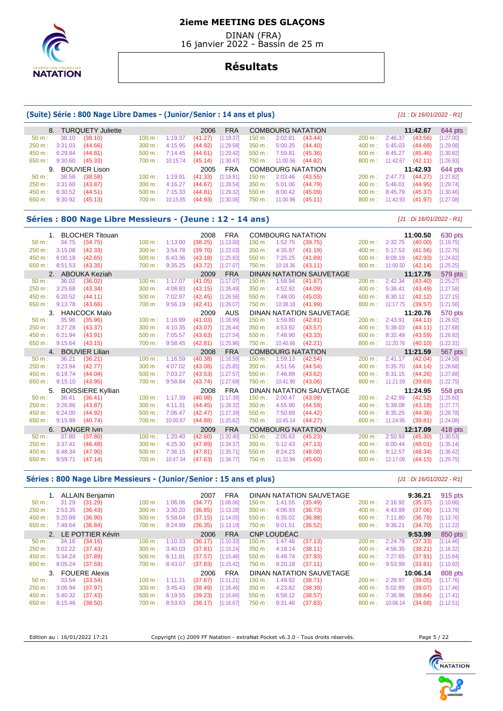

 DINAN (FRA) 16 janvier 2022 - Bassin de 25 m

## **Résultats**

#### **(Suite) Série : 800 Nage Libre Dames - (Junior/Senior : 14 ans et plus)** [J1 : Di 16/01/2022 - R1]

|                  |                               | 8. TURQUETY Juliette |                                  | 2006    | <b>FRA</b>                                          |                                     |                          | COMBOURG NATATION     |                          |                                   | 11:42.67 | 644 pts          |
|------------------|-------------------------------|----------------------|----------------------------------|---------|-----------------------------------------------------|-------------------------------------|--------------------------|-----------------------|--------------------------|-----------------------------------|----------|------------------|
| $50 \text{ m}$ : |                               | 38.10 (38.10)        | $100 \text{ m}$ : 1:19.37        | (41.27) | [1:19.37]                                           |                                     | 150 m: 2:02.81           | (43.44)               | $200 \text{ m}: 2:46.37$ |                                   | (43.56)  | $[1:27.00]$      |
|                  | 250 m : 3:31.03 (44.66)       |                      | $300 \text{ m}: 4:15.95$         | (44.92) | [1:29.58]                                           | 350 m : 5:00.35                     |                          | (44.40)               |                          | $400 \text{ m}: 5:45.03$          | (44.68)  | $[1:29.08]$      |
|                  | 450 m : 6:29.84               | (44.81)              | $500 \text{ m}: 7:14.45$ (44.61) |         | [1:29.42]                                           | 550 m : 7:59.81                     |                          | (45.36)               | 600 m: 8:45.27           |                                   | (45.46)  | $[1:30.82]$      |
|                  | 650 m : 9:30.60 (45.33)       |                      |                                  |         | 700 m : 10:15.74 (45.14) [1:30.47] 750 m : 11:00.56 |                                     |                          | (44.82)               |                          | $800 \text{ m}: 11:42.67$ (42.11) |          | $[1:26.93]$      |
|                  |                               | 9. BOUVIER Lison     |                                  | 2005    |                                                     |                                     |                          | FRA COMBOURG NATATION |                          |                                   |          | 11:42.93 644 pts |
|                  | $50 \text{ m}: 38.58 (38.58)$ |                      | $100 \text{ m}: 1:19.91$         | (41.33) |                                                     | $[1:19.91]$ 150 m : 2:03.46 (43.55) |                          |                       |                          | 200 m : 2:47.73 (44.27)           |          | [1:27.82]        |
|                  | 250 m : 3:31.60 (43.87)       |                      | $300 \text{ m}: 4:16.27$         | (44.67) |                                                     | $[1:28.54]$ 350 m : 5:01.06         |                          | (44.79)               |                          | $400 \text{ m}: 5:46.01$          | (44.95)  | $[1:29.74]$      |
|                  | $450 \text{ m}: 6:30.52$      | (44.51)              | $500 \text{ m}: 7:15.33$         | (44.81) | [1:29.32]                                           |                                     | $550 \text{ m}: 8:00.42$ | (45.09)               |                          | $600 \text{ m}: 8:45.79$          | (45.37)  | [1:30.46]        |
|                  | 650 m : 9:30.92 (45.13)       |                      | 700 m : 10:15.85                 | (44.93) | [1:30.06]                                           |                                     | 750 m : 11:00.96         | (45.11)               |                          | 800 m: 11:42.93 (41.97)           |          | $[1:27.08]$      |

## **Séries : 800 Nage Libre Messieurs - (Jeune : 12 - 14 ans)** [J1 : Di 16/01/2022 - R1]

| 1.       | <b>BLOCHER Titouan</b>   |                              |          | 2008    | <b>FRA</b> |                   | <b>COMBOURG NATATION</b> |                          |        |          | 11:00.50 | 630 pts   |
|----------|--------------------------|------------------------------|----------|---------|------------|-------------------|--------------------------|--------------------------|--------|----------|----------|-----------|
| $50 m$ : | 34.75                    | (34.75)<br>100 m:            | 1:13.00  | (38.25) | [1:13.00]  | $150 m$ :         | 1:52.75                  | (39.75)                  | 200 m: | 2:32.75  | (40.00)  | [1:19.75] |
| 250 m:   | 3:15.08                  | (42.33)<br>300 m:            | 3:54.78  | (39.70) | [1:22.03]  | 350 m:            | 4:35.97                  | (41.19)                  | 400 m: | 5:17.53  | (41.56)  | [1:22.75] |
| 450 m:   | 6:00.18                  | (42.65)<br>500 m:            | 6:43.36  | (43.18) | [1:25.83]  | 550 m:            | 7:25.25                  | (41.89)                  | 600 m: | 8:08.18  | (42.93)  | [1:24.82] |
| 650 m:   | 8:51.53                  | (43.35)<br>700 m:            | 9:35.25  | (43.72) | [1:27.07]  | 750 m:            | 10:18.36                 | (43.11)                  | 800 m: | 11:00.50 | (42.14)  | [1:25.25] |
| 2.       | ABOUKA Keziah            |                              |          | 2009    | <b>FRA</b> |                   |                          | DINAN NATATION SAUVETAGE |        |          | 11:17.75 | 579 pts   |
| $50 m$ : | 36.02                    | $100 \text{ m}$ :<br>(36.02) | 1:17.07  | (41.05) | [1:17.07]  | 150 m:            | 1:58.94                  | (41.87)                  | 200 m: | 2:42.34  | (43.40)  | [1:25.27] |
| 250 m:   | 3:25.68                  | 300 m:<br>(43.34)            | 4:08.83  | (43.15) | [1:26.49]  | 350 m:            | 4:52.92                  | (44.09)                  | 400 m: | 5:36.41  | (43.49)  | [1:27.58] |
| 450 m:   | 6:20.52                  | (44.11)<br>500 m:            | 7:02.97  | (42.45) | [1:26.56]  | 550 m:            | 7:48.00                  | (45.03)                  | 600 m: | 8:30.12  | (42.12)  | [1:27.15] |
| 650 m:   | 9:13.78                  | (43.66)<br>700 m:            | 9:56.19  | (42.41) | [1:26.07]  | 750 m:            | 10:38.18                 | (41.99)                  | 800 m: | 11:17.75 | (39.57)  | [1:21.56] |
| 3.       | <b>HANCOCK Malo</b>      |                              |          | 2009    | AUS        |                   |                          | DINAN NATATION SAUVETAGE |        |          | 11:20.76 | 570 pts   |
| $50 m$ : | 35.96                    | (35.96)<br>100 m:            | 1:16.99  | (41.03) | [1:16.99]  | 150 m:            | 1:59.80                  | (42.81)                  | 200 m: | 2:43.91  | (44.11)  | [1:26.92] |
| 250 m:   | 3:27.28                  | (43.37)<br>300 m:            | 4:10.35  | (43.07) | [1:26.44]  | 350 m:            | 4:53.92                  | (43.57)                  | 400 m: | 5:38.03  | (44.11)  | [1:27.68] |
| 450 m:   | 6:21.94                  | (43.91)<br>500 m:            | 7:05.57  | (43.63) | [1:27.54]  | 550 m:            | 7:48.90                  | (43.33)                  | 600 m: | 8:32.49  | (43.59)  | [1:26.92] |
| 650 m:   | 9:15.64                  | (43.15)<br>700 m:            | 9:58.45  | (42.81) | [1:25.96]  | 750 m:            | 10:40.66                 | (42.21)                  | 800 m: | 11:20.76 | (40.10)  | [1:22.31] |
| 4.       | <b>BOUVIER Lilian</b>    |                              |          | 2008    | <b>FRA</b> |                   | <b>COMBOURG NATATION</b> |                          |        |          | 11:21.59 | 567 pts   |
| $50 m$ : | 36.21                    | (36.21)<br>100 m:            | 1:16.59  | (40.38) | [1:16.59]  | 150 m:            | 1:59.13                  | (42.54)                  | 200 m: | 2:41.17  | (42.04)  | [1:24.58] |
| 250 m:   | 3:23.94                  | (42.77)<br>300 m:            | 4:07.02  | (43.08) | [1:25.85]  | 350 m:            | 4:51.56                  | (44.54)                  | 400 m: | 5:35.70  | (44.14)  | [1:28.68] |
| 450 m:   | 6:19.74                  | (44.04)<br>500 m:            | 7:03.27  | (43.53) | [1:27.57]  | 550 m:            | 7:46.89                  | (43.62)                  | 600 m: | 8:31.15  | (44.26)  | [1:27.88] |
| 650 m:   | 9:15.10                  | (43.95)<br>700 m:            | 9:58.84  | (43.74) | [1:27.69]  | 750 m:            | 10:41.90                 | (43.06)                  | 800 m: | 11:21.59 | (39.69)  | [1:22.75] |
| 5.       | <b>BOISSIERE Kyllian</b> |                              |          | 2008    | <b>FRA</b> |                   |                          | DINAN NATATION SAUVETAGE |        |          | 11:24.95 | 558 pts   |
| $50 m$ : | 36.41                    | (36.41)<br>100 m:            | 1:17.39  | (40.98) | [1:17.39]  | $150 m$ :         | 2:00.47                  | (43.08)                  | 200 m: | 2:42.99  | (42.52)  | [1:25.60] |
| 250 m:   | 3:26.86                  | (43.87)<br>300 m:            | 4:11.31  | (44.45) | [1:28.32]  | 350 m:            | 4:55.90                  | (44.59)                  | 400 m: | 5:39.08  | (43.18)  | [1:27.77] |
| 450 m:   | 6:24.00                  | (44.92)<br>500 m:            | 7:06.47  | (42.47) | [1:27.39]  | 550 m:            | 7:50.89                  | (44.42)                  | 600 m: | 8:35.25  | (44.36)  | [1:28.78] |
| 650 m:   | 9:15.99                  | (40.74)<br>700 m:            | 10:00.87 | (44.88) | [1:25.62]  | 750 m:            | 10:45.14                 | (44.27)                  | 800 m: | 11:24.95 | (39.81)  | [1:24.08] |
| 6.       | <b>DANGER Ivin</b>       |                              |          | 2009    | <b>FRA</b> |                   | <b>COMBOURG NATATION</b> |                          |        |          | 12:17.09 | 418 pts   |
| $50 m$ : | 37.80                    | (37.80)<br>100 m:            | 1:20.40  | (42.60) | [1:20.40]  | $150 \text{ m}$ : | 2:05.63                  | (45.23)                  | 200 m: | 2:50.93  | (45.30)  | [1:30.53] |
| 250 m:   | 3:37.41                  | (46.48)<br>300 m:            | 4:25.30  | (47.89) | [1:34.37]  | 350 m:            | 5:12.43                  | (47.13)                  | 400 m: | 6:00.44  | (48.01)  | [1:35.14] |
| 450 m:   | 6:48.34                  | (47.90)<br>500 m:            | 7:36.15  | (47.81) | [1:35.71]  | 550 m:            | 8:24.23                  | (48.08)                  | 600 m: | 9:12.57  | (48.34)  | [1:36.42] |
| 650 m:   | 9:59.71                  | (47.14)<br>700 m:            | 10:47.34 | (47.63) | [1:34.77]  | 750 m:            | 11:32.94                 | (45.60)                  | 800 m: | 12:17.09 | (44.15)  | [1:29.75] |

#### Séries : 800 Nage Libre Messieurs - (Junior/Senior : 15 ans et plus) *[J1 : Di 16/01/2022 - R1]*

|                  | 1. ALLAIN Benjamin  |                   |         | 2007    | <b>FRA</b> |                           |                           | DINAN NATATION SAUVETAGE |                   |          | 9:36.21  | 915 pts   |
|------------------|---------------------|-------------------|---------|---------|------------|---------------------------|---------------------------|--------------------------|-------------------|----------|----------|-----------|
| $50 m$ :         | (31.29)<br>31.29    | 100 m:            | 1:06.06 | (34.77) | [1:06.06]  |                           | $150 \text{ m}: 1:41.55$  | (35.49)                  | 200 m:            | 2:16.92  | (35.37)  | [1:10.86] |
| 250 m:           | 2:53.35<br>(36.43)  | 300 m:            | 3:30.20 | (36.85) | [1:13.28]  | 350 m:                    | 4:06.93                   | (36.73)                  | 400 m:            | 4:43.99  | (37.06)  | [1:13.79] |
| 450 m:           | 5:20.89<br>(36.90)  | 500 m:            | 5:58.04 | (37.15) | [1:14.05]  | $550 m$ :                 | 6:35.02                   | (36.98)                  | 600 m:            | 7:11.80  | (36.78)  | [1:13.76] |
| 650 m: 7:48.64   | (36.84)             | 700 m:            | 8:24.99 | (36.35) | [1:13.19]  | 750 m :                   | 9:01.51                   | (36.52)                  | $800 \text{ m}$ : | 9:36.21  | (34.70)  | [1:11.22] |
|                  | 2. LE POTTIER Kévin |                   |         | 2006    | <b>FRA</b> |                           | CNP LOUDEAC               |                          |                   |          | 9:53.99  | 850 pts   |
| $50 \text{ m}$ : | 34.16<br>(34.16)    | 100 m:            | 1:10.33 | (36.17) | [1:10.33]  |                           | $150 \text{ m}$ : 1:47.46 | (37.13)                  | 200 m:            | 2:24.79  | (37.33)  | [1:14.46] |
| 250 m:           | 3:02.22<br>(37.43)  | $300 \text{ m}$ : | 3:40.03 | (37.81) | [1:15.24]  | 350 m:                    | 4:18.14                   | (38.11)                  | 400 m:            | 4:56.35  | (38.21)  | [1:16.32] |
| 450 m:           | 5:34.24<br>(37.89)  | 500 m:            | 6:11.81 | (37.57) | [1:15.46]  | $550 m$ :                 | 6:49.74                   | (37.93)                  | 600 m:            | 7:27.65  | (37.91)  | [1:15.84] |
| 650 m :          | 8:05.24<br>(37.59)  | 700 m :           | 8:43.07 | (37.83) | [1:15.42]  | $750 \text{ m}$ : 9:20.18 |                           | (37.11)                  | $800 \text{ m}$ : | 9:53.99  | (33.81)  | [1:10.92] |
|                  | 3. FOUERE Alexis    |                   |         | 2006    | <b>FRA</b> |                           |                           | DINAN NATATION SAUVETAGE |                   |          | 10:06.14 | 808 pts   |
| $50 m$ :         | 33.54<br>(33.54)    | $100 \text{ m}$ : | 1:11.21 | (37.67) | [1:11.21]  |                           | $150 \text{ m}$ : 1:49.92 | (38.71)                  | $200 \text{ m}$ : | 2:28.97  | (39.05)  | [1:17.76] |
| 250 m:           | 3:06.94<br>(37.97)  | $300 \text{ m}$ : | 3:45.43 | (38.49) | [1:16.46]  | 350 m:                    | 4:23.82                   | (38.39)                  | 400 m:            | 5:02.89  | (39.07)  | [1:17.46] |
| 450 m:           | 5:40.32<br>(37.43)  | 500 m:            | 6:19.55 | (39.23) | [1:16.66]  | $550 m$ :                 | 6:58.12                   | (38.57)                  | 600 m:            | 7:36.96  | (38.84)  | [1:17.41] |
| 650 m:           | 8:15.46<br>(38.50)  | 700 m:            | 8:53.63 | (38.17) | [1:16.67]  | 750 m :                   | 9:31.46                   | (37.83)                  | 800 m:            | 10:06.14 | (34.68)  | [1:12.51] |

Edition au : 16/01/2022 17:21 Copyright (c) 2009 FF Natation - extraNat Pocket v6.3.0 - Tous droits réservés. Page 5 / 22

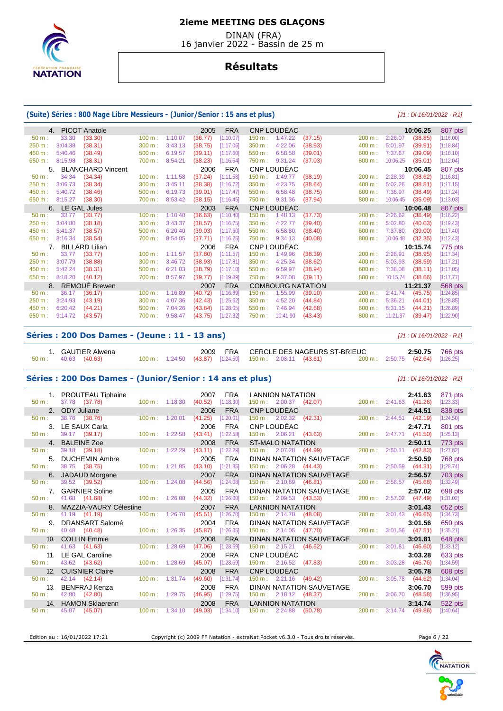

 DINAN (FRA) 16 janvier 2022 - Bassin de 25 m

## **Résultats**

#### **(Suite) Séries : 800 Nage Libre Messieurs - (Junior/Senior : 15 ans et plus)** [J1 : Di 16/01/2022 - R1]

|          | 4.             | <b>PICOT Anatole</b>     |        |         | 2005    | <b>FRA</b> |           | CNP LOUDÉAC              |         |        |          | 10:06.25 | 807 pts   |
|----------|----------------|--------------------------|--------|---------|---------|------------|-----------|--------------------------|---------|--------|----------|----------|-----------|
| 50 m:    | 33.30          | (33.30)                  | 100 m: | 1:10.07 | (36.77) | [1:10.07]  | 150 m:    | 1:47.22                  | (37.15) | 200 m: | 2:26.07  | (38.85)  | [1:16.00] |
| 250 m:   | 3:04.38        | (38.31)                  | 300 m: | 3:43.13 | (38.75) | [1:17.06]  | 350 m:    | 4:22.06                  | (38.93) | 400 m: | 5:01.97  | (39.91)  | [1:18.84] |
| 450 m:   | 5:40.46        | (38.49)                  | 500 m: | 6:19.57 | (39.11) | [1:17.60]  | 550 m:    | 6:58.58                  | (39.01) | 600 m: | 7:37.67  | (39.09)  | [1:18.10] |
| 650 m :  | 8:15.98        | (38.31)                  | 700 m: | 8:54.21 | (38.23) | [1:16.54]  | 750 m :   | 9:31.24                  | (37.03) | 800 m: | 10:06.25 | (35.01)  | [1:12.04] |
| 5.       |                | <b>BLANCHARD Vincent</b> |        |         | 2006    | <b>FRA</b> |           | CNP LOUDÉAC              |         |        |          | 10:06.45 | 807 pts   |
| $50 m$ : | 34.34          | (34.34)                  | 100 m: | 1:11.58 | (37.24) | [1:11.58]  | $150 m$ : | 1:49.77                  | (38.19) | 200 m: | 2:28.39  | (38.62)  | [1:16.81] |
| 250 m:   | 3:06.73        | (38.34)                  | 300 m: | 3:45.11 | (38.38) | [1:16.72]  | 350 m:    | 4:23.75                  | (38.64) | 400 m: | 5:02.26  | (38.51)  | [1:17.15] |
| 450 m:   | 5:40.72        | (38.46)                  | 500 m: | 6:19.73 | (39.01) | [1:17.47]  | 550 m:    | 6:58.48                  | (38.75) | 600 m: | 7:36.97  | (38.49)  | [1:17.24] |
| 650 m:   | 8:15.27        | (38.30)                  | 700 m: | 8:53.42 | (38.15) | [1:16.45]  | 750 m:    | 9:31.36                  | (37.94) | 800 m: | 10:06.45 | (35.09)  | [1:13.03] |
|          | 6.             | LE GAL Jules             |        |         | 2003    | <b>FRA</b> |           | CNP LOUDEAC              |         |        |          | 10:06.48 | 807 pts   |
| $50 m$ : | 33.77          | (33.77)                  | 100 m: | 1:10.40 | (36.63) | [1:10.40]  | 150 m:    | 1:48.13                  | (37.73) | 200 m: | 2:26.62  | (38.49)  | [1:16.22] |
| 250 m:   | 3:04.80        | (38.18)                  | 300 m: | 3:43.37 | (38.57) | [1:16.75]  | 350 m:    | 4:22.77                  | (39.40) | 400 m: | 5:02.80  | (40.03)  | [1:19.43] |
| 450 m:   | 5:41.37        | (38.57)                  | 500 m: | 6:20.40 | (39.03) | [1:17.60]  | 550 m:    | 6:58.80                  | (38.40) | 600 m: | 7:37.80  | (39.00)  | [1:17.40] |
| 650 m:   | 8:16.34        | (38.54)                  | 700 m: | 8:54.05 | (37.71) | [1:16.25]  | 750 m:    | 9:34.13                  | (40.08) | 800 m: | 10:06.48 | (32.35)  | [1:12.43] |
|          | 7 <sub>1</sub> | <b>BILLARD Lilian</b>    |        |         | 2006    | <b>FRA</b> |           | CNP LOUDÉAC              |         |        |          | 10:15.74 | 775 pts   |
| $50 m$ : | 33.77          | (33.77)                  | 100 m: | 1:11.57 | (37.80) | [1:11.57]  | $150 m$ : | 1:49.96                  | (38.39) | 200 m: | 2:28.91  | (38.95)  | [1:17.34] |
| 250 m:   | 3:07.79        | (38.88)                  | 300 m: | 3:46.72 | (38.93) | [1:17.81]  | 350 m:    | 4:25.34                  | (38.62) | 400 m: | 5:03.93  | (38.59)  | [1:17.21] |
| 450 m:   | 5:42.24        | (38.31)                  | 500 m: | 6:21.03 | (38.79) | [1:17.10]  | 550 m:    | 6:59.97                  | (38.94) | 600 m: | 7:38.08  | (38.11)  | [1:17.05] |
| 650 m:   | 8:18.20        | (40.12)                  | 700 m: | 8:57.97 | (39.77) | [1:19.89]  | 750 m :   | 9:37.08                  | (39.11) | 800 m: | 10:15.74 | (38.66)  | [1:17.77] |
|          | 8.             | REMOUË Brewen            |        |         | 2007    | <b>FRA</b> |           | <b>COMBOURG NATATION</b> |         |        |          | 11:21.37 | 568 pts   |
| $50 m$ : | 36.17          | (36.17)                  | 100 m: | 1:16.89 | (40.72) | [1:16.89]  | 150 m:    | 1:55.99                  | (39.10) | 200 m: | 2:41.74  | (45.75)  | [1:24.85] |
| 250 m:   | 3:24.93        | (43.19)                  | 300 m: | 4:07.36 | (42.43) | [1:25.62]  | 350 m:    | 4:52.20                  | (44.84) | 400 m: | 5:36.21  | (44.01)  | [1:28.85] |
| 450 m:   | 6:20.42        | (44.21)                  | 500 m: | 7:04.26 | (43.84) | [1:28.05]  | 550 m:    | 7:46.94                  | (42.68) | 600 m: | 8:31.15  | (44.21)  | [1:26.89] |
| 650 m:   | 9:14.72        | (43.57)                  | 700 m: | 9:58.47 | (43.75) | [1:27.32]  | 750 m:    | 10:41.90                 | (43.43) | 800 m: | 11:21.37 | (39.47)  | [1:22.90] |
|          |                |                          |        |         |         |            |           |                          |         |        |          |          |           |

#### **Séries : 200 Dos Dames - (Jeune : 11 - 13 ans)** [J1 : Di 16/01/2022 - R1]

| L. GAUTIER Alwena             |                                                         |  |  | 2009 FRA CERCLE DES NAGEURS ST-BRIEUC |                                  | <b>2:50.75</b> 766 pts |
|-------------------------------|---------------------------------------------------------|--|--|---------------------------------------|----------------------------------|------------------------|
| $50 \text{ m}: 40.63 (40.63)$ | 100 m: 1:24.50 (43.87) [1:24.50] 150 m: 2:08.11 (43.61) |  |  |                                       | 200 m: 2:50.75 (42.64) [1:26.25] |                        |

#### **Séries : 200 Dos Dames - (Junior/Senior : 14 ans et plus)** [J1 : Di 16/01/2022 - R1]

|                  | 1. PROUTEAU Tiphaine      |                           | <b>FRA</b><br>2007   | <b>LANNION NATATION</b>                                         |                        | 2:41.63 | 871 pts   |
|------------------|---------------------------|---------------------------|----------------------|-----------------------------------------------------------------|------------------------|---------|-----------|
| 50 m:            | 37.78 (37.78)             | $100 \text{ m}$ : 1:18.30 | (40.52)<br>[1:18.30] | 150 m : 2:00.37 (42.07)                                         | 200 m: 2:41.63 (41.26) |         | [1:23.33] |
|                  | 2. ODY Juliane            |                           | <b>FRA</b><br>2006   | CNP LOUDÉAC                                                     |                        | 2:44.51 | 838 pts   |
| $50 m$ :         | 38.76 (38.76)             | $100 \text{ m}$ : 1:20.01 | (41.25)<br>[1:20.01] | $150 \text{ m}: 2:02.32$ (42.31)                                | 200 m: 2:44.51 (42.19) |         | [1:24.50] |
| 3 <sub>1</sub>   | LE SAUX Carla             |                           | <b>FRA</b><br>2006   | CNP LOUDÉAC                                                     |                        | 2:47.71 | 801 pts   |
| $50 m$ :         | 39.17 (39.17)             | $100 \text{ m}$ : 1:22.58 | (43.41)<br>[1:22.58] | 150 m : 2:06.21 (43.63)                                         | 200 m: 2:47.71 (41.50) |         | [1:25.13] |
| 4.               | <b>BALEINE Zoe</b>        |                           | <b>FRA</b><br>2008   | <b>ST-MALO NATATION</b>                                         |                        | 2:50.11 | 773 pts   |
| 50 m:            | 39.18 (39.18)             | $100 \text{ m}$ : 1:22.29 | (43.11)<br>[1:22.29] | 150 m: 2:07.28<br>(44.99)                                       | 200 m: 2:50.11 (42.83) |         | [1:27.82] |
|                  | 5. DUCHEMIN Ambre         |                           | <b>FRA</b><br>2005   | DINAN NATATION SAUVETAGE                                        |                        | 2:50.59 | 768 pts   |
| $50 m$ :         | 38.75 (38.75)             | $100 \text{ m}: 1:21.85$  | (43.10)<br>[1:21.85] | 150 m : 2:06.28 (44.43)                                         | 200 m: 2:50.59 (44.31) |         | [1:28.74] |
|                  | 6. JADAUD Morgane         |                           | <b>FRA</b><br>2007   | <b>DINAN NATATION SAUVETAGE</b>                                 |                        | 2:56.57 | 703 pts   |
| $50 \text{ m}$ : | 39.52 (39.52)             | 100 m: 1:24.08            | (44.56)<br>[1:24.08] | $150 \text{ m}: 2:10.89$ (46.81)                                | 200 m: 2:56.57         | (45.68) | [1:32.49] |
| 7 <sub>1</sub>   | <b>GARNIER Soline</b>     |                           | <b>FRA</b><br>2005   | DINAN NATATION SAUVETAGE                                        |                        | 2:57.02 | 698 pts   |
| $50 m$ :         | 41.68 (41.68)             | $100 \text{ m}$ : 1:26.00 | (44.32)<br>[1:26.00] | 150 m : 2:09.53 (43.53)                                         | 200 m: 2:57.02 (47.49) |         | [1:31.02] |
|                  | 8. MAZZIA-VAURY Célestine |                           | <b>FRA</b><br>2007   | LANNION NATATION <b>Example 1999</b>                            |                        | 3:01.43 | 652 pts   |
| 50 m:            | 41.19 (41.19)             | 100 m: 1:26.70            | (45.51)<br>[1:26.70] | $150 \text{ m}: \quad 2:14.78 \quad (48.08)$                    | 200 m: 3:01.43 (46.65) |         | [1:34.73] |
| 9.               | DRANSART Salomé           |                           | <b>FRA</b><br>2004   | DINAN NATATION SAUVETAGE                                        |                        | 3:01.56 | 650 pts   |
| $50 m$ :         | 40.48 (40.48)             | $100 \text{ m}$ : 1:26.35 | (45.87)<br>[1:26.35] | 150 m: 2:14.05 (47.70)                                          | 200 m: 3:01.56 (47.51) |         | [1:35.21] |
|                  | 10. COLLIN Emmie          |                           | <b>FRA</b><br>2008   | DINAN NATATION SAUVETAGE                                        |                        | 3:01.81 | 648 pts   |
| 50 m:            | 41.63 (41.63)             | 100 m: 1:28.69            | (47.06)<br>[1:28.69] | $150 \text{ m}: 2:15.21$ (46.52)                                | 200 m: 3:01.81 (46.60) |         | [1:33.12] |
|                  | 11. LE GAL Caroline       |                           | <b>FRA</b><br>2008   | CNP LOUDÉAC<br>150 m : 2:16.52 (47.83) 200 m : 3:03.28 (46.76)  |                        |         | 633 pts   |
| $50 m$ :         | 43.62 (43.62)             | 100 m: 1:28.69            | (45.07)<br>[1:28.69] |                                                                 |                        |         | [1:34.59] |
|                  | 12. CUISNIER Claire       |                           | <b>FRA</b><br>2008   | CNP LOUDÉAC                                                     |                        | 3:05.78 | 608 pts   |
| 50 m:            | 42.14 (42.14)             | 100 m: 1:31.74            | (49.60)<br>[1:31.74] | $150 \text{ m}: \quad 2:21.16 \quad (49.42)$                    | 200 m: 3:05.78         | (44.62) | [1:34.04] |
| 13.              | BENFRAJ Kenza             |                           | <b>FRA</b><br>2008   | DINAN NATATION SAUVETAGE                                        |                        | 3:06.70 | 599 pts   |
| 50 m:            | 42.80 (42.80)             | 100 m: 1:29.75            | (46.95)<br>[1:29.75] | 150 m: 2:18.12 (48.37)                                          | 200 m: 3:06.70 (48.58) |         | [1:36.95] |
| 14.              | <b>HAMON Sklaerenn</b>    |                           | <b>FRA</b><br>2008   | <b>LANNION NATATION</b>                                         |                        | 3:14.74 | 522 pts   |
| 50 m:            | 45.07 (45.07)             | $100 \text{ m}: 1:34.10$  | (49.03)<br>[1:34.10] | <b>Contract Contract</b><br>$150 \text{ m}: 2:24.88$<br>(50.78) | 200 m: 3:14.74 (49.86) |         | [1:40.64] |

Edition au : 16/01/2022 17:21 Copyright (c) 2009 FF Natation - extraNat Pocket v6.3.0 - Tous droits réservés. Page 6 / 22

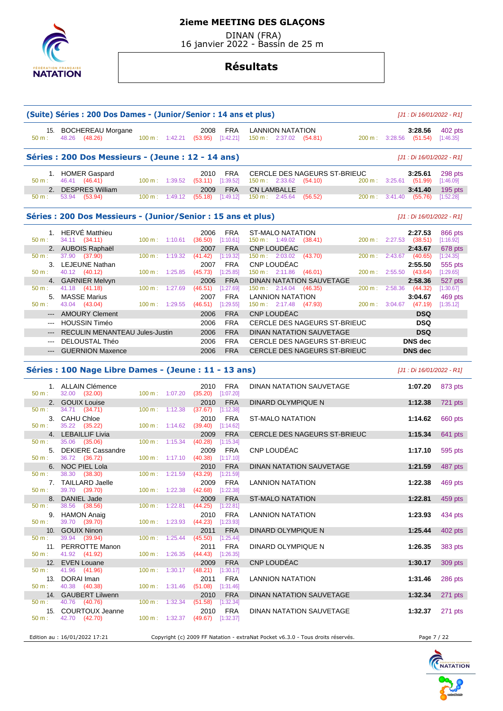

 $50 m$  : 41.96 (41.96)

50 m : 40.76 (40.76)<br>15. COURTOUX Jeanne

## **2ieme MEETING DES GLAÇONS**

 DINAN (FRA) 16 janvier 2022 - Bassin de 25 m

## **Résultats**

|                                                                                     | (Suite) Séries : 200 Dos Dames - (Junior/Senior : 14 ans et plus) |           |                          |                             |                         |                                                             |         |                   |                         | [J1 : Di 16/01/2022 - R1] |                                                                                      |
|-------------------------------------------------------------------------------------|-------------------------------------------------------------------|-----------|--------------------------|-----------------------------|-------------------------|-------------------------------------------------------------|---------|-------------------|-------------------------|---------------------------|--------------------------------------------------------------------------------------|
| 50 m:                                                                               | 15. BOCHEREAU Morgane<br>48.26 (48.26)                            |           | $100 \text{ m}: 1:42.21$ | 2008<br>$(53.95)$ [1:42.21] | <b>FRA</b>              | <b>LANNION NATATION</b><br>$150 \text{ m}: 2:37.02$ (54.81) |         |                   | 200 m : 3:28.56 (51.54) | 3:28.56                   | 402 pts<br>[1:46.35]                                                                 |
|                                                                                     | Séries : 200 Dos Messieurs - (Jeune : 12 - 14 ans)                |           |                          |                             |                         |                                                             |         |                   |                         | [J1 : Di 16/01/2022 - R1] |                                                                                      |
|                                                                                     | 1. HOMER Gaspard                                                  |           |                          | 2010                        | <b>FRA</b>              | CERCLE DES NAGEURS ST-BRIEUC                                |         |                   |                         | 3:25.61                   | 298 pts                                                                              |
| 50 m:                                                                               | 46.41 (46.41)                                                     |           | 100 m: 1:39.52           | $(53.11)$ [1:39.52]         |                         | $150 \text{ m}: 2:33.62$                                    | (54.10) | 200 m:            |                         | $3:25.61$ (51.99)         | [1:46.09]                                                                            |
| 2.                                                                                  | <b>DESPRES William</b>                                            |           |                          | 2009                        | <b>FRA</b>              | <b>CN LAMBALLE</b>                                          |         |                   |                         | 3:41.40                   | 195 pts                                                                              |
| 50 m:                                                                               | 53.94<br>(53.94)                                                  | 100 m:    | 1:49.12                  | $(55.18)$ [1:49.12]         |                         | $150 \text{ m}: 2:45.64$                                    | (56.52) | 200 m:            |                         | $3:41.40$ (55.76)         | [1:52.28]                                                                            |
|                                                                                     | Séries : 200 Dos Messieurs - (Junior/Senior : 15 ans et plus)     |           |                          |                             |                         |                                                             |         |                   |                         | [J1 : Di 16/01/2022 - R1] |                                                                                      |
|                                                                                     | 1. HERVÉ Matthieu                                                 |           |                          | 2006                        | <b>FRA</b>              | ST-MALO NATATION                                            |         |                   |                         | 2:27.53                   | 866 pts                                                                              |
| $50 m$ :                                                                            | 34.11 (34.11)                                                     |           | $100 \text{ m}: 1:10.61$ | (36.50)                     | [1:10.61]               | $150 \text{ m}: 1:49.02$ (38.41)                            |         | $200 \text{ m}$ : | 2:27.53                 | (38.51)                   | [1:16.92]                                                                            |
|                                                                                     | 2. AUBOIS Raphaël                                                 |           |                          | 2007                        | <b>FRA</b>              | <b>CNP LOUDEAC</b>                                          |         |                   |                         | 2:43.67                   | 678 pts                                                                              |
| 50 m:                                                                               | 37.90 (37.90)                                                     | 100 m:    | 1:19.32                  | (41.42)                     | [1:19.32]               | $150 \text{ m}: 2:03.02$                                    | (43.70) | 200 m:            | 2:43.67                 | (40.65)                   | [1:24.35]                                                                            |
|                                                                                     | 3. LEJEUNE Nathan                                                 |           |                          | 2007                        | <b>FRA</b>              | CNP LOUDÉAC                                                 |         |                   |                         | 2:55.50                   | 555 pts                                                                              |
| 50 m:                                                                               | 40.12 (40.12)                                                     | 100 m:    | 1:25.85                  | (45.73)                     | [1:25.85]               | $150 \text{ m}: 2:11.86$ (46.01)                            |         | 200 m:            | 2:55.50                 | (43.64)                   | [1:29.65]                                                                            |
|                                                                                     | 4. GARNIER Melvyn                                                 |           |                          | 2006                        | <b>FRA</b>              | DINAN NATATION SAUVETAGE                                    |         |                   |                         | 2:58.36                   | 527 pts                                                                              |
| 50 m:                                                                               | 41.18 (41.18)                                                     | 100 m:    | 1:27.69                  | (46.51)                     | [1:27.69]               | $150 \text{ m}: 2:14.04$ (46.35)                            |         | 200 m:            | 2:58.36                 | (44.32)                   | [1:30.67]                                                                            |
| 5.                                                                                  | <b>MASSE Marius</b>                                               |           |                          | 2007                        | <b>FRA</b>              | <b>LANNION NATATION</b>                                     |         |                   |                         | 3:04.67                   | 469 pts                                                                              |
| 50 m:                                                                               | 43.04 (43.04)                                                     | 100 m:    | 1:29.55                  | (46.51)                     | [1:29.55]               | $150 \text{ m}: \quad 2:17.48 \quad (47.93)$                |         | 200 m:            | 3:04.67                 | (47.19)                   | [1:35.12]                                                                            |
|                                                                                     | <b>AMOURY Clement</b>                                             |           |                          | 2006                        | <b>FRA</b>              | CNP LOUDÉAC                                                 |         |                   |                         | <b>DSQ</b>                |                                                                                      |
|                                                                                     | <b>HOUSSIN Timéo</b>                                              |           |                          |                             | <b>FRA</b>              | CERCLE DES NAGEURS ST-BRIEUC                                |         |                   |                         | <b>DSQ</b>                |                                                                                      |
| $\cdots$                                                                            |                                                                   |           |                          | 2006                        |                         |                                                             |         |                   |                         |                           |                                                                                      |
|                                                                                     | RECULIN MENANTEAU Jules-Justin                                    |           |                          | 2006                        | <b>FRA</b>              |                                                             |         |                   |                         | <b>DSQ</b>                |                                                                                      |
|                                                                                     |                                                                   |           |                          |                             |                         | DINAN NATATION SAUVETAGE                                    |         |                   |                         |                           |                                                                                      |
| $\sim$ $\sim$                                                                       | DELOUSTAL Théo                                                    |           |                          | 2006                        | <b>FRA</b>              | <b>CERCLE DES NAGEURS ST-BRIEUC</b>                         |         |                   |                         | <b>DNS</b> dec            |                                                                                      |
| $---$                                                                               | <b>GUERNION Maxence</b>                                           |           |                          | 2006                        | <b>FRA</b>              | CERCLE DES NAGEURS ST-BRIEUC                                |         |                   |                         | <b>DNS</b> dec            |                                                                                      |
|                                                                                     | Séries : 100 Nage Libre Dames - (Jeune : 11 - 13 ans)             |           |                          |                             |                         |                                                             |         |                   |                         | [J1 : Di 16/01/2022 - R1] |                                                                                      |
|                                                                                     | 1. ALLAIN Clémence                                                |           |                          | 2010                        | <b>FRA</b>              | DINAN NATATION SAUVETAGE                                    |         |                   |                         | 1:07.20                   |                                                                                      |
|                                                                                     | 32.00 (32.00)                                                     | 100 m:    | 1:07.20                  | (35.20)                     | [1:07.20]               |                                                             |         |                   |                         |                           |                                                                                      |
|                                                                                     | 2. GOUIX Louise                                                   |           |                          | 2010                        | <b>FRA</b>              | DINARD OLYMPIQUE N                                          |         |                   |                         | 1:12.38                   |                                                                                      |
|                                                                                     | 34.71<br>(34.71)                                                  | 100 m:    | 1:12.38                  | (37.67)                     | [1:12.38]               |                                                             |         |                   |                         |                           |                                                                                      |
|                                                                                     | 3. CAHU Chloe                                                     |           |                          | 2010                        | <b>FRA</b>              | ST-MALO NATATION                                            |         |                   |                         | 1:14.62                   |                                                                                      |
|                                                                                     | 35.22<br>(35.22)                                                  | 100 m:    | 1:14.62                  | (39.40)                     | [1:14.62]               |                                                             |         |                   |                         |                           |                                                                                      |
|                                                                                     | 4. LEBAILLIF Livia                                                |           |                          | 2009                        | <b>FRA</b>              | CERCLE DES NAGEURS ST-BRIEUC                                |         |                   |                         | 1:15.34                   |                                                                                      |
|                                                                                     | 35.06<br>(35.06)                                                  | 100 m:    | 1:15.34                  | (40.28)                     | [1:15.34]               |                                                             |         |                   |                         |                           |                                                                                      |
| 5.                                                                                  | <b>DEKIERE Cassandre</b>                                          |           |                          | 2009                        | <b>FRA</b>              | <b>CNP LOUDEAC</b>                                          |         |                   |                         | 1:17.10                   |                                                                                      |
|                                                                                     | 36.72 (36.72)                                                     | 100 m:    | 1:17.10                  | (40.38)                     | [1:17.10]               |                                                             |         |                   |                         |                           |                                                                                      |
| 6.                                                                                  | <b>NOC PIEL Lola</b>                                              |           |                          | 2010                        | <b>FRA</b>              | <b>DINAN NATATION SAUVETAGE</b>                             |         |                   |                         | 1:21.59                   |                                                                                      |
|                                                                                     | 38.30<br>(38.30)                                                  | 100 m:    | 1:21.59                  | (43.29)                     | [1:21.59]               |                                                             |         |                   |                         |                           |                                                                                      |
|                                                                                     | 7. TAILLARD Jaelle                                                |           |                          | 2009                        | <b>FRA</b>              | <b>LANNION NATATION</b>                                     |         |                   |                         | 1:22.38                   |                                                                                      |
|                                                                                     | 39.70 (39.70)                                                     |           | $100 \text{ m}: 1:22.38$ | (42.68)                     | [1:22.38]               |                                                             |         |                   |                         |                           |                                                                                      |
|                                                                                     | 8. DANIEL Jade                                                    |           |                          | 2009                        | <b>FRA</b>              | <b>ST-MALO NATATION</b>                                     |         |                   |                         | 1:22.81                   | 873 pts<br>721 pts<br>660 pts<br>641 pts<br>595 pts<br>487 pts<br>469 pts<br>459 pts |
|                                                                                     | 38.56 (38.56)                                                     | 100 m:    | 1:22.81                  | $(44.25)$ [1:22.81]         |                         |                                                             |         |                   |                         |                           |                                                                                      |
|                                                                                     | 9. HAMON Anaig                                                    |           |                          | 2010                        | <b>FRA</b>              | <b>LANNION NATATION</b>                                     |         |                   |                         | 1:23.93                   | 434 pts                                                                              |
|                                                                                     | 39.70 (39.70)                                                     | 100 m:    | 1:23.93                  | (44.23)                     | [1:23.93]               |                                                             |         |                   |                         |                           |                                                                                      |
| 50 m:<br>50 m:<br>$50 m$ :<br>50 m:<br>50 m:<br>50 m:<br>$50 m$ :<br>50 m:<br>50 m: | 10. GOUIX Ninon                                                   |           |                          | 2011                        | <b>FRA</b>              | DINARD OLYMPIQUE N                                          |         |                   |                         | 1:25.44                   |                                                                                      |
|                                                                                     | 39.94<br>(39.94)                                                  | $100 m$ : | 1:25.44                  | (45.50)                     | [1:25.44]               |                                                             |         |                   |                         |                           |                                                                                      |
|                                                                                     |                                                                   |           |                          | 2011                        |                         |                                                             |         |                   |                         |                           |                                                                                      |
| 50 m:<br>50 m:                                                                      | 11. PERROTTE Manon<br>41.92 (41.92)                               |           | 100 m: 1:26.35           | (44.43)                     | <b>FRA</b><br>[1:26.35] | DINARD OLYMPIQUE N                                          |         |                   |                         | 1:26.35                   | 402 pts<br>383 pts                                                                   |



Edition au : 16/01/2022 17:21 Copyright (c) 2009 FF Natation - extraNat Pocket v6.3.0 - Tous droits réservés. Page 7 / 22

 $2011$  FRA<br>(51.08) [1:31.46]

50 m : 42.70 (42.70) 100 m : 1:32.37 (49.67) [1:32.37]

12. EVEN Louane 2009 FRA CNP LOUDÉAC **1:30.17** 309 pts

13. DORAI Iman 2011 FRA LANNION NATATION **1:31.46** 286 pts

15. COURTOUX Jeanne 2010 FRA DINAN NATATION SAUVETAGE **1:32.37** 271 pts

14. GAUBERT Lilwenn 2010 FRA DINAN NATATION SAUVETAGE 1**:32.34** 271 pts<br>
15. COURTOUX Jeanne <sup>100</sup> m: 1:32.34 (51.58) [1:32.34]<br>
15. COURTOUX Jeanne 2010 FRA DINAN NATATION SAUVETAGE 1:32.37 271 pts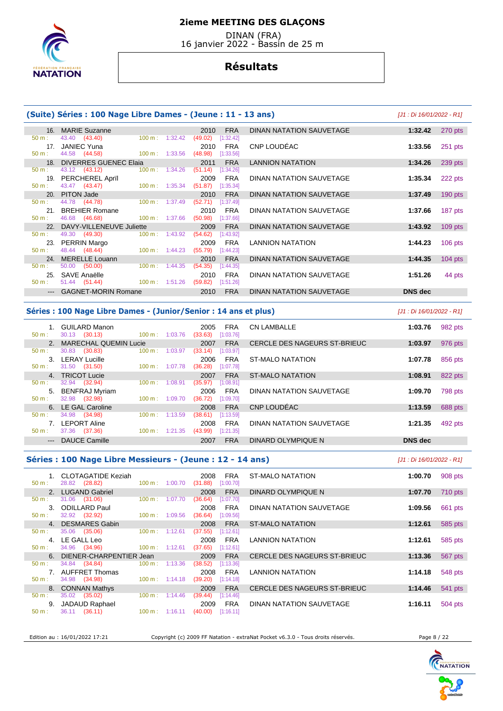

 DINAN (FRA) 16 janvier 2022 - Bassin de 25 m

## **Résultats**

#### **(Suite) Séries : 100 Nage Libre Dames - (Jeune : 11 - 13 ans)** [J1 : Di 16/01/2022 - R1] 16. MARIE Suzanne 2010 FRA DINAN NATATION SAUVETAGE **1:32.42** 270 pts 43.40 (43.40) 17. JANIEC Yuna 2010 FRA CNP LOUDÉAC **1:33.56** 251 pts 44.58 (44.58) 18. DIVERRES GUENEC Elaia 2011 FRA LANNION NATATION **1:34.26** 239 pts 50 m : 43.12 (43.12) 100 m : 1:34.26 (51.14) [1:34.26] 19. PERCHEREL Aprïl 2009 FRA DINAN NATATION SAUVETAGE **1:35.34** 222 pts 50 m : 43.47 (43.47) 100 m : 1:35.34 (51.87) [1:35.34] 20. PITON Jade 2010 FRA DINAN NATATION SAUVETAGE **1:37.49** 190 pts 44.78 (44.78) 21. BREHIER Romane 2010 FRA DINAN NATATION SAUVETAGE **1:37.66** 187 pts 50 m : 46.68 (46.68) 100 m : 1:37.66 (50.98) [1:37.66] 22. DAVY-VILLENEUVE Juliette 2009 FRA DINAN NATATION SAUVETAGE 1:43.92 109 pts<br>
50 m : 49.30 (49.30) 100 m : 1:43.92 (54.62) [1:43.92]  $(49.30)$  23. PERRIN Margo 2009 FRA LANNION NATATION **1:44.23** 106 pts 50 m : 48.44 (48.44) 100 m : 1:44.23 (55.79) [1:44.23] 24. MERELLE Louann 2010 FRA DINAN NATATION SAUVETAGE **1:44.35** 104 pts 50 m : 50.00 (50.00) 100 m : 1:44.35 (54.35) [1:44.35] 25. SAVE Anaëlle 2010 FRA DINAN NATATION SAUVETAGE **1:51.26** 44 pts  $(59.82)$   $[1:51.26]$ --- GAGNET-MORIN Romane 2010 FRA DINAN NATATION SAUVETAGE **DNS dec**

#### **Séries : 100 Nage Libre Dames - (Junior/Senior : 14 ans et plus)** [J1 : Di 16/01/2022 - R1]

| $50 m$ :                  | <b>GUILARD Manon</b><br>30.13 (30.13) | 100 m:            | 1:03.76 | 2005<br>(33.63) | <b>FRA</b><br>[1:03.76] | <b>CN LAMBALLE</b>           | 1:03.76        | 982 pts |
|---------------------------|---------------------------------------|-------------------|---------|-----------------|-------------------------|------------------------------|----------------|---------|
|                           | <b>MARECHAL QUEMIN Lucie</b>          |                   |         | 2007            | <b>FRA</b>              | CERCLE DES NAGEURS ST-BRIEUC | 1:03.97        | 976 pts |
| $50 m$ :                  | 30.83<br>(30.83)                      | 100 m:            | 1:03.97 | (33.14)         | [1:03.97]               |                              |                |         |
| 3.                        | LERAY Lucille                         |                   |         | 2006            | <b>FRA</b>              | ST-MALO NATATION             | 1:07.78        | 856 pts |
| $50 m$ :                  | 31.50<br>(31.50)                      | $100 \text{ m}$ : | 1:07.78 | (36.28)         | [1:07.78]               |                              |                |         |
| 4 <sup>1</sup>            | <b>TRICOT Lucie</b>                   |                   |         | 2007            | <b>FRA</b>              | <b>ST-MALO NATATION</b>      | 1:08.91        | 822 pts |
| $50 m$ :                  | (32.94)<br>32.94                      | 100 m:            | 1:08.91 | (35.97)         | [1:08.91]               |                              |                |         |
| 5.                        | <b>BENFRAJ Myriam</b>                 |                   |         | 2006            | <b>FRA</b>              | DINAN NATATION SAUVETAGE     | 1:09.70        | 798 pts |
| $50 m$ :                  | (32.98)<br>32.98                      | $100 \text{ m}$ : | 1:09.70 | (36.72)         | [1:09.70]               |                              |                |         |
|                           | 6. LE GAL Caroline                    |                   |         | 2008            | <b>FRA</b>              | CNP LOUDEAC                  | 1:13.59        | 688 pts |
| $50 m$ :                  | 34.98<br>(34.98)                      | 100 m:            | 1:13.59 | (38.61)         | [1:13.59]               |                              |                |         |
|                           | LEPORT Aline                          |                   |         | 2008            | <b>FRA</b>              | DINAN NATATION SAUVETAGE     | 1:21.35        | 492 pts |
| $50 m$ :                  | (37.36)<br>37.36                      | 100 m:            | 1:21.35 | (43.99)         | [1:21.35]               |                              |                |         |
| $\qquad \qquad -\qquad -$ | DAUCE Camille                         |                   |         | 2007            | <b>FRA</b>              | DINARD OLYMPIQUE N           | <b>DNS</b> dec |         |

#### **Séries : 100 Nage Libre Messieurs - (Jeune : 12 - 14 ans)** [J1 : Di 16/01/2022 - R1]

| $50 m$ :         | 1. CLOTAGATIDE Keziah<br>28.82 (28.82) | $100 \text{ m}$ :         | 1:00.70 | 2008<br>(31.88) | <b>FRA</b><br>[1:00.70] | ST-MALO NATATION             | 1:00.70 | 908 pts |
|------------------|----------------------------------------|---------------------------|---------|-----------------|-------------------------|------------------------------|---------|---------|
|                  | 2. LUGAND Gabriel                      |                           |         | 2008            | <b>FRA</b>              | DINARD OLYMPIQUE N           | 1:07.70 | 710 pts |
| $50 \text{ m}$ : | 31.06<br>(31.06)                       | $100 \text{ m}$ :         | 1:07.70 | (36.64)         | [1:07.70]               |                              |         |         |
|                  | 3. ODILLARD Paul                       |                           |         | 2008            | <b>FRA</b>              | DINAN NATATION SAUVETAGE     | 1:09.56 | 661 pts |
| $50 m$ :         | 32.92 (32.92)                          | $100 \text{ m}$ :         | 1:09.56 | (36.64)         | [1:09.56]               |                              |         |         |
|                  | 4. DESMARES Gabin                      |                           |         | 2008            | <b>FRA</b>              | ST-MALO NATATION             | 1:12.61 | 585 pts |
| $50 \text{ m}$ : | 35.06<br>(35.06)                       | $100 \text{ m}$ :         | 1:12.61 | (37.55)         | [1:12.61]               |                              |         |         |
|                  | 4. LE GALL Leo                         |                           |         | 2008            | <b>FRA</b>              | LANNION NATATION             | 1:12.61 | 585 pts |
| $50 \text{ m}$ : | 34.96 (34.96)                          | $100 \text{ m}: 1:12.61$  |         | (37.65)         | [1:12.61]               |                              |         |         |
|                  | 6. DIENER-CHARPENTIER Jean             |                           |         | 2009            | <b>FRA</b>              | CERCLE DES NAGEURS ST-BRIEUC | 1:13.36 | 567 pts |
| $50 \text{ m}$ : | 34.84 (34.84)                          | $100 \text{ m}$ : 1:13.36 |         | (38.52)         | [1:13.36]               |                              |         |         |
|                  | 7. AUFFRET Thomas                      |                           |         | 2008            | <b>FRA</b>              | LANNION NATATION             | 1:14.18 | 548 pts |
| $50 \text{ m}$ : | 34.98 (34.98)                          | $100 \text{ m}$ : 1:14.18 |         | (39.20)         | [1:14.18]               |                              |         |         |
|                  | 8. CONNAN Mathys                       |                           |         | 2009            | <b>FRA</b>              | CERCLE DES NAGEURS ST-BRIEUC | 1:14.46 | 541 pts |
| $50 m$ :         | (35.02)<br>35.02                       | $100 \text{ m}$ :         | 1:14.46 | (39.44)         | $[1:14.46]$             |                              |         |         |
| 9.               | JADAUD Raphael                         |                           |         | 2009            | <b>FRA</b>              | DINAN NATATION SAUVETAGE     | 1:16.11 | 504 pts |
| $50 m$ :         | (36.11)<br>36.11                       | $100 \text{ m}$ : 1:16.11 |         | (40.00)         | [1:16.11]               |                              |         |         |

Edition au : 16/01/2022 17:21 Copyright (c) 2009 FF Natation - extraNat Pocket v6.3.0 - Tous droits réservés. Page 8 / 22

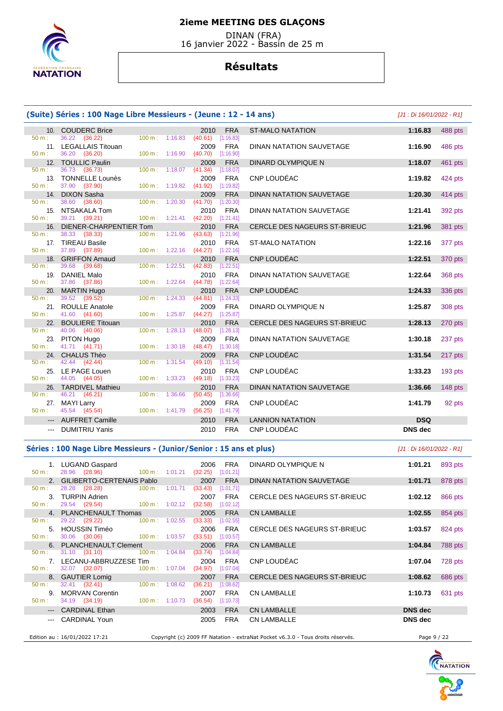

 DINAN (FRA) 16 janvier 2022 - Bassin de 25 m

# **Résultats**

|                        | (Suite) Séries : 100 Nage Libre Messieurs - (Jeune : 12 - 14 ans) |                   |                          |                                            |                                     | [J1 : Di 16/01/2022 - R1] |           |
|------------------------|-------------------------------------------------------------------|-------------------|--------------------------|--------------------------------------------|-------------------------------------|---------------------------|-----------|
|                        | 10. COUDERC Brice                                                 |                   |                          | <b>FRA</b><br>2010                         | <b>ST-MALO NATATION</b>             | 1:16.83                   | 488 pts   |
| $50 m$ :               | 36.22 (36.22)                                                     |                   | $100 \text{ m}: 1:16.83$ | (40.61)<br>[1:16.83]                       |                                     |                           |           |
|                        | 11. LEGALLAIS Titouan                                             |                   |                          | <b>FRA</b><br>2009                         | DINAN NATATION SAUVETAGE            | 1:16.90                   | 486 pts   |
| $50 m$ :               | 36.20 (36.20)                                                     |                   | $100 m$ : 1:16.90        | (40.70)<br>[1:16.90]                       |                                     |                           |           |
|                        | 12. TOULLIC Paulin                                                |                   |                          | <b>FRA</b><br>2009                         | <b>DINARD OLYMPIQUE N</b>           | 1:18.07                   | 461 pts   |
| $50 m$ :               | 36.73 (36.73)                                                     |                   | 100 m: 1:18.07           | (41.34)<br>[1:18.07]                       |                                     |                           |           |
| $50 m$ :               | 13. TONNELLE Lounès<br>37.90 (37.90)                              |                   | 100 m: 1:19.82           | <b>FRA</b><br>2009<br>$(41.92)$ [1:19.82]  | CNP LOUDÉAC                         | 1:19.82                   | 424 pts   |
|                        | 14. DIXON Sasha                                                   |                   |                          | <b>FRA</b><br>2009                         | DINAN NATATION SAUVETAGE            | 1:20.30                   | 414 pts   |
| $50 m$ :               | 38.60 (38.60)                                                     |                   | 100 m: 1:20.30           | $(41.70)$ [1:20.30]                        |                                     |                           |           |
| 15.                    | NTSAKALA Tom                                                      |                   |                          | 2010<br><b>FRA</b>                         | DINAN NATATION SAUVETAGE            | 1:21.41                   | 392 pts   |
| $50 m$ :               | 39.21 (39.21)                                                     |                   | $100 \text{ m}: 1:21.41$ | (42.20)<br>[1:21.41]                       |                                     |                           |           |
|                        | 16. DIENER-CHARPENTIER Tom                                        |                   |                          | 2010<br><b>FRA</b>                         | <b>CERCLE DES NAGEURS ST-BRIEUC</b> | 1:21.96                   | 381 pts   |
| $50 \text{ m}$ :       | 38.33 (38.33)                                                     |                   | 100 m: 1:21.96           | (43.63)<br>[1:21.96]                       |                                     |                           |           |
|                        | 17. TIREAU Basile                                                 |                   |                          | <b>FRA</b><br>2010                         | <b>ST-MALO NATATION</b>             | 1:22.16                   | 377 pts   |
| 50 m:                  | 37.89 (37.89)                                                     |                   | 100 m: 1:22.16           | $(44.27)$ [1:22.16]                        |                                     |                           |           |
|                        | 18. GRIFFON Arnaud                                                |                   |                          | 2010<br><b>FRA</b>                         | CNP LOUDÉAC                         | 1:22.51                   | 370 pts   |
| 50 m:                  | 39.68 (39.68)                                                     |                   | 100 m: 1:22.51           | (42.83)<br>[1:22.51]                       |                                     |                           |           |
|                        | 19. DANIEL Malo                                                   |                   |                          | <b>FRA</b><br>2010                         | DINAN NATATION SAUVETAGE            | 1:22.64                   | 368 pts   |
| 50 m:                  | 37.86 (37.86)                                                     |                   | $100 m$ : 1:22.64        | $(44.78)$ [1:22.64]                        |                                     |                           |           |
| 20.<br>50 m:           | <b>MARTIN Hugo</b><br>39.52<br>(39.52)                            | $100 \text{ m}$ : | 1:24.33                  | 2010<br><b>FRA</b><br>(44.81)<br>[1:24.33] | CNP LOUDÉAC                         | 1:24.33                   | 336 pts   |
|                        | 21. ROULLE Anatole                                                |                   |                          | 2009<br><b>FRA</b>                         | DINARD OLYMPIQUE N                  | 1:25.87                   | 308 pts   |
| $50 m$ :               | 41.60 (41.60)                                                     |                   | 100 m: 1:25.87           | (44.27)<br>[1:25.87]                       |                                     |                           |           |
|                        | 22. BOULIERE Titouan                                              |                   |                          | 2010<br><b>FRA</b>                         | <b>CERCLE DES NAGEURS ST-BRIEUC</b> | 1:28.13                   | 270 pts   |
| 50 m:                  | 40.06 (40.06)                                                     | 100 m:            | 1:28.13                  | (48.07)<br>[1:28.13]                       |                                     |                           |           |
|                        | 23. PITON Hugo                                                    |                   |                          | 2009<br><b>FRA</b>                         | DINAN NATATION SAUVETAGE            | 1:30.18                   | 237 pts   |
| 50 m:                  | 41.71 (41.71)                                                     |                   | 100 m: 1:30.18           | (48.47)<br>[1:30.18]                       |                                     |                           |           |
|                        | 24. CHALUS Théo                                                   |                   |                          | <b>FRA</b><br>2009                         | CNP LOUDÉAC                         | 1:31.54                   | 217 pts   |
| 50 m:                  | 42.44 (42.44)                                                     | 100 m:            | 1:31.54                  | (49.10)<br>[1:31.54]                       |                                     |                           |           |
| 25.                    | LE PAGE Louen                                                     |                   |                          | <b>FRA</b><br>2010                         | CNP LOUDÉAC                         | 1:33.23                   | 193 pts   |
| 50 m:                  | 44.05 (44.05)                                                     |                   | $100 m$ : 1:33.23        | $(49.18)$ [1:33.23]                        |                                     |                           |           |
|                        | 26. TARDIVEL Mathieu                                              |                   |                          | <b>FRA</b><br>2010                         | DINAN NATATION SAUVETAGE            | 1:36.66                   | $148$ pts |
| $50 m$ :               | 46.21 (46.21)                                                     |                   | 100 m: 1:36.66           | (50.45)<br>[1:36.66]                       | CNP LOUDÉAC                         |                           |           |
| $50 m$ :               | 27. MAYI Larry<br>45.54 (45.54)                                   |                   | 100 m: 1:41.79           | <b>FRA</b><br>2009<br>(56.25)<br>[1:41.79] |                                     | 1:41.79                   | 92 pts    |
|                        | <b>AUFFRET Camille</b>                                            |                   |                          | <b>FRA</b><br>2010                         | <b>LANNION NATATION</b>             | <b>DSQ</b>                |           |
| $\qquad \qquad - -$    |                                                                   |                   |                          | <b>FRA</b>                                 | CNP LOUDÉAC                         | <b>DNS</b> dec            |           |
| $\qquad \qquad \cdots$ | <b>DUMITRIU Yanis</b>                                             |                   |                          | 2010                                       |                                     |                           |           |

## Séries : 100 Nage Libre Messieurs - (Junior/Senior : 15 ans et plus) *[J1 : Di 16/01/2022 - R1]*

| 50 m:    | 1. LUGAND Gaspard<br>28.96 (28.96) 100 m : 1:01.21 | <b>FRA</b><br>2006<br>(32.25)<br>[1:01.21] | DINARD OLYMPIQUE N                                                              | 1:01.21        | 893 pts |
|----------|----------------------------------------------------|--------------------------------------------|---------------------------------------------------------------------------------|----------------|---------|
|          | 2. GILIBERTO-CERTENAIS Pablo                       | 2007                                       | <b>FRA</b><br>DINAN NATATION SAUVETAGE                                          | 1:01.71        | 878 pts |
| 50 m:    | 28.28 (28.28) 100 m : 1:01.71                      | (33.43)<br>[1:01.71]                       |                                                                                 |                |         |
|          | 3. TURPIN Adrien                                   | <b>FRA</b><br>2007                         | CERCLE DES NAGEURS ST-BRIEUC                                                    | 1:02.12        | 866 pts |
| 50 m:    | 29.54 (29.54) 100 m : 1:02.12                      | (32.58)<br>[1:02.12]                       |                                                                                 |                |         |
|          | 4. PLANCHENAULT Thomas                             | 2005                                       | <b>FRA</b><br><b>CN LAMBALLE</b>                                                | 1:02.55        | 854 pts |
| 50 m:    | 29.22 (29.22) 100 m : 1:02.55                      | (33.33)<br>[1:02.55]                       |                                                                                 |                |         |
|          | 5. HOUSSIN Timéo                                   | 2006<br><b>FRA</b>                         | CERCLE DES NAGEURS ST-BRIEUC                                                    | 1:03.57        | 824 pts |
| 50 m:    | 30.06 (30.06) 100 m : 1:03.57                      | (33.51)<br>[1:03.57]                       |                                                                                 |                |         |
|          | 6. PLANCHENAULT Clement                            | 2006<br><b>FRA</b>                         | <b>CN LAMBALLE</b>                                                              | 1:04.84        | 788 pts |
| 50 m:    | 31.10 (31.10) 100 m : 1:04.84                      | (33.74)<br>[1:04.84]                       |                                                                                 |                |         |
|          | 7. LECANU-ABBRUZZESE Tim                           | 2004<br><b>FRA</b>                         | CNP LOUDEAC                                                                     | 1:07.04        | 728 pts |
| 50 m:    | 32.07 (32.07) 100 m : 1:07.04                      | (34.97)<br>[1:07.04]                       |                                                                                 |                |         |
|          | 8. GAUTIER Lomig                                   | 2007                                       | <b>FRA</b><br>CERCLE DES NAGEURS ST-BRIEUC                                      | 1:08.62        | 686 pts |
| $50 m$ : | 32.41 (32.41) $100 \text{ m}$ : 1:08.62            | (36.21)<br>[1:08.62]                       |                                                                                 |                |         |
|          | 9. MORVAN Corentin                                 | 2007<br><b>FRA</b>                         | <b>CN LAMBALLE</b>                                                              | 1:10.73        | 631 pts |
| 50 m:    | 34.19 (34.19) 100 m : 1:10.73                      | (36.54)<br>[1:10.73]                       |                                                                                 |                |         |
|          | --- CARDINAL Ethan                                 | <b>FRA</b><br>2003                         | <b>CN LAMBALLE</b>                                                              | <b>DNS</b> dec |         |
|          | CARDINAL Youn                                      | 2005                                       | <b>FRA</b><br><b>CN LAMBALLE</b>                                                | <b>DNS</b> dec |         |
|          |                                                    |                                            |                                                                                 |                |         |
|          | Edition au : 16/01/2022 17:21                      |                                            | Copyright (c) 2009 FF Natation - extraNat Pocket v6.3.0 - Tous droits réservés. | Page 9 / 22    |         |

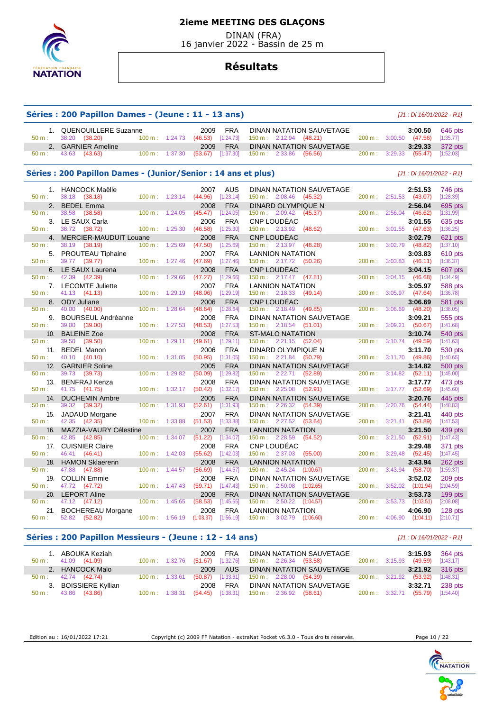

 DINAN (FRA) 16 janvier 2022 - Bassin de 25 m

## **Résultats**

|                 | Séries : 200 Papillon Dames - (Jeune : 11 - 13 ans)            |        |                   |                 |                         |                                                                        |           | [J1 : Di 16/01/2022 - R1]       |                      |
|-----------------|----------------------------------------------------------------|--------|-------------------|-----------------|-------------------------|------------------------------------------------------------------------|-----------|---------------------------------|----------------------|
| 1.<br>$50 m$ :  | <b>QUENOUILLERE Suzanne</b><br>38.20<br>(38.20)                |        | $100 m$ : 1:24.73 | 2009<br>(46.53) | FRA<br>[1:24.73]        | DINAN NATATION SAUVETAGE<br>$150 \text{ m}: 2:12.94$ (48.21)           | 200 m:    | 3:00.50<br>3:00.50<br>(47.56)   | 646 pts<br>[1:35.77] |
| 2.<br>50 m:     | <b>GARNIER Ameline</b><br>43.63<br>(43.63)                     | 100 m: | 1:37.30           | 2009<br>(53.67) | <b>FRA</b><br>[1:37.30] | <b>DINAN NATATION SAUVETAGE</b><br>$150 \text{ m}: 2:33.86$<br>(56.56) | 200 m:    | 3:29.33<br>3:29.33<br>(55.47)   | 372 pts<br>[1:52.03] |
|                 | Séries : 200 Papillon Dames - (Junior/Senior : 14 ans et plus) |        |                   |                 |                         |                                                                        |           | [J1 : Di 16/01/2022 - R1]       |                      |
| 1.              | <b>HANCOCK Maëlle</b>                                          |        |                   | 2007            | <b>AUS</b>              | DINAN NATATION SAUVETAGE                                               |           | 2:51.53                         | 746 pts              |
| $50 m$ :        | 38.18<br>(38.18)                                               | 100 m: | 1:23.14           | (44.96)         | [1:23.14]               | $150 \text{ m}: 2:08.46$<br>(45.32)                                    | 200 m:    | 2:51.53<br>(43.07)              | [1:28.39]            |
| 2.              | <b>BEDEL Emma</b>                                              |        |                   | 2008            | <b>FRA</b>              | DINARD OLYMPIQUE N                                                     |           | 2:56.04                         | 695 pts              |
| 50 m:           | 38.58<br>(38.58)                                               | 100 m: | 1:24.05           | (45.47)         | [1:24.05]               | 2:09.42<br>150 m:<br>(45.37)                                           | 200 m:    | 2:56.04<br>(46.62)              | [1:31.99]            |
| 3.              | LE SAUX Carla                                                  |        |                   | 2006            | <b>FRA</b>              | <b>CNP LOUDEAC</b>                                                     |           | 3:01.55                         | 635 pts              |
| $50 m$ :        | 38.72<br>(38.72)                                               | 100 m: | 1:25.30           | (46.58)         | [1:25.30]               | 150 m: 2:13.92<br>(48.62)                                              | 200 m:    | 3:01.55<br>(47.63)              | [1:36.25]            |
| 4.<br>50 m:     | <b>MERCIER-MAUDUIT Louane</b><br>38.19                         | 100 m: | 1:25.69           | 2008            | <b>FRA</b>              | <b>CNP LOUDEAC</b><br>(48.28)                                          |           | 3:02.79<br>3:02.79              | 621 pts              |
|                 | (38.19)                                                        |        |                   | (47.50)         | [1:25.69]               | 150 m: 2:13.97                                                         | 200 m:    | (48.82)                         | [1:37.10]            |
| 5.<br>$50 m$ :  | <b>PROUTEAU Tiphaine</b><br>39.77 (39.77)                      | 100 m: | 1:27.46           | 2007<br>(47.69) | <b>FRA</b><br>[1:27.46] | <b>LANNION NATATION</b><br>150 m: 2:17.72<br>(50.26)                   | 200 m:    | 3:03.83<br>3:03.83<br>(46.11)   | 610 pts<br>[1:36.37] |
| 6.              | LE SAUX Laurena                                                |        |                   |                 | <b>FRA</b>              | CNP LOUDÉAC                                                            |           | 3:04.15                         |                      |
| 50 m:           | 42.39<br>(42.39)                                               | 100 m: | 1:29.66           | 2008<br>(47.27) | [1:29.66]               | 150 m: 2:17.47<br>(47.81)                                              | 200 m:    | 3:04.15<br>(46.68)              | 607 pts<br>[1:34.49] |
| 7.              | <b>LECOMTE Juliette</b>                                        |        |                   | 2007            | <b>FRA</b>              | <b>LANNION NATATION</b>                                                |           | 3:05.97                         |                      |
| $50 m$ :        | 41.13<br>(41.13)                                               | 100 m: | 1:29.19           | (48.06)         | [1:29.19]               | 150 m: 2:18.33<br>(49.14)                                              | 200 m:    | 3:05.97<br>(47.64)              | 588 pts<br>[1:36.78] |
| 8.              | <b>ODY Juliane</b>                                             |        |                   | 2006            | <b>FRA</b>              | <b>CNP LOUDEAC</b>                                                     |           | 3:06.69                         | 581 pts              |
| 50 m:           | 40.00<br>(40.00)                                               | 100 m: | 1:28.64           | (48.64)         | [1:28.64]               | (49.85)<br>$150 \text{ m}: 2:18.49$                                    | 200 m:    | 3:06.69<br>(48.20)              | [1:38.05]            |
| 9.              | <b>BOURSEUL Andréanne</b>                                      |        |                   | 2008            | <b>FRA</b>              | DINAN NATATION SAUVETAGE                                               |           | 3:09.21                         | 555 pts              |
| $50 m$ :        | 39.00<br>(39.00)                                               | 100 m: | 1:27.53           | (48.53)         | [1:27.53]               | $150 \text{ m}: 2:18.54$<br>(51.01)                                    | 200 m:    | 3:09.21<br>(50.67)              | [1:41.68]            |
| 10.             | <b>BALEINE Zoe</b>                                             |        |                   | 2008            | <b>FRA</b>              | <b>ST-MALO NATATION</b>                                                |           |                                 | 540 pts              |
| 50 m:           | 39.50<br>(39.50)                                               | 100 m: | 1:29.11           | (49.61)         | [1:29.11]               | 150 m:<br>2:21.15<br>(52.04)                                           | 200 m:    | 3:10.74<br>3:10.74<br>(49.59)   | [1:41.63]            |
|                 |                                                                |        |                   |                 |                         |                                                                        |           |                                 |                      |
| 11.<br>$50 m$ : | <b>BEDEL Manon</b><br>40.10<br>(40.10)                         | 100 m: | 1:31.05           | 2006<br>(50.95) | <b>FRA</b><br>[1:31.05] | DINARD OLYMPIQUE N<br>150 m:<br>2:21.84<br>(50.79)                     | 200 m:    | 3:11.70<br>3:11.70<br>(49.86)   | 530 pts<br>[1:40.65] |
| 12.             | <b>GARNIER Soline</b>                                          |        |                   | 2005            | <b>FRA</b>              | <b>DINAN NATATION SAUVETAGE</b>                                        |           | 3:14.82                         |                      |
| 50 m:           | 39.73<br>(39.73)                                               | 100 m: | 1:29.82           | (50.09)         | [1:29.82]               | 150 m: 2:22.71<br>(52.89)                                              | 200 m:    | 3:14.82<br>(52.11)              | 500 pts<br>[1:45.00] |
|                 |                                                                |        |                   |                 | <b>FRA</b>              |                                                                        |           |                                 |                      |
| 13.<br>$50 m$ : | <b>BENFRAJ Kenza</b><br>41.75<br>(41.75)                       | 100 m: | 1:32.17           | 2008<br>(50.42) | [1:32.17]               | DINAN NATATION SAUVETAGE<br>150 m: 2:25.08<br>(52.91)                  | 200 m:    | 3:17.77<br>3:17.77<br>(52.69)   | 473 pts<br>[1:45.60] |
|                 |                                                                |        |                   | 2005            | <b>FRA</b>              | DINAN NATATION SAUVETAGE                                               |           | 3:20.76                         |                      |
| 14.<br>50 m:    | <b>DUCHEMIN Ambre</b><br>39.32<br>(39.32)                      | 100 m: | 1:31.93           | (52.61)         | [1:31.93]               | 150 m:<br>2:26.32<br>(54.39)                                           | 200 m:    | 3:20.76<br>(54.44)              | 445 pts<br>[1:48.83] |
| 15.             | <b>JADAUD Morgane</b>                                          |        |                   | 2007            | <b>FRA</b>              | DINAN NATATION SAUVETAGE                                               |           | 3:21.41                         | 440 pts              |
| 50 m:           | 42.35<br>(42.35)                                               | 100 m: | 1:33.88           | (51.53)         | [1:33.88]               | 150 m: 2:27.52<br>(53.64)                                              | 200 m:    | 3:21.41<br>(53.89)              | [1:47.53]            |
| 16.             | MAZZIA-VAURY Célestine                                         |        |                   | 2007            | <b>FRA</b>              | <b>LANNION NATATION</b>                                                |           | 3:21.50                         |                      |
| 50 m:           | 42.85<br>(42.85)                                               | 100 m: | 1:34.07           | (51.22)         | [1:34.07]               | 150 m: 2:28.59<br>(54.52)                                              | 200 m:    | 3:21.50<br>(52.91)              | 439 pts<br>[1:47.43] |
|                 | <b>CUISNIER Claire</b>                                         |        |                   | 2008            | <b>FRA</b>              | CNP LOUDÉAC                                                            |           | 3:29.48                         |                      |
| 17.<br>$50 m$ : | 46.41<br>(46.41)                                               | 100 m: | 1:42.03           | (55.62)         | [1:42.03]               | 150 m : 2:37.03<br>(55.00)                                             | 200 m:    | 3:29.48<br>(52.45)              | 371 pts<br>[1:47.45] |
| 18.             | <b>HAMON Sklaerenn</b>                                         |        |                   | 2008            | <b>FRA</b>              | <b>LANNION NATATION</b>                                                |           | 3:43.94                         | 262 pts              |
| 50 m:           | 47.88<br>(47.88)                                               | 100 m: | 1:44.57           | (56.69)         | [1:44.57]               | 150 m:<br>2:45.24<br>(1:00.67)                                         | 200 m:    | 3:43.94<br>(58.70)              | [1:59.37]            |
| 19.             | <b>COLLIN Emmie</b>                                            |        |                   | 2008            | <b>FRA</b>              | DINAN NATATION SAUVETAGE                                               |           | 3:52.02                         | 209 pts              |
| 50 m:           | 47.72<br>(47.72)                                               | 100 m: | 1:47.43           | (59.71)         | [1:47.43]               | 2:50.08<br>150 m:<br>(1:02.65)                                         | 200 m:    | 3:52.02<br>(1:01.94)            | [2:04.59]            |
| 20.             | <b>LEPORT Aline</b>                                            |        |                   | 2008            | <b>FRA</b>              |                                                                        |           |                                 |                      |
| 50 m:           | 47.12<br>(47.12)                                               | 100 m: | 1:45.65           | (58.53)         | [1:45.65]               | DINAN NATATION SAUVETAGE<br>150 m:<br>2:50.22<br>(1:04.57)             | 200 m:    | 3:53.73<br>3:53.73<br>(1:03.51) | 199 pts<br>[2:08.08] |
| 21.             | <b>BOCHEREAU Morgane</b>                                       |        |                   | 2008            | <b>FRA</b>              | <b>LANNION NATATION</b>                                                |           | 4:06.90                         | 128 pts              |
| $50 m$ :        | 52.82<br>(52.82)                                               | 100 m: | 1:56.19           | (1:03.37)       | [1:56.19]               | 150 m: 3:02.79 (1:06.60)                                               | $200 m$ : | 4:06.90<br>(1:04.11)            | [2:10.71]            |
|                 |                                                                |        |                   |                 |                         |                                                                        |           |                                 |                      |

## **Séries : 200 Papillon Messieurs - (Jeune : 12 - 14 ans)** [J1 : Di 16/01/2022 - R1]

| 1. ABOUKA Keziah<br>$50 \text{ m}: 41.09 (41.09)$ | $100 \text{ m}: 1:32.76$  | <b>FRA</b><br>2009<br>(51.67) | DINAN NATATION SAUVETAGE<br>$[1:32.76]$ 150 m : 2:26.34 (53.58) |                          | 3:15.93<br>(49.59)<br>200 m: 3:15.93 | 364 pts<br>[1:43.17] |
|---------------------------------------------------|---------------------------|-------------------------------|-----------------------------------------------------------------|--------------------------|--------------------------------------|----------------------|
| 2. HANCOCK Malo                                   |                           | AUS<br>2009                   | DINAN NATATION SAUVETAGE                                        |                          | 3:21.92                              | 316 pts              |
| $50 \text{ m}: 42.74 (42.74)$                     | $100 \text{ m}$ : 1:33.61 | [1:33.61]<br>(50.87)          | 150 m : 2:28.00 (54.39)                                         | $200 \text{ m}: 3:21.92$ | (53.92)                              | [1:48.31]            |
| 3. BOISSIERE Kyllian                              |                           | <b>FRA</b><br>2008            | DINAN NATATION SAUVETAGE                                        |                          | 3:32.71                              | 238 pts              |
| 43.86 (43.86)<br>$50 \text{ m}$ :                 | $100 \text{ m}: 1:38.31$  | (54.45)<br>[1:38.31]          | 150 m : 2:36.92 (58.61)                                         |                          | (55.79)<br>200 m : 3:32.71           | [1:54.40]            |

Edition au : 16/01/2022 17:21 Copyright (c) 2009 FF Natation - extraNat Pocket v6.3.0 - Tous droits réservés. Page 10 / 22

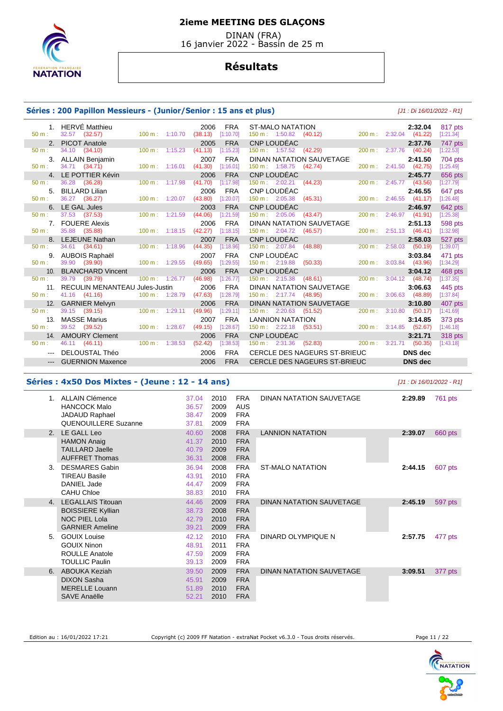

 DINAN (FRA) 16 janvier 2022 - Bassin de 25 m

## **Résultats**

#### **Séries : 200 Papillon Messieurs - (Junior/Senior : 15 ans et plus)** [J1 : Di 16/01/2022 - R1]

|                 | 1. HERVE Matthieu                  |                           | 2006<br><b>FRA</b>               | ST-MALO NATATION 2:32.04<br>150 m : 1:50.82 (40.12) 200 m : 2:32.04 (41.22)                                                                         |                        |                | 817 pts   |
|-----------------|------------------------------------|---------------------------|----------------------------------|-----------------------------------------------------------------------------------------------------------------------------------------------------|------------------------|----------------|-----------|
| 50 m:           | 32.57 (32.57)                      |                           | 100 m: 1:10.70 (38.13) [1:10.70] |                                                                                                                                                     |                        |                | [1:21.34] |
|                 | 2. PICOT Anatole                   |                           | 2005<br><b>FRA</b>               | CNP LOUDEAC                                                                                                                                         |                        | 2:37.76        | 747 pts   |
| 50 m:           | 34.10 (34.10)                      | 100 m: 1:15.23            | (41.13)<br>[1:15.23]             | $150 \text{ m}: 1:57.52$ (42.29)                                                                                                                    | 200 m: 2:37.76 (40.24) |                | [1:22.53] |
|                 | 3. ALLAIN Benjamin                 |                           | <b>FRA</b><br>2007               | DINAN NATATION SAUVETAGE                                                                                                                            |                        | 2:41.50        | 704 pts   |
| $50 m$ :        | 34.71 (34.71)                      | $100 \text{ m}$ : 1:16.01 | (41.30)<br>[1:16.01]             | $150 \text{ m}: 1:58.75$ (42.74)                                                                                                                    | 200 m: 2:41.50 (42.75) |                | [1:25.49] |
|                 | 4. LE POTTIER Kévin                |                           | <b>FRA</b><br>2006               | CNP LOUDEAC                                                                                                                                         |                        | 2:45.77        | 656 pts   |
| $50 m$ :        | 36.28 (36.28)                      | 100 m: 1:17.98            | (41.70)<br>[1:17.98]             | 150 m : 2:02.21 (44.23)                                                                                                                             | 200 m: 2:45.77 (43.56) |                | [1:27.79] |
| 5.              | <b>BILLARD Lilian</b>              |                           | <b>FRA</b><br>2006               |                                                                                                                                                     |                        | 2:46.55        | 647 pts   |
| 50 m:           | 36.27 (36.27)                      | $100 m$ : 1:20.07         | (43.80)<br>[1:20.07]             |                                                                                                                                                     | 200 m: 2:46.55 (41.17) |                | [1:26.48] |
|                 | 6. LE GAL Jules                    |                           | <b>FRA</b><br>2003               | $\frac{150 \text{ m}}{150 \text{ m}}$ : 2:05.38 (45.31)<br>CNP LOUDÉAC                                                                              |                        | 2:46.97        | 642 pts   |
| $50 m$ :        | 37.53 (37.53)                      | $100 m$ : 1:21.59         | [1:21.59]<br>(44.06)             | $150 \text{ m}: \quad 2:05.06 \quad (43.47)$                                                                                                        | 200 m: 2:46.97 (41.91) |                | [1:25.38] |
|                 | 7. FOUERE Alexis                   |                           | 2006<br><b>FRA</b>               | DINAN NATATION SAUVETAGE                                                                                                                            |                        | 2:51.13        | 598 pts   |
| $50 m$ :        | 35.88 (35.88)                      | 100 m: 1:18.15            | (42.27)<br>[1:18.15]             | 150 m : 2:04.72 (46.57)                                                                                                                             | 200 m: 2:51.13 (46.41) |                | [1:32.98] |
|                 | 8. LEJEUNE Nathan                  |                           | <b>FRA</b><br>2007               | CNP LOUDÉAC<br>150 m : 2:07.84 (48.88)                                                                                                              |                        | 2:58.03        | 527 pts   |
| 50 m:           | 34.61 (34.61)                      | $100 \text{ m}$ : 1:18.96 | (44.35)<br>[1:18.96]             |                                                                                                                                                     | 200 m: 2:58.03 (50.19) |                | [1:39.07] |
| 9.              | AUBOIS Raphaël                     |                           | 2007<br><b>FRA</b>               | CNP LOUDÉAC                                                                                                                                         |                        | 3:03.84        | 471 pts   |
| 50 m:           | 39.90 (39.90) 100 m : 1:29.55      |                           | (49.65)<br>[1:29.55]             |                                                                                                                                                     | 200 m: 3:03.84 (43.96) |                | [1:34.29] |
| 10 <sub>1</sub> | <b>BLANCHARD Vincent</b>           |                           | <b>FRA</b><br>2006               | $\frac{150 \text{ m}}{2.19.88}$ (50.33)<br>CNP LOUDÉAC                                                                                              |                        | 3:04.12        | 468 pts   |
| 50 m:           | 39.79 (39.79)                      | $100 m$ : 1:26.77         | (46.98)<br>[1:26.77]             | $150 \text{ m}: \quad 2:15.38 \quad (48.61)$                                                                                                        | 200 m: 3:04.12 (48.74) |                | [1:37.35] |
|                 | 11. RECULIN MENANTEAU Jules-Justin |                           | 2006<br><b>FRA</b>               | DINAN NATATION SAUVETAGE                                                                                                                            |                        | 3:06.63        | 445 pts   |
| 50 m:           | 41.16 (41.16)                      | $100 \text{ m}$ : 1:28.79 | (47.63)<br>[1:28.79]             | 150 m: 2:17.74 (48.95)                                                                                                                              | 200 m: 3:06.63 (48.89) |                | [1:37.84] |
|                 | 12. GARNIER Melvyn                 |                           | <b>FRA</b><br>2006               | DINAN NATATION SAUVETAGE                                                                                                                            |                        | 3:10.80        | 407 pts   |
| 50 m:           | 39.15 (39.15)                      | $100 \text{ m}$ : 1:29.11 | (49.96)<br>[1:29.11]             | $150 \text{ m}: 2:20.63$ (51.52)                                                                                                                    | 200 m: 3:10.80 (50.17) |                | [1:41.69] |
| 13.             | MASSE Marius                       |                           | <b>FRA</b><br>2007               |                                                                                                                                                     |                        |                | 373 pts   |
| $50 m$ :        | 39.52 (39.52) 100 m : 1:28.67      |                           | (49.15)<br>[1:28.67]             |                                                                                                                                                     |                        |                | [1:46.18] |
|                 | 14. AMOURY Clement                 |                           | <b>FRA</b><br>2006               | $\frac{150 \text{ m}}{150 \text{ m}}$ : 2.20.00 (0.00)<br>LANNION NATATION<br>150 m: 2:22.18 (53.51) 200 m: 3:14.85 (52.67)<br>CND LOUDÉAC: 3:21.71 |                        |                | 318 pts   |
| 50 m:           | 46.11 (46.11)                      | $100 \text{ m}$ : 1:38.53 | (52.42)<br>[1:38.53]             | $(52.83)$ 200 m : 3:21.71 (50.35)<br>$150 \text{ m}: 2:31.36$                                                                                       |                        |                | [1:43.18] |
|                 | DELOUSTAL Théo                     |                           | <b>FRA</b><br>2006               | CERCLE DES NAGEURS ST-BRIEUC                                                                                                                        |                        | <b>DNS</b> dec |           |
|                 | --- GUERNION Maxence               |                           | <b>FRA</b><br>2006               | CERCLE DES NAGEURS ST-BRIEUC                                                                                                                        |                        | <b>DNS</b> dec |           |
|                 |                                    |                           |                                  |                                                                                                                                                     |                        |                |           |

#### **Séries : 4x50 Dos Mixtes - (Jeune : 12 - 14 ans)** [J1 : Di 16/01/2022 - R1]

 1. ALLAIN Clémence HANCOCK Malo JADAUD Raphael QUENOUILLERE Suzanne 37.04 36.57 38.47 37.81 2010 2009 2009 2009 FRA AUS FRA FRA DINAN NATATION SAUVETAGE **2:29.89** 761 pts 2. LE GALL Leo HAMON Anaig TAILLARD Jaelle AUFFRET Thomas 40.60 41.37 40.79 36.31 2008 2010 2009 2008 FRA FRA FRA FRA LANNION NATATION **2:39.07** 660 pts 3. DESMARES Gabin TIREAU Basile DANIEL Jade CAHU Chloe 36.94 43.91 44.47 38.83 2008 2010 2009 2010 FRA FRA FRA FRA ST-MALO NATATION **2:44.15** 607 pts 4. LEGALLAIS Titouan BOISSIERE Kyllian NOC PIEL Lola GARNIER Ameline 44.46 38.73 42.79 39.21 2009 2008 2010 2009 FRA FRA FRA FRA DINAN NATATION SAUVETAGE **2:45.19** 597 pts 5. GOUIX Louise GOUIX Ninon ROULLE Anatole TOULLIC Paulin 42.12 48.91 47.59 39.13 2010 2011 2009 2009 FRA FRA FRA FRA DINARD OLYMPIQUE N **2:57.75** 477 pts 6. ABOUKA Keziah DIXON Sasha MERELLE Louann SAVE Anaëlle 39.50 45.91 51.89 52.21 2009 2009 2010 2010 FRA FRA FRA FRA DINAN NATATION SAUVETAGE **3:09.51** 377 pts

Edition au : 16/01/2022 17:21 Copyright (c) 2009 FF Natation - extraNat Pocket v6.3.0 - Tous droits réservés. Page 11 / 22

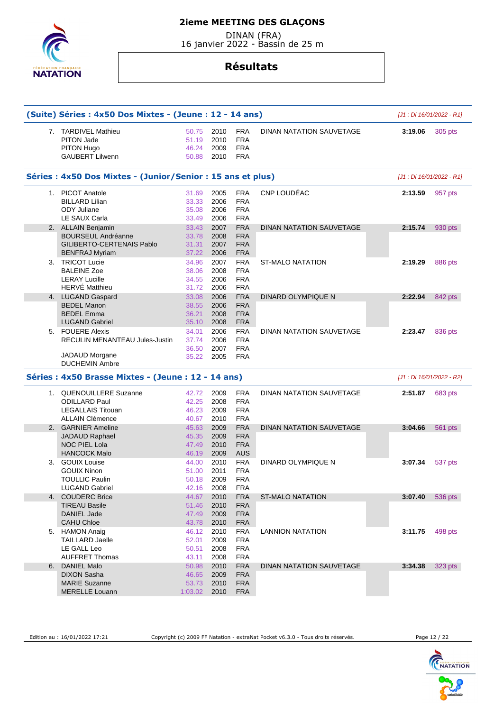DINAN (FRA) 16 janvier 2022 - Bassin de 25 m



# **Résultats**

|    | (Suite) Séries : 4x50 Dos Mixtes - (Jeune : 12 - 14 ans)                         |                                  |                              |                                                      |                                 | [J1 : Di 16/01/2022 - R1] |         |
|----|----------------------------------------------------------------------------------|----------------------------------|------------------------------|------------------------------------------------------|---------------------------------|---------------------------|---------|
|    | 7. TARDIVEL Mathieu<br><b>PITON Jade</b><br>PITON Hugo<br><b>GAUBERT Lilwenn</b> | 50.75<br>51.19<br>46.24<br>50.88 | 2010<br>2010<br>2009<br>2010 | <b>FRA</b><br><b>FRA</b><br><b>FRA</b><br><b>FRA</b> | DINAN NATATION SAUVETAGE        | 3:19.06                   | 305 pts |
|    | Séries : 4x50 Dos Mixtes - (Junior/Senior : 15 ans et plus)                      |                                  |                              |                                                      |                                 | [J1 : Di 16/01/2022 - R1] |         |
|    | 1. PICOT Anatole                                                                 | 31.69                            | 2005                         | <b>FRA</b>                                           | CNP LOUDÉAC                     | 2:13.59                   | 957 pts |
|    | <b>BILLARD Lilian</b>                                                            | 33.33                            | 2006                         | <b>FRA</b>                                           |                                 |                           |         |
|    | <b>ODY Juliane</b>                                                               | 35.08                            | 2006                         | <b>FRA</b><br><b>FRA</b>                             |                                 |                           |         |
|    | LE SAUX Carla<br>2. ALLAIN Benjamin                                              | 33.49<br>33.43                   | 2006<br>2007                 | <b>FRA</b>                                           | <b>DINAN NATATION SAUVETAGE</b> | 2:15.74                   | 930 pts |
|    | <b>BOURSEUL Andréanne</b>                                                        | 33.78                            | 2008                         | <b>FRA</b>                                           |                                 |                           |         |
|    | GILIBERTO-CERTENAIS Pablo                                                        | 31.31                            | 2007                         | <b>FRA</b>                                           |                                 |                           |         |
|    | <b>BENFRAJ Myriam</b>                                                            | 37.22                            | 2006                         | <b>FRA</b>                                           |                                 |                           |         |
| 3. | <b>TRICOT Lucie</b>                                                              | 34.96                            | 2007                         | <b>FRA</b>                                           | <b>ST-MALO NATATION</b>         | 2:19.29                   | 886 pts |
|    | <b>BALEINE Zoe</b>                                                               | 38.06                            | 2008                         | <b>FRA</b>                                           |                                 |                           |         |
|    | <b>LERAY Lucille</b>                                                             | 34.55                            | 2006                         | <b>FRA</b>                                           |                                 |                           |         |
|    | <b>HERVÉ Matthieu</b>                                                            | 31.72                            | 2006                         | <b>FRA</b>                                           |                                 |                           |         |
|    | 4. LUGAND Gaspard                                                                | 33.08                            | 2006                         | <b>FRA</b>                                           | DINARD OLYMPIQUE N              | 2:22.94                   | 842 pts |
|    | <b>BEDEL Manon</b>                                                               | 38.55<br>36.21                   | 2006                         | <b>FRA</b>                                           |                                 |                           |         |
|    | <b>BEDEL Emma</b><br><b>LUGAND Gabriel</b>                                       | 35.10                            | 2008<br>2008                 | <b>FRA</b><br><b>FRA</b>                             |                                 |                           |         |
|    | 5. FOUERE Alexis                                                                 | 34.01                            | 2006                         | <b>FRA</b>                                           | DINAN NATATION SAUVETAGE        | 2:23.47                   | 836 pts |
|    | <b>RECULIN MENANTEAU Jules-Justin</b>                                            | 37.74                            | 2006                         | <b>FRA</b>                                           |                                 |                           |         |
|    |                                                                                  | 36.50                            | 2007                         | <b>FRA</b>                                           |                                 |                           |         |
|    | <b>JADAUD Morgane</b>                                                            | 35.22                            | 2005                         | <b>FRA</b>                                           |                                 |                           |         |
|    | <b>DUCHEMIN Ambre</b>                                                            |                                  |                              |                                                      |                                 |                           |         |
|    | Séries : 4x50 Brasse Mixtes - (Jeune : 12 - 14 ans)                              |                                  |                              |                                                      |                                 | [J1 : Di 16/01/2022 - R2] |         |
|    | 1. QUENOUILLERE Suzanne                                                          | 42.72                            | 2009                         | <b>FRA</b>                                           | DINAN NATATION SAUVETAGE        | 2:51.87                   | 683 pts |
|    | <b>ODILLARD Paul</b>                                                             | 42.25                            | 2008                         | <b>FRA</b>                                           |                                 |                           |         |
|    | <b>LEGALLAIS Titouan</b><br><b>ALLAIN Clémence</b>                               | 46.23                            | 2009                         | <b>FRA</b><br><b>FRA</b>                             |                                 |                           |         |
|    | 2. GARNIER Ameline                                                               | 40.67<br>45.63                   | 2010<br>2009                 | <b>FRA</b>                                           | DINAN NATATION SAUVETAGE        | 3:04.66                   |         |
|    | JADAUD Raphael                                                                   | 45.35                            | 2009                         | <b>FRA</b>                                           |                                 |                           | 561 pts |
|    | <b>NOC PIEL Lola</b>                                                             | 47.49                            | 2010                         | <b>FRA</b>                                           |                                 |                           |         |
|    | <b>HANCOCK Malo</b>                                                              | 46.19                            | 2009                         | <b>AUS</b>                                           |                                 |                           |         |
| 3. | <b>GOUIX Louise</b>                                                              | 44.00                            | 2010                         | <b>FRA</b>                                           | DINARD OLYMPIQUE N              | 3:07.34                   | 537 pts |
|    | <b>GOUIX Ninon</b>                                                               | 51.00                            | 2011                         | <b>FRA</b>                                           |                                 |                           |         |
|    | <b>TOULLIC Paulin</b>                                                            | 50.18                            | 2009                         | <b>FRA</b>                                           |                                 |                           |         |
|    |                                                                                  |                                  |                              |                                                      |                                 |                           |         |
|    | LUGAND Gabriel                                                                   | 42.16                            | 2008                         | FRA                                                  |                                 |                           |         |
|    | 4. COUDERC Brice                                                                 | 44.67                            | 2010                         | <b>FRA</b>                                           | ST-MALO NATATION                | 3:07.40                   |         |
|    | <b>TIREAU Basile</b>                                                             | 51.46                            | 2010                         | <b>FRA</b>                                           |                                 |                           |         |
|    | <b>DANIEL Jade</b>                                                               | 47.49                            | 2009                         | <b>FRA</b>                                           |                                 |                           |         |
|    | <b>CAHU Chloe</b>                                                                | 43.78                            | 2010                         | <b>FRA</b>                                           |                                 |                           | 536 pts |
|    | 5. HAMON Anaig                                                                   | 46.12                            | 2010                         | <b>FRA</b>                                           | <b>LANNION NATATION</b>         | 3:11.75                   | 498 pts |
|    | <b>TAILLARD Jaelle</b>                                                           | 52.01                            | 2009                         | <b>FRA</b>                                           |                                 |                           |         |
|    | LE GALL Leo<br><b>AUFFRET Thomas</b>                                             | 50.51<br>43.11                   | 2008<br>2008                 | <b>FRA</b><br><b>FRA</b>                             |                                 |                           |         |
| 6. | <b>DANIEL Malo</b>                                                               | 50.98                            | 2010                         | <b>FRA</b>                                           | DINAN NATATION SAUVETAGE        | 3:34.38                   |         |
|    | <b>DIXON Sasha</b>                                                               | 46.65                            | 2009                         | <b>FRA</b>                                           |                                 |                           |         |
|    | <b>MARIE Suzanne</b>                                                             | 53.73                            | 2010                         | <b>FRA</b>                                           |                                 |                           | 323 pts |

Edition au : 16/01/2022 17:21 Copyright (c) 2009 FF Natation - extraNat Pocket v6.3.0 - Tous droits réservés. Page 12 / 22

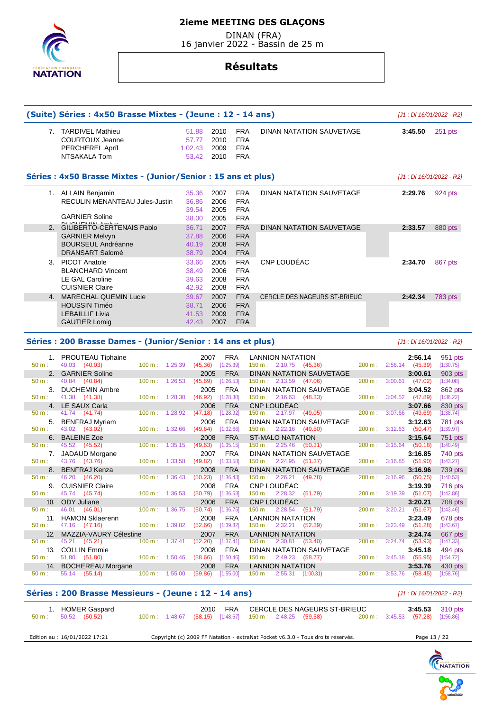DINAN (FRA) 16 janvier 2022 - Bassin de 25 m



# **Résultats**

|                | (Suite) Séries : 4x50 Brasse Mixtes - (Jeune : 12 - 14 ans)                      |        |                          |                                    |                              |                                                      |                                                    |                                     |         |                                    |         | [J1 : Di 16/01/2022 - R2] |
|----------------|----------------------------------------------------------------------------------|--------|--------------------------|------------------------------------|------------------------------|------------------------------------------------------|----------------------------------------------------|-------------------------------------|---------|------------------------------------|---------|---------------------------|
|                | 7. TARDIVEL Mathieu<br><b>COURTOUX Jeanne</b><br>PERCHEREL April<br>NTSAKALA Tom |        |                          | 51.88<br>57.77<br>1:02.43<br>53.42 | 2010<br>2010<br>2009<br>2010 | <b>FRA</b><br><b>FRA</b><br><b>FRA</b><br><b>FRA</b> |                                                    | DINAN NATATION SAUVETAGE            |         | 3:45.50                            |         | $251$ pts                 |
|                | Séries : 4x50 Brasse Mixtes - (Junior/Senior : 15 ans et plus)                   |        |                          |                                    |                              |                                                      |                                                    |                                     |         |                                    |         | [J1 : Di 16/01/2022 - R2] |
|                | 1. ALLAIN Benjamin                                                               |        |                          | 35.36                              | 2007                         | <b>FRA</b>                                           |                                                    | DINAN NATATION SAUVETAGE            |         | 2:29.76                            |         | 924 pts                   |
|                | RECULIN MENANTEAU Jules-Justin                                                   |        |                          | 36.86                              | 2006                         | <b>FRA</b>                                           |                                                    |                                     |         |                                    |         |                           |
|                | <b>GARNIER Soline</b>                                                            |        |                          | 39.54<br>38.00                     | 2005<br>2005                 | <b>FRA</b><br><b>FRA</b>                             |                                                    |                                     |         |                                    |         |                           |
| 2.             | GILIBERTO-CERTENAIS Pablo                                                        |        |                          | 36.71                              | 2007                         | <b>FRA</b>                                           |                                                    | <b>DINAN NATATION SAUVETAGE</b>     |         | 2:33.57                            |         | 880 pts                   |
|                | <b>GARNIER Melvyn</b>                                                            |        |                          | 37.88                              | 2006                         | <b>FRA</b>                                           |                                                    |                                     |         |                                    |         |                           |
|                | <b>BOURSEUL Andréanne</b>                                                        |        |                          | 40.19                              | 2008                         | <b>FRA</b>                                           |                                                    |                                     |         |                                    |         |                           |
|                | <b>DRANSART Salomé</b>                                                           |        |                          | 38.79                              | 2004                         | <b>FRA</b>                                           |                                                    |                                     |         |                                    |         |                           |
| 3.             | <b>PICOT Anatole</b>                                                             |        |                          | 33.66                              | 2005                         | <b>FRA</b>                                           | <b>CNP LOUDEAC</b>                                 |                                     |         | 2:34.70                            |         | 867 pts                   |
|                | <b>BLANCHARD Vincent</b><br>LE GAL Caroline                                      |        |                          | 38.49<br>39.63                     | 2006<br>2008                 | <b>FRA</b><br><b>FRA</b>                             |                                                    |                                     |         |                                    |         |                           |
|                | <b>CUISNIER Claire</b>                                                           |        |                          | 42.92                              | 2008                         | <b>FRA</b>                                           |                                                    |                                     |         |                                    |         |                           |
| 4.             | <b>MARECHAL QUEMIN Lucie</b>                                                     |        |                          | 39.67                              | 2007                         | <b>FRA</b>                                           |                                                    | <b>CERCLE DES NAGEURS ST-BRIEUC</b> |         | 2:42.34                            |         | <b>783 pts</b>            |
|                | <b>HOUSSIN Timéo</b>                                                             |        |                          | 38.71                              | 2006                         | <b>FRA</b>                                           |                                                    |                                     |         |                                    |         |                           |
|                | <b>LEBAILLIF Livia</b>                                                           |        |                          | 41.53                              | 2009                         | <b>FRA</b>                                           |                                                    |                                     |         |                                    |         |                           |
|                | <b>GAUTIER Lomig</b>                                                             |        |                          | 42.43                              | 2007                         | <b>FRA</b>                                           |                                                    |                                     |         |                                    |         |                           |
|                | Séries : 200 Brasse Dames - (Junior/Senior : 14 ans et plus)                     |        |                          |                                    |                              |                                                      |                                                    |                                     |         |                                    |         | [J1 : Di 16/01/2022 - R2] |
| 1.             | <b>PROUTEAU Tiphaine</b>                                                         |        |                          | 2007                               | <b>FRA</b>                   |                                                      | <b>LANNION NATATION</b>                            |                                     |         | 2:56.14                            |         | 951 pts                   |
| 50 m:<br>2.    | 40.03<br>(40.03)<br><b>GARNIER Soline</b>                                        | 100 m: | 1:25.39                  | (45.36)<br>2005                    | [1:25.39]<br><b>FRA</b>      |                                                      | 150 m : 2:10.75 (45.36)                            | DINAN NATATION SAUVETAGE            | 200 m:  | $2:56.14$ (45.39)<br>3:00.61       |         | [1:30.75]<br>903 pts      |
| 50 m:          | 40.84<br>(40.84)                                                                 | 100 m: | 1:26.53                  | (45.69)                            | [1:26.53]                    |                                                      | $150 \text{ m}: 2:13.59$ (47.06)                   |                                     | 200 m:  | $3:00.61$ (47.02)                  |         | [1:34.08]                 |
| 3.             | <b>DUCHEMIN Ambre</b>                                                            |        |                          | 2005                               | <b>FRA</b>                   |                                                      |                                                    | DINAN NATATION SAUVETAGE            |         | 3:04.52                            |         | 862 pts                   |
| $50 m$ :<br>4. | 41.38<br>(41.38)<br>LE SAUX Carla                                                | 100 m: | 1:28.30                  | (46.92)<br>2006                    | [1:28.30]<br><b>FRA</b>      |                                                      | 150 m : 2:16.63 (48.33)<br><b>CNP LOUDEAC</b>      |                                     | 200 m:  | $3:04.52$ (47.89)<br>3:07.66       |         | [1:36.22]                 |
| 50 m:          | 41.74<br>(41.74)                                                                 | 100 m: | 1:28.92                  | (47.18)                            | [1:28.92]                    |                                                      | 150 m: 2:17.97 (49.05)                             |                                     | 200 m:  | 3:07.66<br>(49.69)                 |         | 830 pts<br>[1:38.74]      |
| 5.             | <b>BENFRAJ Myriam</b>                                                            |        |                          | 2006                               | FRA                          |                                                      |                                                    | DINAN NATATION SAUVETAGE            |         | 3:12.63                            |         | 781 pts                   |
| 50 m:          | 43.02 (43.02)                                                                    | 100 m: | 1:32.66                  | (49.64)                            | [1:32.66]                    |                                                      | 150 m: 2:22.16 (49.50)                             |                                     |         | 200 m: 3:12.63 (50.47)             |         | [1:39.97]                 |
| 6.<br>50 m:    | <b>BALEINE Zoe</b><br>45.52<br>(45.52)                                           | 100 m: | 1:35.15                  | 2008<br>(49.63)                    | <b>FRA</b><br>[1:35.15]      |                                                      | <b>ST-MALO NATATION</b><br>150 m: 2:25.46          | (50.31)                             | 200 m:  | 3:15.64<br>3:15.64                 | (50.18) | 751 pts<br>[1:40.49]      |
| 7.             | <b>JADAUD Morgane</b>                                                            |        |                          | 2007                               | <b>FRA</b>                   |                                                      |                                                    | DINAN NATATION SAUVETAGE            |         | 3:16.85                            |         | 740 pts                   |
| 50 m:          | 43.76<br>(43.76)                                                                 | 100 m: | 1:33.58                  | (49.82)                            | [1:33.58]                    |                                                      | $150 \text{ m}$ :                                  | $2:24.95$ (51.37)                   | 200 m:  | $3:16.85$ (51.90)                  |         | [1:43.27]                 |
| 8.<br>50 m:    | <b>BENFRAJ Kenza</b><br>46.20<br>(46.20)                                         | 100 m: | 1:36.43                  | 2008<br>(50.23)                    | <b>FRA</b><br>[1:36.43]      |                                                      | $150 \text{ m}: 2:26.21$                           | DINAN NATATION SAUVETAGE<br>(49.78) |         | 3:16.96<br>200 m : 3:16.96 (50.75) |         | 739 pts<br>[1:40.53]      |
|                | 9. CUISNIER Claire                                                               |        |                          | 2008                               | FRA                          |                                                      | <b>CNP LOUDEAC</b>                                 |                                     |         | 3:19.39                            |         | 716 pts                   |
| 50 m:          | 45.74 (45.74)                                                                    |        | 100 m: 1:36.53           | (50.79)                            | [1:36.53]                    |                                                      | 150 m: 2:28.32 (51.79)                             |                                     |         | 200 m : 3:19.39 (51.07)            |         | [1:42.86]                 |
| 10.            | <b>ODY Juliane</b>                                                               |        |                          | 2006                               | <b>FRA</b>                   |                                                      | CNP LOUDEAC                                        |                                     |         | 3:20.21                            |         | <b>708 pts</b>            |
| 50 m:          | 46.01 (46.01)<br>11. HAMON Sklaerenn                                             |        | $100 \text{ m}: 1:36.75$ | 2008                               | $(50.74)$ [1:36.75]<br>FRA   |                                                      | 150 m : 2:28.54 (51.79)<br><b>LANNION NATATION</b> |                                     |         | 200 m: 3:20.21 (51.67)<br>3:23.49  |         | [1:43.46]<br>678 pts      |
| 50 m:          | 47.16 (47.16)                                                                    |        | 100 m: 1:39.82           | (52.66)                            | [1:39.82]                    |                                                      | 150 m: 2:32.21 (52.39)                             |                                     |         | 200 m : 3:23.49 (51.28)            |         | [1:43.67]                 |
| 12.            | MAZZIA-VAURY Célestine                                                           |        |                          | 2007                               | <b>FRA</b>                   |                                                      | <b>LANNION NATATION</b>                            |                                     |         | 3:24.74                            |         | 667 pts                   |
| 50 m:          | 45.21 (45.21)<br><b>COLLIN Emmie</b>                                             |        | $100 \text{ m}: 1:37.41$ | (52.20)                            | [1:37.41]                    |                                                      | $150 \text{ m}: 2:30.81$                           | (53.40)                             |         | 200 m: 3:24.74<br>(53.93)          |         | [1:47.33]                 |
| 13.<br>50 m:   | 51.80 (51.80)                                                                    |        | 100 m: 1:50.46           | 2008<br>(58.66)                    | <b>FRA</b><br>[1:50.46]      |                                                      | 150 m : 2:49.23 (58.77)                            | DINAN NATATION SAUVETAGE            |         | 3:45.18<br>200 m: 3:45.18 (55.95)  |         | 494 pts<br>[1:54.72]      |
|                | 14. BOCHEREAU Morgane                                                            |        |                          | 2008                               | <b>FRA</b>                   |                                                      | <b>LANNION NATATION</b>                            |                                     |         | 3:53.76                            |         | 430 pts                   |
| $50 m$ :       | 55.14 (55.14)                                                                    | 100 m: | 1:55.00                  | (59.86)                            | [1:55.00]                    |                                                      | $150 \text{ m}: 2:55.31 (1:00.31)$                 |                                     | 200 m : | $3:53.76$ (58.45)                  |         | [1:58.76]                 |
|                | Séries : 200 Brasse Messieurs - (Jeune : 12 - 14 ans)                            |        |                          |                                    |                              |                                                      |                                                    |                                     |         |                                    |         | [J1 : Di 16/01/2022 - R2] |
| $50 m$ :       | 1. HOMER Gaspard<br>50.52 (50.52)                                                |        | $100 \text{ m}: 1:48.67$ | 2010                               | FRA<br>$(58.15)$ [1:48.67]   |                                                      | $150 \text{ m}: 2:48.25 (59.58)$                   | CERCLE DES NAGEURS ST-BRIEUC        |         | 3:45.53<br>200 m : 3:45.53 (57.28) |         | 310 pts<br>[1:56.86]      |
|                |                                                                                  |        |                          |                                    |                              |                                                      |                                                    |                                     |         |                                    |         |                           |

Edition au : 16/01/2022 17:21 Copyright (c) 2009 FF Natation - extraNat Pocket v6.3.0 - Tous droits réservés. Page 13 / 22

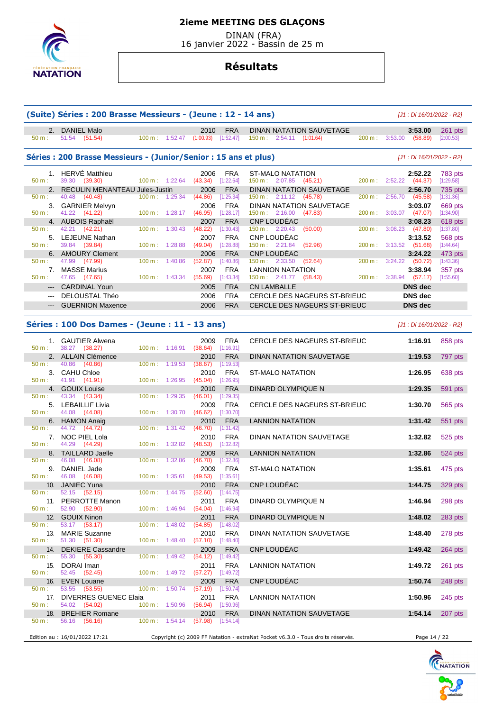

 DINAN (FRA) 16 janvier 2022 - Bassin de 25 m

# **Résultats**

|                                                                                                                                                                                                                                                                                                                                                                                                                                                                            | (Suite) Séries : 200 Brasse Messieurs - (Jeune : 12 - 14 ans)           |                   |                          |                                            |                           |                                                                                         |        | [J1 : Di 16/01/2022 - R2]               |                             |
|----------------------------------------------------------------------------------------------------------------------------------------------------------------------------------------------------------------------------------------------------------------------------------------------------------------------------------------------------------------------------------------------------------------------------------------------------------------------------|-------------------------------------------------------------------------|-------------------|--------------------------|--------------------------------------------|---------------------------|-----------------------------------------------------------------------------------------|--------|-----------------------------------------|-----------------------------|
| 2.<br>50 m:                                                                                                                                                                                                                                                                                                                                                                                                                                                                | <b>DANIEL Malo</b><br>51.54 (51.54)                                     |                   |                          | 2010<br>100 m: 1:52.47 (1:00.93) [1:52.47] | <b>FRA</b>                | DINAN NATATION SAUVETAGE<br>$150 \text{ m}: 2:54.11$ $(1:01.64)$                        |        | 3:53.00<br>200 m: 3:53.00 (58.89)       | $261$ pts<br>[2:00.53]      |
|                                                                                                                                                                                                                                                                                                                                                                                                                                                                            | Séries : 200 Brasse Messieurs - (Junior/Senior : 15 ans et plus)        |                   |                          |                                            |                           |                                                                                         |        | [J1 : Di 16/01/2022 - R2]               |                             |
| 50 m:                                                                                                                                                                                                                                                                                                                                                                                                                                                                      | 1. HERVE Matthieu<br>39.30 (39.30)<br>2. RECULIN MENANTEAU Jules-Justin | $100 m$ : 1:22.64 |                          | 2006<br>$(43.34)$ [1:22.64]<br>2006        | <b>FRA</b><br><b>FRA</b>  | <b>ST-MALO NATATION</b><br>$150 \text{ m}: 2:07.85$ (45.21)<br>DINAN NATATION SAUVETAGE | 200 m: | 2:52.22<br>$2:52.22$ (44.37)<br>2:56.70 | <b>783 pts</b><br>[1:29.58] |
| 50 m:                                                                                                                                                                                                                                                                                                                                                                                                                                                                      | 40.48<br>(40.48)                                                        | 100 m: 1:25.34    |                          | (44.86)                                    | [1:25.34]                 | 150 m: 2:11.12 (45.78)                                                                  | 200 m: | 2:56.70 (45.58)                         | 735 pts<br>[1:31.36]        |
| 50 m:                                                                                                                                                                                                                                                                                                                                                                                                                                                                      | 3. GARNIER Melvyn<br>41.22 (41.22)                                      | 100 m: 1:28.17    |                          | 2006<br>(46.95)                            | <b>FRA</b><br>[1:28.17]   | DINAN NATATION SAUVETAGE<br>$150 \text{ m}: 2:16.00 \quad (47.83)$<br>CNP LOUDEAC       | 200 m: | 3:03.07<br>$3:03.07$ (47.07)            | 669 pts<br>[1:34.90]        |
| 50 m:                                                                                                                                                                                                                                                                                                                                                                                                                                                                      | 4. AUBOIS Raphaël<br>42.21<br>(42.21)                                   | 100 m:            | 1:30.43                  | 2007<br>(48.22)                            | <b>FRA</b><br>[1:30.43]   | 150 m : 2:20.43 (50.00)                                                                 | 200 m: | 3:08.23<br>$3:08.23$ (47.80)            | $618$ pts<br>[1:37.80]      |
| 50 m:                                                                                                                                                                                                                                                                                                                                                                                                                                                                      | 5. LEJEUNE Nathan<br>39.84 (39.84)                                      | 100 m: 1:28.88    |                          | 2007<br>(49.04)                            | <b>FRA</b><br>[1:28.88]   | CNP LOUDÉAC<br>$150 \text{ m}: 2:21.84$ (52.96)                                         |        | 3:13.52<br>200 m: 3:13.52 (51.68)       | 568 pts<br>[1:44.64]        |
| 50 m:                                                                                                                                                                                                                                                                                                                                                                                                                                                                      | 6. AMOURY Clement<br>47.99 (47.99)                                      | 100 m:            | 1:40.86                  | 2006<br>(52.87)                            | <b>FRA</b><br>[1:40.86]   | CNP LOUDÉAC<br>150 m: 2:33.50<br>(52.64)                                                | 200 m: | 3:24.22<br>$3:24.22$ (50.72)            | 473 pts<br>[1:43.36]        |
| 7.<br>50 m:                                                                                                                                                                                                                                                                                                                                                                                                                                                                | <b>MASSE Marius</b><br>47.65 (47.65)                                    |                   | $100 m$ : 1:43.34        | 2007<br>(55.69)                            | <b>FRA</b><br>[1:43.34]   | <b>LANNION NATATION</b><br>150 m : 2:41.77 (58.43)                                      |        | 3:38.94<br>200 m: 3:38.94 (57.17)       | 357 pts<br>[1:55.60]        |
| $\cdots$                                                                                                                                                                                                                                                                                                                                                                                                                                                                   | <b>CARDINAL Youn</b>                                                    |                   |                          | 2005                                       | <b>FRA</b>                | <b>CN LAMBALLE</b>                                                                      |        | <b>DNS</b> dec                          |                             |
| $\frac{1}{2} \left( \frac{1}{2} \right) \left( \frac{1}{2} \right) \left( \frac{1}{2} \right) \left( \frac{1}{2} \right) \left( \frac{1}{2} \right) \left( \frac{1}{2} \right) \left( \frac{1}{2} \right) \left( \frac{1}{2} \right) \left( \frac{1}{2} \right) \left( \frac{1}{2} \right) \left( \frac{1}{2} \right) \left( \frac{1}{2} \right) \left( \frac{1}{2} \right) \left( \frac{1}{2} \right) \left( \frac{1}{2} \right) \left( \frac{1}{2} \right) \left( \frac$ | DELOUSTAL Théo<br><b>GUERNION Maxence</b>                               |                   |                          | 2006<br>2006                               | <b>FRA</b><br><b>FRA</b>  | CERCLE DES NAGEURS ST-BRIEUC<br>CERCLE DES NAGEURS ST-BRIEUC                            |        | <b>DNS</b> dec<br><b>DNS</b> dec        |                             |
|                                                                                                                                                                                                                                                                                                                                                                                                                                                                            |                                                                         |                   |                          |                                            |                           |                                                                                         |        |                                         |                             |
|                                                                                                                                                                                                                                                                                                                                                                                                                                                                            | Séries : 100 Dos Dames - (Jeune : 11 - 13 ans)                          |                   |                          |                                            |                           |                                                                                         |        | [J1 : Di 16/01/2022 - R2]               |                             |
| 50 m:                                                                                                                                                                                                                                                                                                                                                                                                                                                                      | 1. GAUTIER Alwena<br>38.27 (38.27)                                      | 100 m: 1:16.91    |                          | 2009<br>(38.64)                            | <b>FRA</b><br>[1:16.91]   | CERCLE DES NAGEURS ST-BRIEUC                                                            |        | 1:16.91                                 | 858 pts                     |
| 50 m:                                                                                                                                                                                                                                                                                                                                                                                                                                                                      | 2. ALLAIN Clémence<br>40.86<br>(40.86)                                  | 100 m: 1:19.53    |                          | 2010<br>(38.67)                            | <b>FRA</b><br>[1:19.53]   | DINAN NATATION SAUVETAGE                                                                |        | 1:19.53                                 | 797 pts                     |
| $50 m$ :                                                                                                                                                                                                                                                                                                                                                                                                                                                                   | 3. CAHU Chloe<br>41.91<br>(41.91)                                       | 100 m: 1:26.95    |                          | 2010<br>(45.04)                            | <b>FRA</b><br>[1:26.95]   | ST-MALO NATATION                                                                        |        | 1:26.95                                 | 638 pts                     |
| 4.<br>50 m:                                                                                                                                                                                                                                                                                                                                                                                                                                                                | <b>GOUIX Louise</b><br>43.34 (43.34)                                    | 100 m:            | 1:29.35                  | 2010<br>(46.01)                            | <b>FRA</b><br>[1:29.35]   | DINARD OLYMPIQUE N                                                                      |        | 1:29.35                                 | 591 pts                     |
| 50 m:                                                                                                                                                                                                                                                                                                                                                                                                                                                                      | 5. LEBAILLIF Livia<br>44.08<br>(44.08)                                  | 100 m:            | 1:30.70                  | 2009<br>(46.62)                            | <b>FRA</b><br>[1:30.70]   | CERCLE DES NAGEURS ST-BRIEUC                                                            |        | 1:30.70                                 | 565 pts                     |
|                                                                                                                                                                                                                                                                                                                                                                                                                                                                            | 6. HAMON Anaig                                                          |                   |                          | 2010                                       | <b>FRA</b>                | <b>LANNION NATATION</b>                                                                 |        | 1:31.42                                 | 551 pts                     |
| 50 m:<br>7.<br>50 m:                                                                                                                                                                                                                                                                                                                                                                                                                                                       | 44.72<br>(44.72)<br>NOC PIEL Lola<br>44.29<br>(44.29)                   | 100 m:<br>100 m:  | 1:31.42<br>1:32.82       | (46.70)<br>2010<br>$(48.53)$ [1:32.82]     | $[1:31.42]$<br><b>FRA</b> | DINAN NATATION SAUVETAGE                                                                |        | 1:32.82                                 | 525 pts                     |
| 8.<br>50 m:                                                                                                                                                                                                                                                                                                                                                                                                                                                                | <b>TAILLARD Jaelle</b><br>46.08<br>(46.08)                              | $100 \text{ m}$ : | 1:32.86                  | 2009<br>(46.78)                            | <b>FRA</b><br>[1:32.86]   | <b>LANNION NATATION</b>                                                                 |        | 1:32.86                                 | 524 pts                     |
| 50 m:                                                                                                                                                                                                                                                                                                                                                                                                                                                                      | 9. DANIEL Jade<br>46.08<br>(46.08)                                      | 100 m: 1:35.61    |                          | 2009<br>(49.53)                            | <b>FRA</b><br>[1:35.61]   | <b>ST-MALO NATATION</b>                                                                 |        | 1:35.61                                 | 475 pts                     |
|                                                                                                                                                                                                                                                                                                                                                                                                                                                                            | 10. JANIEC Yuna                                                         |                   | 100 m: 1:44.75           | 2010<br>$(52.60)$ [1:44.75]                | <b>FRA</b>                | CNP LOUDÉAC                                                                             |        | 1:44.75                                 | 329 pts                     |
| 50 m:<br>50 m:                                                                                                                                                                                                                                                                                                                                                                                                                                                             | 52.15 (52.15)<br>11. PERROTTE Manon<br>52.90 (52.90)                    |                   | $100 m$ : 1:46.94        | 2011<br>$(54.04)$ [1:46.94]                | FRA                       | DINARD OLYMPIQUE N                                                                      |        | 1:46.94                                 | 298 pts                     |
| $50 m$ :                                                                                                                                                                                                                                                                                                                                                                                                                                                                   | 12. GOUIX Ninon                                                         | $100 \text{ m}$ : | 1:48.02                  | 2011<br>$(54.85)$ [1:48.02]                | <b>FRA</b>                | DINARD OLYMPIQUE N                                                                      |        | 1:48.02                                 | 283 pts                     |
| 13.<br>50 m:                                                                                                                                                                                                                                                                                                                                                                                                                                                               | 53.17 (53.17)<br><b>MARIE Suzanne</b><br>51.30 (51.30)                  |                   | $100 m$ : 1:48.40        | 2010<br>$(57.10)$ [1:48.40]                | <b>FRA</b>                | DINAN NATATION SAUVETAGE                                                                |        | 1:48.40                                 | 278 pts                     |
| $50 m$ :                                                                                                                                                                                                                                                                                                                                                                                                                                                                   | 14. DEKIERE Cassandre<br>55.30<br>(55.30)                               |                   | $100 \text{ m}: 1:49.42$ | 2009<br>(54.12)                            | <b>FRA</b><br>[1:49.42]   | CNP LOUDÉAC                                                                             |        | 1:49.42                                 | $264$ pts                   |
| 50 m:                                                                                                                                                                                                                                                                                                                                                                                                                                                                      | 15. DORAI Iman<br>52.45<br>(52.45)                                      |                   | 100 m: 1:49.72           | 2011<br>(57.27)                            | FRA<br>[1:49.72]          | <b>LANNION NATATION</b>                                                                 |        | 1:49.72                                 | $261$ pts                   |
| $50 m$ :                                                                                                                                                                                                                                                                                                                                                                                                                                                                   | 16. EVEN Louane<br>53.55 (53.55)                                        | $100 \text{ m}$ : | 1:50.74                  | 2009<br>$(57.19)$ [1:50.74]                | <b>FRA</b>                | CNP LOUDÉAC                                                                             |        | 1:50.74                                 | 248 pts                     |
| 17.<br>50 m:                                                                                                                                                                                                                                                                                                                                                                                                                                                               | <b>DIVERRES GUENEC Elaia</b><br>54.02 (54.02)                           |                   | 100 m: 1:50.96           | 2011<br>$(56.94)$ [1:50.96]                | FRA                       | LANNION NATATION                                                                        |        | 1:50.96                                 | 245 pts                     |
| 18.<br>$50 m$ :                                                                                                                                                                                                                                                                                                                                                                                                                                                            | <b>BREHIER Romane</b><br>56.16 (56.16)                                  |                   | $100 \text{ m}: 1:54.14$ | 2010<br>$(57.98)$ [1:54.14]                | <b>FRA</b>                | DINAN NATATION SAUVETAGE                                                                |        | 1:54.14                                 | 207 pts                     |
|                                                                                                                                                                                                                                                                                                                                                                                                                                                                            | Edition au : 16/01/2022 17:21                                           |                   |                          |                                            |                           | Copyright (c) 2009 FF Natation - extraNat Pocket v6.3.0 - Tous droits réservés.         |        | Page 14 / 22                            |                             |

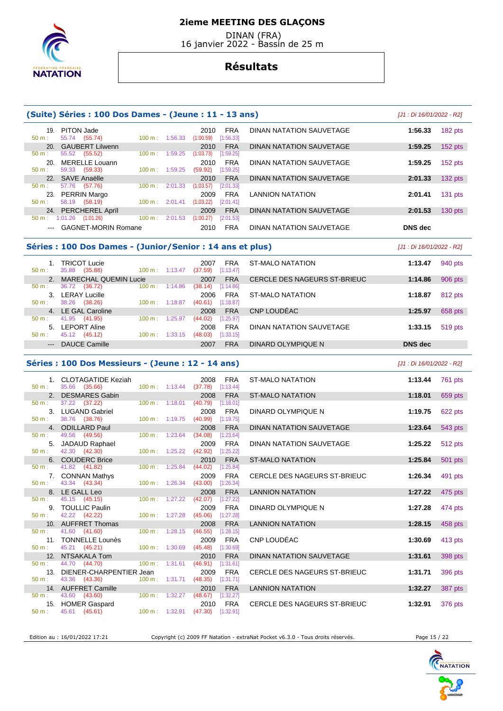# **NATATION**

## **2ieme MEETING DES GLAÇONS**

 DINAN (FRA) 16 janvier 2022 - Bassin de 25 m

## **Résultats**

| PITON Jade<br><b>FRA</b><br>1:56.33<br>DINAN NATATION SAUVETAGE<br>19.<br>2010<br>55.74 (55.74)<br>1:56.33<br>(1:00.59)<br>[1:56.33]<br>$50 m$ :<br>100 m:<br><b>GAUBERT Lilwenn</b><br><b>FRA</b><br><b>DINAN NATATION SAUVETAGE</b><br>1:59.25<br>2010<br>20.<br>55.52 (55.52)<br>100 m:<br>1:59.25<br>$50 m$ :<br>(1:03.73)<br>[1:59.25]<br>MERELLE Louann<br><b>FRA</b><br>DINAN NATATION SAUVETAGE<br>1:59.25<br>20<br>2010<br>59.33 (59.33)<br>(59.92)<br>$50 m$ :<br>$100 \text{ m}$ :<br>1:59.25<br>[1:59.25] | 182 pts<br>$152$ pts |
|-----------------------------------------------------------------------------------------------------------------------------------------------------------------------------------------------------------------------------------------------------------------------------------------------------------------------------------------------------------------------------------------------------------------------------------------------------------------------------------------------------------------------|----------------------|
|                                                                                                                                                                                                                                                                                                                                                                                                                                                                                                                       |                      |
|                                                                                                                                                                                                                                                                                                                                                                                                                                                                                                                       |                      |
|                                                                                                                                                                                                                                                                                                                                                                                                                                                                                                                       |                      |
|                                                                                                                                                                                                                                                                                                                                                                                                                                                                                                                       | $152$ pts            |
|                                                                                                                                                                                                                                                                                                                                                                                                                                                                                                                       |                      |
| 22. SAVE Anaëlle<br><b>DINAN NATATION SAUVETAGE</b><br><b>FRA</b><br>2:01.33<br>2010                                                                                                                                                                                                                                                                                                                                                                                                                                  | $132$ pts            |
| 57.76 (57.76)<br>100 m:<br>2:01.33<br>(1:03.57)<br>[2:01.33]<br>$50 m$ :                                                                                                                                                                                                                                                                                                                                                                                                                                              |                      |
| <b>FRA</b><br>PERRIN Margo<br><b>LANNION NATATION</b><br>2009<br>2:01.41<br>23.                                                                                                                                                                                                                                                                                                                                                                                                                                       | $131$ pts            |
| 58.19 (58.19)<br>2:01.41<br>$50 m$ :<br>100 m:<br>(1:03.22)<br>[2:01.41]                                                                                                                                                                                                                                                                                                                                                                                                                                              |                      |
| 24. PERCHEREL April<br><b>FRA</b><br><b>DINAN NATATION SAUVETAGE</b><br>2:01.53<br>2009                                                                                                                                                                                                                                                                                                                                                                                                                               | $130$ pts            |
| $1:01.26$ $(1:01.26)$<br>100 m:<br>2:01.53<br>(1:00.27)<br>[2:01.53]<br>$50 m$ :                                                                                                                                                                                                                                                                                                                                                                                                                                      |                      |
| --- GAGNET-MORIN Romane<br><b>FRA</b><br>DINAN NATATION SAUVETAGE<br>DNS dec<br>2010                                                                                                                                                                                                                                                                                                                                                                                                                                  |                      |

## **Séries : 100 Dos Dames - (Junior/Senior : 14 ans et plus)** [J1 : Di 16/01/2022 - R2]

| $50 m$ :               | <b>TRICOT Lucie</b><br>(35.88)<br>35.88 | $100 \text{ m}$ : 1:13.47    | 2007<br>(37.59) | <b>FRA</b><br>[1:13.47] | ST-MALO NATATION             | 1:13.47        | 940 pts |
|------------------------|-----------------------------------------|------------------------------|-----------------|-------------------------|------------------------------|----------------|---------|
|                        | MARECHAL QUEMIN Lucie                   |                              | 2007            | <b>FRA</b>              | CERCLE DES NAGEURS ST-BRIEUC | 1:14.86        | 906 pts |
| $50 m$ :               | 36.72<br>(36.72)                        | $100 \text{ m}$ :<br>1:14.86 | (38.14)         | [1:14.86]               |                              |                |         |
|                        | <b>LERAY Lucille</b>                    |                              | 2006            | <b>FRA</b>              | ST-MALO NATATION             | 1:18.87        | 812 pts |
| $50 m$ :               | (38.26)<br>38.26                        | $100 \text{ m}$ : 1:18.87    | (40.61)         | [1:18.87]               |                              |                |         |
|                        | 4. LE GAL Caroline                      |                              | 2008            | <b>FRA</b>              | CNP LOUDEAC                  | 1:25.97        | 658 pts |
| $50 \text{ m}$ :       | 41.95 (41.95)                           | 100 m:<br>1:25.97            | (44.02)         | [1:25.97]               |                              |                |         |
| 5.                     | <b>LEPORT Aline</b>                     |                              | 2008            | <b>FRA</b>              | DINAN NATATION SAUVETAGE     | 1:33.15        | 519 pts |
| 50 m:                  | 45.12 (45.12)                           | 100 m:<br>1:33.15            | (48.03)         | [1:33.15]               |                              |                |         |
| $\qquad \qquad \cdots$ | DAUCE Camille                           |                              | 2007            | <b>FRA</b>              | DINARD OLYMPIQUE N           | <b>DNS</b> dec |         |
|                        |                                         |                              |                 |                         |                              |                |         |

#### **Séries : 100 Dos Messieurs - (Jeune : 12 - 14 ans)** [J1 : Di 16/01/2022 - R2]

|                  | 1. CLOTAGATIDE Keziah             |                           |                                  | 2008                             | <b>FRA</b>              | <b>ST-MALO NATATION</b>             | 1:13.44 | 761 pts |
|------------------|-----------------------------------|---------------------------|----------------------------------|----------------------------------|-------------------------|-------------------------------------|---------|---------|
| $50 \text{ m}$ : | 35.66 (35.66)                     |                           | $100 \text{ m}: 1:13.44$ (37.78) |                                  | [1:13.44]               |                                     |         |         |
|                  | 2. DESMARES Gabin                 |                           |                                  | 2008                             | <b>FRA</b>              | <b>ST-MALO NATATION</b>             | 1:18.01 | 659 pts |
| 50 m:            | $37.22$ $(37.22)$                 | 100 m: 1:18.01            |                                  | (40.79)                          | [1:18.01]               |                                     |         |         |
|                  | 3. LUGAND Gabriel                 |                           |                                  | 2008                             | <b>FRA</b>              | DINARD OLYMPIQUE N                  | 1:19.75 | 622 pts |
| $50 \text{ m}$ : | 38.76 (38.76)                     | $100 m$ : 1:19.75         |                                  | (40.99)                          | [1:19.75]               |                                     |         |         |
|                  | 4. ODILLARD Paul                  |                           |                                  | 2008                             | <b>FRA</b>              | <b>DINAN NATATION SAUVETAGE</b>     | 1:23.64 | 543 pts |
| 50 m:            | 49.56 (49.56)                     |                           | 100 m: 1:23.64                   | (34.08)                          | [1:23.64]               |                                     |         |         |
|                  | 5. JADAUD Raphael                 |                           |                                  | 2009                             | <b>FRA</b>              | DINAN NATATION SAUVETAGE            | 1:25.22 | 512 pts |
| $50 \text{ m}$ : | 42.30 (42.30)                     |                           |                                  | 100 m: 1:25.22 (42.92) [1:25.22] |                         |                                     |         |         |
|                  | 6. COUDERC Brice                  |                           |                                  | 2010                             | <b>FRA</b>              | <b>ST-MALO NATATION</b>             | 1:25.84 | 501 pts |
| 50 m:            | 41.82 (41.82)                     | $100 m$ : 1:25.84         |                                  | (44.02)                          | [1:25.84]               |                                     |         |         |
|                  | 7. CONNAN Mathys                  |                           |                                  | 2009                             | <b>FRA</b>              | CERCLE DES NAGEURS ST-BRIEUC        | 1:26.34 | 491 pts |
| $50 m$ :         | 43.34 (43.34)                     |                           | $100 \text{ m}$ : 1:26.34        | (43.00)                          | [1:26.34]               |                                     |         |         |
|                  | 8. LE GALL Leo                    |                           |                                  | 2008                             | <b>FRA</b>              | <b>LANNION NATATION</b>             | 1:27.22 | 475 pts |
| $50 \text{ m}$ : | 45.15 (45.15)                     | $100 m$ : 1:27.22         |                                  | (42.07)                          | [1:27.22]               |                                     |         |         |
|                  | 9. TOULLIC Paulin                 |                           |                                  | 2009                             | <b>FRA</b>              | DINARD OLYMPIQUE N                  | 1:27.28 | 474 pts |
| 50 m:            | 42.22 (42.22)                     | $100 m$ : 1:27.28         |                                  | (45.06)                          | [1:27.28]               |                                     |         |         |
|                  | 10. AUFFRET Thomas                |                           |                                  | 2008                             | <b>FRA</b>              | <b>LANNION NATATION</b>             | 1:28.15 | 458 pts |
| 50 m:            | 41.60 (41.60)                     |                           | $100 m$ : 1:28.15                | (46.55)                          | [1:28.15]               |                                     |         |         |
| 50 m:            | 11. TONNELLE Lounès               | $100 \text{ m}: 1:30.69$  |                                  | 2009<br>(45.48)                  | <b>FRA</b><br>[1:30.69] | CNP LOUDÉAC                         | 1:30.69 | 413 pts |
|                  | 45.21 (45.21)<br>12. NTSAKALA Tom |                           |                                  | 2010                             | <b>FRA</b>              | <b>DINAN NATATION SAUVETAGE</b>     |         |         |
| 50 m:            | 44.70 (44.70)                     |                           | $100 \text{ m}: 1:31.61 (46.91)$ |                                  | [1:31.61]               |                                     | 1:31.61 | 398 pts |
|                  | 13. DIENER-CHARPENTIER Jean       |                           |                                  | 2009                             | <b>FRA</b>              | <b>CERCLE DES NAGEURS ST-BRIEUC</b> | 1:31.71 |         |
| $50 m$ :         | 43.36 (43.36)                     | 100 m: 1:31.71            |                                  | (48.35)                          | [1:31.71]               |                                     |         | 396 pts |
|                  | 14. AUFFRET Camille               |                           |                                  | 2010                             | <b>FRA</b>              | <b>LANNION NATATION</b>             | 1:32.27 |         |
| $50 \text{ m}$ : | 43.60 (43.60)                     | $100 \text{ m}$ : 1:32.27 |                                  | (48.67)                          | [1:32.27]               |                                     |         | 387 pts |
|                  | 15. HOMER Gaspard                 |                           |                                  |                                  | 2010 FRA                | CERCLE DES NAGEURS ST-BRIEUC        | 1:32.91 | 376 pts |
| $50 m$ :         | 45.61 (45.61)                     | 100 m: 1:32.91            |                                  | (47.30)                          | [1:32.91]               |                                     |         |         |
|                  |                                   |                           |                                  |                                  |                         |                                     |         |         |

Edition au : 16/01/2022 17:21 Copyright (c) 2009 FF Natation - extraNat Pocket v6.3.0 - Tous droits réservés. Page 15 / 22

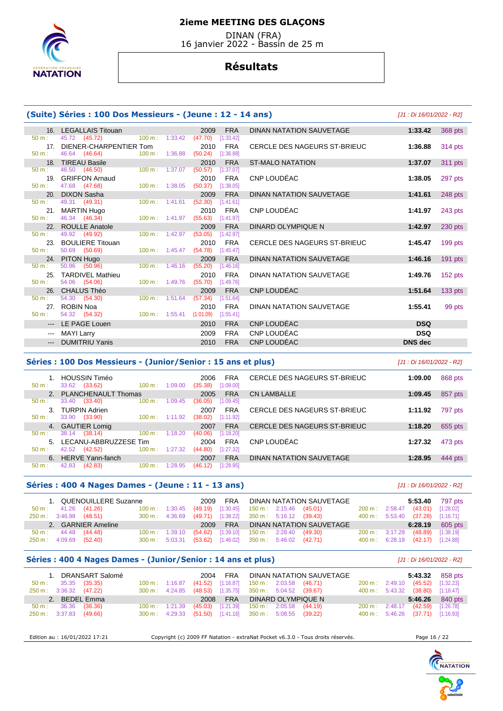

 DINAN (FRA) 16 janvier 2022 - Bassin de 25 m

## **Résultats**

## **(Suite) Séries : 100 Dos Messieurs - (Jeune : 12 - 14 ans)** [J1 : Di 16/01/2022 - R2]

|                     | 16. LEGALLAIS Titouan        |                                  | 2009            | <b>FRA</b>              | DINAN NATATION SAUVETAGE     | 1:33.42        | 368 pts   |
|---------------------|------------------------------|----------------------------------|-----------------|-------------------------|------------------------------|----------------|-----------|
| $50 m$ :            | 45.72 (45.72)                | $100 \text{ m}: 1:33.42$         | (47.70)         | [1:33.42]               |                              |                |           |
| 17 <sub>1</sub>     | DIENER-CHARPENTIER Tom       |                                  | 2010            | <b>FRA</b>              | CERCLE DES NAGEURS ST-BRIEUC | 1:36.88        | 314 pts   |
| $50 m$ :            | 46.64 (46.64)                | $100 \text{ m}$ : 1:36.88        | (50.24)         | [1:36.88]               |                              |                |           |
|                     | 18. TIREAU Basile            |                                  | 2010            | <b>FRA</b>              | <b>ST-MALO NATATION</b>      | 1:37.07        | 311 pts   |
| $50 m$ :            | 46.50 (46.50)                | $100 \text{ m}$ : 1:37.07        | (50.57)         | [1:37.07]               |                              |                |           |
| 19.                 | <b>GRIFFON Arnaud</b>        |                                  | 2010            | <b>FRA</b>              | CNP LOUDEAC                  | 1:38.05        | 297 pts   |
| $50 m$ :            | 47.68 (47.68)                | $100 \text{ m}$ : 1:38.05        | (50.37)         | [1:38.05]               |                              |                |           |
| 20.                 | <b>DIXON Sasha</b>           |                                  | 2009            | <b>FRA</b>              | DINAN NATATION SAUVETAGE     | 1:41.61        | 248 pts   |
| $50 m$ :            | 49.31 (49.31)                | $100 \text{ m}$ : 1:41.61        | (52.30)         | [1:41.61]               |                              |                |           |
|                     | 21. MARTIN Hugo              |                                  | 2010            | <b>FRA</b>              | CNP LOUDÉAC                  | 1:41.97        | 243 pts   |
| 50 m:               | 46.34 (46.34)                | 100 m: 1:41.97                   | (55.63)         | [1:41.97]               |                              |                |           |
|                     | 22. ROULLE Anatole           |                                  | 2009            | <b>FRA</b>              | DINARD OLYMPIQUE N           | 1:42.97        | $230$ pts |
| $50 m$ :            | 49.92 (49.92)                | $100 m$ : 1:42.97                | (53.05)         | [1:42.97]               |                              |                |           |
| 23.                 | <b>BOULIERE Titouan</b>      |                                  | 2010            | <b>FRA</b>              | CERCLE DES NAGEURS ST-BRIEUC | 1:45.47        | $199$ pts |
| $50 m$ :            | 50.69 (50.69)                | $100 \text{ m}: 1:45.47$ (54.78) |                 | [1:45.47]               |                              |                |           |
|                     | 24. PITON Hugo               |                                  | 2009            | <b>FRA</b>              | DINAN NATATION SAUVETAGE     | 1:46.16        | $191$ pts |
| $50 m$ :            | 50.96 (50.96)                | $100 \text{ m}$ : 1:46.16        | (55.20)         | [1:46.16]               |                              |                |           |
| 25.<br>$50 m$ :     | <b>TARDIVEL Mathieu</b>      | 100 m: 1:49.76                   | 2010            | <b>FRA</b>              | DINAN NATATION SAUVETAGE     | 1:49.76        | $152$ pts |
|                     | 54.06 (54.06)                |                                  | (55.70)         | [1:49.76]               |                              |                |           |
| 26.<br>$50 m$ :     | CHALUS Théo<br>54.30 (54.30) | $100 m$ : 1:51.64                | 2009<br>(57.34) | <b>FRA</b><br>[1:51.64] | CNP LOUDÉAC                  | 1:51.64        | $133$ pts |
|                     | 27. ROBIN Noa                |                                  | 2010            | <b>FRA</b>              | DINAN NATATION SAUVETAGE     | 1:55.41        |           |
| 50 m:               | 54.32 (54.32)                | $100 \text{ m}: 1:55.41$         | (1:01.09)       | [1:55.41]               |                              |                | 99 pts    |
|                     |                              |                                  |                 |                         |                              |                |           |
| $\qquad \qquad - -$ | LE PAGE Louen                |                                  | 2010            | <b>FRA</b>              | CNP LOUDÉAC                  | <b>DSQ</b>     |           |
|                     | <b>MAYI Larry</b>            |                                  | 2009            | <b>FRA</b>              | CNP LOUDÉAC                  | <b>DSQ</b>     |           |
|                     | --- DUMITRIU Yanis           |                                  | 2010            | <b>FRA</b>              | CNP LOUDÉAC                  | <b>DNS</b> dec |           |

#### **Séries : 100 Dos Messieurs - (Junior/Senior : 15 ans et plus)** [J1 : Di 16/01/2022 - R2]

| $50 m$ :    | <b>HOUSSIN Timéo</b><br>33.62<br>(33.62) | $100 \text{ m}$ :<br>1:09.00 | <b>FRA</b><br>2006<br>[1:09.00]<br>(35.38) | CERCLE DES NAGEURS ST-BRIEUC | 1:09.00 | 868 pts |
|-------------|------------------------------------------|------------------------------|--------------------------------------------|------------------------------|---------|---------|
| $2^{\circ}$ | <b>PLANCHENAULT Thomas</b>               |                              | <b>FRA</b><br>2005                         | CN LAMBALLE                  | 1:09.45 | 857 pts |
| $50 m$ :    | 33.40<br>(33.40)                         | $100 \text{ m}$ :<br>1:09.45 | (36.05)<br>[1:09.45]                       |                              |         |         |
| 3           | <b>TURPIN Adrien</b>                     |                              | <b>FRA</b><br>2007                         | CERCLE DES NAGEURS ST-BRIEUC | 1:11.92 | 797 pts |
| $50 m$ :    | 33.90 (33.90)                            | $100 \text{ m}: 1:11.92$     | (38.02)<br>[1:11.92]                       |                              |         |         |
|             | 4. GAUTIER Lomig                         |                              | <b>FRA</b><br>2007                         | CERCLE DES NAGEURS ST-BRIEUC | 1:18.20 | 655 pts |
| $50 m$ :    | (38.14)<br>38.14                         | $100 \text{ m}$ :<br>1:18.20 | (40.06)<br>[1:18.20]                       |                              |         |         |
| 5.          | LECANU-ABBRUZZESE Tim                    |                              | <b>FRA</b><br>2004                         | CNP LOUDEAC                  | 1:27.32 | 473 pts |
| $50 m$ :    | (42.52)<br>42.52                         | $100 \text{ m}$ :<br>1:27.32 | [1:27.32]<br>(44.80)                       |                              |         |         |
|             | 6. HERVE Yann-fanch                      |                              | <b>FRA</b><br>2007                         | DINAN NATATION SAUVETAGE     | 1:28.95 | 444 pts |
| $50 m$ :    | 42.83<br>(42.83)                         | 100 m:<br>1:28.95            | (46.12)<br>[1:28.95]                       |                              |         |         |

#### **Séries : 400 4 Nages Dames - (Jeune : 11 - 13 ans)** [J1 : Di 16/01/2022 - R2]

| 1. QUENOUILLERE Suzanne       |                                                           |  |  | 2009 FRA DINAN NATATION SAUVETAGE |  | 5:53.40 797 pts                  |                 |
|-------------------------------|-----------------------------------------------------------|--|--|-----------------------------------|--|----------------------------------|-----------------|
| 50 m : 41.26 (41.26)          | 100 m : 1:30.45 (49.19) [1:30.45] 150 m : 2:15.46 (45.01) |  |  |                                   |  | 200 m: 2:58.47 (43.01) [1:28.02] |                 |
| 250 m : 3:46.98 (48.51)       | 300 m : 4:36.69 (49.71) [1:38.22] 350 m : 5:16.12 (39.43) |  |  |                                   |  | 400 m: 5:53.40 (37.28) [1:16.71] |                 |
| 2. GARNIER Ameline            |                                                           |  |  | 2009 FRA DINAN NATATION SAUVETAGE |  |                                  | 6:28.19 605 pts |
| $50 \text{ m}: 44.48 (44.48)$ | 100 m : 1:39.10 (54.62) [1:39.10] 150 m : 2:28.40 (49.30) |  |  |                                   |  | 200 m: 3:17.29 (48.89) [1:38.19] |                 |
| 250 m : 4:09.69 (52.40)       | 300 m : 5:03.31 (53.62) [1:46.02] 350 m : 5:46.02 (42.71) |  |  |                                   |  | 400 m: 6:28.19 (42.17) [1:24.88] |                 |

#### **Séries : 400 4 Nages Dames - (Junior/Senior : 14 ans et plus)** [J1 : Di 16/01/2022 - R2]

| 1. DRANSART Salomé<br>$50 \text{ m}: 35.35 (35.35)$<br>250 m : 3:36.32 (47.22) |  | 2004 FRA DINAN NATATION SAUVETAGE<br>100 m: 1:16.87 (41.52) [1:16.87] 150 m: 2:03.58 (46.71)<br>300 m : 4:24.85 (48.53) [1:35.75] 350 m : 5:04.52 (39.67) | 200 m: 2:49.10 (45.52) [1:32.23]<br>400 m: 5:43.32 (38.80) [1:18.47] | <b>5:43.32</b> 858 pts |
|--------------------------------------------------------------------------------|--|-----------------------------------------------------------------------------------------------------------------------------------------------------------|----------------------------------------------------------------------|------------------------|
| 2. BEDEL Emma                                                                  |  | 2008 FRA DINARD OLYMPIQUE N                                                                                                                               |                                                                      | 5:46.26 840 pts        |
| $50 \text{ m}: 36.36 (36.36)$                                                  |  | 100 m: 1:21.39 (45.03) [1:21.39] 150 m: 2:05.58 (44.19)                                                                                                   | 200 m: 2:48.17 (42.59) [1:26.78]                                     |                        |
| 250 m : 3:37.83 (49.66)                                                        |  | 300 m: 4:29.33 (51.50) [1:41.16] 350 m: 5:08.55 (39.22)                                                                                                   | 400 m: 5:46.26 (37.71) [1:16.93]                                     |                        |

Edition au : 16/01/2022 17:21 Copyright (c) 2009 FF Natation - extraNat Pocket v6.3.0 - Tous droits réservés. Page 16 / 22

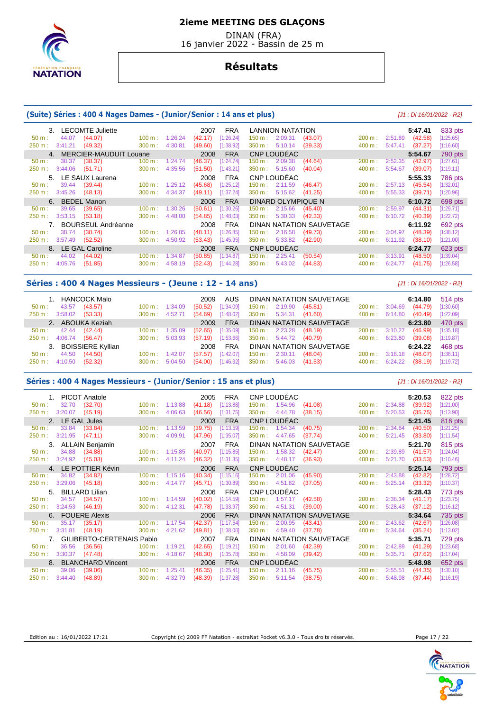

 DINAN (FRA) 16 janvier 2022 - Bassin de 25 m

## **Résultats**

#### **(Suite) Séries : 400 4 Nages Dames - (Junior/Senior : 14 ans et plus)** [J1 : Di 16/01/2022 - R2]

| 3. LECOMTE Juliette                  |                              | <b>FRA</b><br>2007   | LANNION NATATION                        |                          | 5:47.41            | 833 pts   |
|--------------------------------------|------------------------------|----------------------|-----------------------------------------|--------------------------|--------------------|-----------|
| 44.07<br>(44.07)<br>50 m:            | 1:26.24<br>$100 \text{ m}$ : | (42.17)<br>[1:26.24] | 2:09.31<br>(43.07)<br>$150 \text{ m}$ : | 200 m: 2:51.89           | (42.58)            | [1:25.65] |
| (49.32)<br>3:41.21<br>250 m :        | 300 m:<br>4:30.81            | (49.60)<br>[1:38.92] | 5:10.14<br>(39.33)<br>350 m:            | $400 \text{ m}$ :        | 5:47.41<br>(37.27) | [1:16.60] |
| 4. MERCIER-MAUDUIT Louane            |                              | <b>FRA</b><br>2008   | CNP LOUDÉAC                             |                          | 5:54.67            | 790 pts   |
| 38.37<br>(38.37)<br>$50 \text{ m}$ : | 100 m:<br>1:24.74            | (46.37)<br>[1:24.74] | 2:09.38<br>150 m : l<br>(44.64)         | 200 m:                   | 2:52.35<br>(42.97) | [1:27.61] |
| $250 \text{ m}: 3:44.06$<br>(51.71)  | $300 \text{ m}$ :<br>4:35.56 | (51.50)<br>[1:43.21] | 5:15.60<br>350 m:<br>(40.04)            | $400 \text{ m}$ :        | 5:54.67<br>(39.07) | [1:19.11] |
| 5. LE SAUX Laurena                   |                              | <b>FRA</b><br>2008   | CNP LOUDÉAC                             |                          | 5:55.33            | 786 pts   |
| (39.44)<br>39.44<br>$50 \text{ m}$ : | $100 \text{ m}: 1:25.12$     | (45.68)<br>[1:25.12] | $150 \text{ m}: 2:11.59$<br>(46.47)     | $200 \text{ m}: 2:57.13$ | (45.54)            | [1:32.01] |
| $250 \text{ m}: 3:45.26$<br>(48.13)  | 4:34.37<br>$300 \text{ m}$ : | (49.11)<br>[1:37.24] | 5:15.62<br>$350 \text{ m}$ :<br>(41.25) | $400 \text{ m}$ :        | 5:55.33<br>(39.71) | [1:20.96] |
| 6. BEDEL Manon                       |                              | <b>FRA</b><br>2006   | DINARD OLYMPIQUE N                      |                          | 6:10.72            | 698 pts   |
| 39.65<br>(39.65)<br>$50 m$ :         | 100 m:<br>1:30.26            | (50.61)<br>[1:30.26] | 2:15.66<br>150 m :<br>(45.40)           | 200 m:                   | (44.31)<br>2:59.97 | [1:29.71] |
| 250 m: 3:53.15<br>(53.18)            | 4:48.00<br>$300 \text{ m}$ : | (54.85)<br>[1:48.03] | 5:30.33<br>350 m:<br>(42.33)            | 400 m:                   | 6:10.72<br>(40.39) | [1:22.72] |
| 7. BOURSEUL Andréanne                |                              | FRA<br>2008          | DINAN NATATION SAUVETAGE                |                          | 6:11.92            | 692 pts   |
| 38.74<br>(38.74)<br>$50 \text{ m}$ : | 1:26.85<br>$100 \text{ m}$ : | (48.11)<br>[1:26.85] | 2:16.58<br>150 m :<br>(49.73)           | 200 m:                   | 3:04.97<br>(48.39) | [1:38.12] |
| 250 m : 3:57.49<br>(52.52)           | 4:50.92<br>$300 \text{ m}$ : | (53.43)<br>[1:45.95] | 5:33.82<br>$350 \text{ m}$ :<br>(42.90) | 400 m:                   | 6:11.92<br>(38.10) | [1:21.00] |
| 8. LE GAL Caroline                   |                              | <b>FRA</b><br>2008   | CNP LOUDEAC                             |                          | 6:24.77            | 623 pts   |
| 44.02<br>(44.02)<br>$50 \text{ m}$ : | 100 m:<br>1:34.87            | (50.85)<br>[1:34.87] | 150 m :<br>2:25.41<br>(50.54)           | 200 m:                   | 3:13.91<br>(48.50) | [1:39.04] |
| 4:05.76<br>(51.85)<br>250 m:         | 300 m:<br>4:58.19            | [1:44.28]<br>(52.43) | 350 m:<br>5:43.02<br>(44.83)            | 400 m:                   | 6:24.77<br>(41.75) | [1:26.58] |

## **Séries : 400 4 Nages Messieurs - (Jeune : 12 - 14 ans)** [J1 : Di 16/01/2022 - R2]

| 1. HANCOCK Malo                   |                           | 2009                              | AUS DINAN NATATION SAUVETAGE     |                           | 6:14.80 | 514 pts   |
|-----------------------------------|---------------------------|-----------------------------------|----------------------------------|---------------------------|---------|-----------|
| 43.57 (43.57)<br>50 m :           | $100 \text{ m}: 1:34.09$  | (50.52)<br>[1:34.09]              | 150 m : 2:19.90 (45.81)          | $200 \text{ m}: 3:04.69$  | (44.79) | [1:30.60] |
| 250 m: 3:58.02 (53.33)            | $300 \text{ m}: 4:52.71$  | $(54.69)$ [1:48.02]               | 350 m : 5:34.31 (41.60)          | $400 \text{ m}$ : 6:14.80 | (40.49) | [1:22.09] |
| 2. ABOUKA Keziah                  |                           | <b>FRA</b><br>2009                | DINAN NATATION SAUVETAGE         |                           | 6:23.80 | 470 pts   |
| $50 \text{ m}: 42.44 (42.44)$     | $100 \text{ m}$ : 1:35.09 | (52.65)<br>[1:35.09]              | 150 m : 2:23.28 (48.19)          | $200 \text{ m}$ : 3:10.27 | (46.99) | [1:35.18] |
| 250 m : 4:06.74 (56.47)           |                           | 300 m : 5:03.93 (57.19) [1:53.66] | 350 m : 5:44.72 (40.79)          | $400 \text{ m}$ : 6:23.80 | (39.08) | [1:19.87] |
| 3. BOISSIERE Kyllian              |                           | 2008                              | FRA DINAN NATATION SAUVETAGE     |                           | 6:24.22 | 468 pts   |
| 44.50 (44.50)<br>$50 \text{ m}$ : | $100 \text{ m}$ : 1:42.07 | (57.57)<br>[1:42.07]              | $150 \text{ m}: 2:30.11$ (48.04) | $200 \text{ m}: 3:18.18$  | (48.07) | [1:36.11] |
| 250 m: 4:10.50 (52.32)            | $300 \text{ m}: 5:04.50$  | [1:46.32]<br>(54.00)              | 350 m : 5:46.03 (41.53)          | $400 \text{ m}: 6:24.22$  | (38.19) | [1:19.72] |

#### **Séries : 400 4 Nages Messieurs - (Junior/Senior : 15 ans et plus)** [J1 : Di 16/01/2022 - R2]

| 1. PICOT Anatole            |                              |         | 2005    | <b>FRA</b> |                   | CNP LOUDÉAC |                          |                |         | 5:20.53 | 822 pts     |
|-----------------------------|------------------------------|---------|---------|------------|-------------------|-------------|--------------------------|----------------|---------|---------|-------------|
| 32.70<br>50 m:              | (32.70)<br>$100 \text{ m}$ : | 1:13.88 | (41.18) | [1:13.88]  | 150 m: 1:54.96    |             | (41.08)                  | 200 m: 2:34.88 |         | (39.92) | [1:21.00]   |
| 3:20.07<br>250 m:           | (45.19)<br>300 m:            | 4:06.63 | (46.56) | [1:31.75]  | 350 m: 4:44.78    |             | (38.15)                  | 400 m:         | 5:20.53 | (35.75) | [1:13.90]   |
| 2. LE GAL Jules             |                              |         | 2003    | <b>FRA</b> |                   | CNP LOUDEAC |                          |                |         | 5:21.45 | 816 pts     |
| 33.84<br>$50 m$ :           | (33.84)<br>$100 m$ :         | 1:13.59 | (39.75) | [1:13.59]  | 150 m: 1:54.34    |             | (40.75)                  | $200 m$ :      | 2:34.84 | (40.50) | [1:21.25]   |
| 3:21.95<br>250 m:           | (47.11)<br>300 m:            | 4:09.91 | (47.96) | [1:35.07]  | 350 m:            | 4:47.65     | (37.74)                  | 400 m:         | 5:21.45 | (33.80) | [1:11.54]   |
| 3. ALLAIN Benjamin          |                              |         | 2007    | <b>FRA</b> |                   |             | DINAN NATATION SAUVETAGE |                |         | 5:21.70 | 815 pts     |
| 34.88<br>$50 m$ :           | (34.88)<br>100 m:            | 1:15.85 | (40.97) | [1:15.85]  | $150 \text{ m}$ : | 1:58.32     | (42.47)                  | 200 m:         | 2:39.89 | (41.57) | [1:24.04]   |
| 250 m: 3:24.92              | (45.03)<br>300 m:            | 4:11.24 | (46.32) | [1:31.35]  | 350 m: 4:48.17    |             | (36.93)                  | 400 m:         | 5:21.70 | (33.53) | [1:10.46]   |
| 4. LE POTTIER Kévin         |                              |         | 2006    | <b>FRA</b> |                   | CNP LOUDEAC |                          |                |         | 5:25.14 | 793 pts     |
| 34.82<br>$50 m$ :           | (34.82)<br>100 m:            | 1:15.16 | (40.34) | [1:15.16]  | 150 m: 2:01.06    |             | (45.90)                  | 200 m:         | 2:43.88 | (42.82) | $[1:28.72]$ |
| 3:29.06<br>250 m:           | (45.18)<br>300 m:            | 4:14.77 | (45.71) | [1:30.89]  | 350 m: 4:51.82    |             | (37.05)                  | 400 m:         | 5:25.14 | (33.32) | [1:10.37]   |
| <b>BILLARD Lilian</b><br>5. |                              |         | 2006    | <b>FRA</b> |                   | CNP LOUDÉAC |                          |                |         | 5:28.43 | 773 pts     |
| 34.57<br>50 m:              | (34.57)<br>100 m:            | 1:14.59 | (40.02) | [1:14.59]  | 150 m:            | 1:57.17     | (42.58)                  | $200 m$ :      | 2:38.34 | (41.17) | [1:23.75]   |
| 250 m:<br>3:24.53           | (46.19)<br>300 m:            | 4:12.31 | (47.78) | [1:33.97]  | 350 m:            | 4:51.31     | (39.00)                  | 400 m:         | 5:28.43 | (37.12) | [1:16.12]   |
| 6. FOUERE Alexis            |                              |         | 2006    | <b>FRA</b> |                   |             | DINAN NATATION SAUVETAGE |                |         | 5:34.64 | 735 pts     |
| 35.17<br>$50 m$ :           | (35.17)<br>100 m:            | 1:17.54 | (42.37) | [1:17.54]  | 150 m:            | 2:00.95     | (43.41)                  | $200 m$ :      | 2:43.62 | (42.67) | [1:26.08]   |
| 250 m: 3:31.81              | (48.19)<br>300 m:            | 4:21.62 | (49.81) | [1:38.00]  | 350 m:            | 4:59.40     | (37.78)                  | 400 m:         | 5:34.64 | (35.24) | [1:13.02]   |
|                             | 7. GILIBERTO-CERTENAIS Pablo |         | 2007    | <b>FRA</b> |                   |             | DINAN NATATION SAUVETAGE |                |         | 5:35.71 | 729 pts     |
| 36.56<br>$50 m$ :           | (36.56)<br>100 m:            | 1:19.21 | (42.65) | [1:19.21]  | 150 m:            | 2:01.60     | (42.39)                  | 200 m:         | 2:42.89 | (41.29) | [1:23.68]   |
| 3:30.37<br>250 m:           | (47.48)<br>300 m:            | 4:18.67 | (48.30) | [1:35.78]  | 350 m:            | 4:58.09     | (39.42)                  | 400 m:         | 5:35.71 | (37.62) | [1:17.04]   |
|                             | <b>BLANCHARD Vincent</b>     |         | 2006    | <b>FRA</b> |                   | CNP LOUDEAC |                          |                |         | 5:48.98 | 652 pts     |
| 39.06<br>$50 m$ :           | (39.06)<br>100 m:            | 1:25.41 | (46.35) | [1:25.41]  | $150 m$ :         | 2:11.16     | (45.75)                  | 200 m:         | 2:55.51 | (44.35) | [1:30.10]   |
| 3:44.40<br>250 m:           | (48.89)<br>300 m:            | 4:32.79 | (48.39) | [1:37.28]  | 350 m:            | 5:11.54     | (38.75)                  | 400 m:         | 5:48.98 | (37.44) | [1:16.19]   |

Edition au : 16/01/2022 17:21 Copyright (c) 2009 FF Natation - extraNat Pocket v6.3.0 - Tous droits réservés. Page 17 / 22



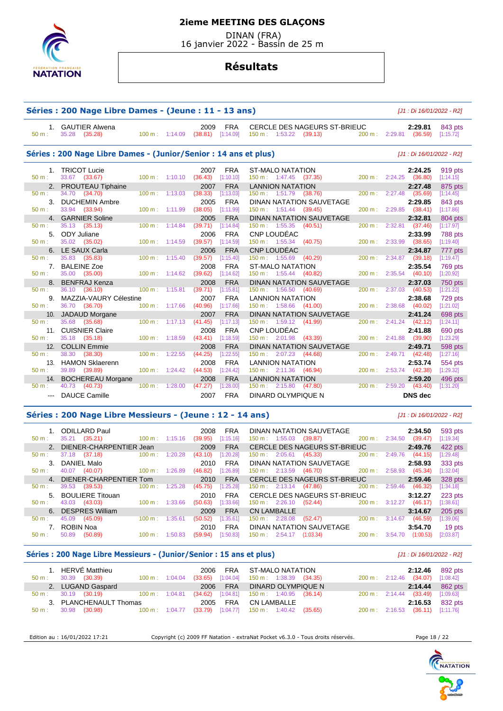

 DINAN (FRA) 16 janvier 2022 - Bassin de 25 m

## **Résultats**

| Séries : 200 Nage Libre Dames - (Jeune : 11 - 13 ans) | [J1 : Di 16/01/2022 - R2]                                        |                                     |                    |                            |                                       |                                                                                                |           |                                                                     |                                   |
|-------------------------------------------------------|------------------------------------------------------------------|-------------------------------------|--------------------|----------------------------|---------------------------------------|------------------------------------------------------------------------------------------------|-----------|---------------------------------------------------------------------|-----------------------------------|
| 50 m:                                                 | 1. GAUTIER Alwena<br>35.28<br>(35.28)                            | 100 m: 1:14.09                      |                    | 2009<br>(38.81)            | <b>FRA</b><br>[1:14.09]               | CERCLE DES NAGEURS ST-BRIEUC<br>150 m: 1:53.22 (39.13)                                         |           | 2:29.81<br>200 m: 2:29.81 (36.59)                                   | 843 pts<br>[1:15.72]              |
|                                                       | Séries : 200 Nage Libre Dames - (Junior/Senior : 14 ans et plus) |                                     |                    |                            |                                       |                                                                                                |           | [J1 : Di 16/01/2022 - R2]                                           |                                   |
| 1.<br>$50 m$ :                                        | <b>TRICOT Lucie</b><br>33.67 (33.67)                             | $100 m$ : 1:10.10                   |                    | 2007<br>(36.43)            | <b>FRA</b><br>[1:10.10]               | <b>ST-MALO NATATION</b><br>$150 \text{ m}: 1:47.45$ (37.35)                                    |           | 2:24.25<br>200 m: 2:24.25<br>(36.80)                                | 919 pts<br>[1:14.15]              |
| $50 m$ :                                              | 2. PROUTEAU Tiphaine<br>34.70 (34.70)<br>3. DUCHEMIN Ambre       | $100 \text{ m}$ :                   | 1:13.03            | 2007<br>(38.33)<br>2005    | <b>FRA</b><br>[1:13.03]<br><b>FRA</b> | <b>LANNION NATATION</b><br>150 m: 1:51.79<br>(38.76)<br><b>DINAN NATATION SAUVETAGE</b>        | 200 m:    | 2:27.48<br>2:27.48<br>(35.69)<br>2:29.85                            | 875 pts<br>[1:14.45]<br>843 pts   |
| 50 m:                                                 | 33.94 (33.94)<br>4. GARNIER Soline                               | 100 m:                              | 1:11.99            | (38.05)<br>2005            | [1:11.99]<br><b>FRA</b>               | 150 m: 1:51.44 (39.45)<br><b>DINAN NATATION SAUVETAGE</b>                                      |           | 200 m: 2:29.85<br>(38.41)<br>2:32.81                                | [1:17.86]<br>804 pts              |
| $50 m$ :<br>5.<br>$50 m$ :                            | 35.13 (35.13)<br>ODY Juliane<br>35.02 (35.02)                    | $100 \text{ m}$ :<br>100 m: 1:14.59 | 1:14.84            | (39.71)<br>2006<br>(39.57) | [1:14.84]<br><b>FRA</b><br>[1:14.59]  | $150 \text{ m}: 1:55.35$<br>(40.51)<br>CNP LOUDEAC<br>150 m: 1:55.34<br>(40.75)                | 200 m:    | 2:32.81<br>(37.46)<br>2:33.99<br>200 m: 2:33.99<br>(38.65)          | [1:17.97]<br>788 pts<br>[1:19.40] |
| $50 m$ :                                              | 6. LE SAUX Carla<br>35.83 (35.83)                                | $100 \text{ m}$ : 1:15.40           |                    | 2006<br>(39.57)            | <b>FRA</b><br>[1:15.40]               | CNP LOUDÉAC<br>150 m: 1:55.69<br>(40.29)                                                       | 200 m:    | 2:34.87<br>2:34.87<br>(39.18)                                       | 777 pts<br>[1:19.47]              |
| 7.<br>50 m:                                           | <b>BALEINE Zoe</b><br>35.00 (35.00)<br>8. BENFRAJ Kenza          |                                     | 100 m: 1:14.62     | 2008<br>(39.62)<br>2008    | <b>FRA</b><br>[1:14.62]<br><b>FRA</b> | <b>ST-MALO NATATION</b><br>$150 \text{ m}: 1:55.44$ (40.82)<br><b>DINAN NATATION SAUVETAGE</b> | 200 m:    | 2:35.54<br>2:35.54<br>(40.10)<br>2:37.03                            | 769 pts<br>[1:20.92]<br>750 pts   |
| 50 m:<br>9.                                           | 36.10 (36.10)<br>MAZZIA-VAURY Célestine                          | $100 m$ :                           | 1:15.81            | (39.71)<br>2007            | [1:15.81]<br><b>FRA</b>               | 150 m: 1:56.50<br>(40.69)<br><b>LANNION NATATION</b>                                           | $200 m$ : | 2:37.03<br>(40.53)<br>2:38.68                                       | [1:21.22]<br>729 pts              |
| $50 m$ :<br>$50 m$ :                                  | 36.70 (36.70)<br>10. JADAUD Morgane<br>35.68<br>(35.68)          | 100 m:<br>$100 m$ :                 | 1:17.66<br>1:17.13 | (40.96)<br>2007<br>(41.45) | [1:17.66]<br><b>FRA</b><br>[1:17.13]  | 150 m: 1:58.66 (41.00)<br><b>DINAN NATATION SAUVETAGE</b><br>150 m: 1:59.12 (41.99)            | 200 m:    | $200 \text{ m}: 2:38.68$<br>(40.02)<br>2:41.24<br>$2:41.24$ (42.12) | [1:21.02]<br>698 pts<br>[1:24.11] |
| 11.<br>$50 m$ :                                       | <b>CUISNIER Claire</b><br>35.18 (35.18)                          | $100 \text{ m}$ :                   | 1:18.59            | 2008<br>(43.41)            | <b>FRA</b><br>[1:18.59]               | CNP LOUDÉAC<br>150 m: 2:01.98<br>(43.39)                                                       | 200 m:    | 2:41.88<br>2:41.88<br>(39.90)                                       | 690 pts<br>[1:23.29]              |
| 12.<br>50 m:                                          | <b>COLLIN Emmie</b><br>38.30 (38.30)<br>13. HAMON Sklaerenn      | $100 \text{ m}$ :                   | 1:22.55            | 2008<br>(44.25)<br>2008    | <b>FRA</b><br>[1:22.55]<br><b>FRA</b> | <b>DINAN NATATION SAUVETAGE</b><br>150 m: 2:07.23<br>(44.68)<br><b>LANNION NATATION</b>        | 200 m:    | 2:49.71<br>2:49.71 (42.48)<br>2:53.74                               | 598 pts<br>[1:27.16]<br>554 pts   |
| $50 m$ :                                              | 39.89 (39.89)<br>14. BOCHEREAU Morgane                           |                                     | 100 m: 1:24.42     | (44.53)<br>2008            | [1:24.42]<br><b>FRA</b>               | 150 m : 2:11.36 (46.94)<br><b>LANNION NATATION</b>                                             |           | 200 m: 2:53.74 (42.38)<br>2:59.20                                   | [1:29.32]<br>496 pts              |
| 50 m:                                                 | 40.73 (40.73)<br><b>DAUCE Camille</b>                            | 100 m:                              | 1:28.00            | (47.27)<br>2007            | [1:28.00]<br><b>FRA</b>               | $150 \text{ m}: 2:15.80 (47.80)$<br><b>DINARD OLYMPIQUE N</b>                                  | 200 m:    | $2:59.20$ (43.40)<br><b>DNS</b> dec                                 | [1:31.20]                         |

#### **Séries : 200 Nage Libre Messieurs - (Jeune : 12 - 14 ans)** [J1 : Di 16/01/2022 - R2]

 1. ODILLARD Paul 2008 FRA DINAN NATATION SAUVETAGE **2:34.50** 593 pts 150 m : 1:55.03 (39.87) 2. DIENER-CHARPENTIER Jean 2009 FRA CERCLE DES NAGEURS ST-BRIEUC **2:49.76** 422 pts 50 m : 37.18 (37.18) 100 m : 1:20.28 (43.10) [1:20.28] 150 m : 2:05.61 (45.33) 200 m : 2:49.76 (44.15) [1:29.48] 3. DANIEL Malo 2010 FRA DINAN NATATION SAUVETAGE **2:58.93** 333 pts 50 m : 40.07 (40.07) 100 m : 1:26.89 (46.82) [1:26.89] 150 m : 2:13.59 (46.70) 200 m : 2:58.93 (45.34) [1:32.04] 4. DIENER-CHARPENTIER Tom 2010 FRA CERCLE DES NAGEURS ST-BRIEUC **2:59.46** 328 pts 50 m : 39.53 (39.53) 100 m : 1:25.28 (45.75) [1:25.28] 150 m : 2:13.14 (47.86) 200 m : 2:59.46 (46.32) [1:34.18] 5. BOULIERE Titouan 2010 FRA CERCLE DES NAGEURS ST-BRIEUC **3:12.27** 223 pts  $150 m : 2:26.10$  6. DESPRES William 2009 FRA CN LAMBALLE **3:14.67** 205 pts 50 m : 45.09 (45.09) 100 m : 1:35.61 (50.52) [1:35.61] 150 m : 2:28.08 (52.47) 200 m : 3:14.67 (46.59) [1:39.06] 7. ROBIN Noa 2010 FRA DINAN NATATION SAUVETAGE **3:54.70** 19 pts 50 m : 50.89 (50.89) 100 m : 1:50.83 (59.94) [1:50.83] 150 m : 2:54.17 (1:03.34) 200 m : 3:54.70 (1:00.53)

## **Séries : 200 Nage Libre Messieurs - (Junior/Senior : 15 ans et plus)** [J1 : Di 16/01/2022 - R2]

| 1. HERVÉ Matthieu<br>$50 \text{ m}$ : $30.39$ (30.39)                          | $100 \text{ m}$ : $1:04.04$ |          | 2006 FRA ST-MALO NATATION<br>$(33.65)$ [1:04.04] 150 m : 1:38.39 (34.35) | 2:12.46<br>200 m: 2:12.46 (34.07) [1:08.42] | 892 pts   |
|--------------------------------------------------------------------------------|-----------------------------|----------|--------------------------------------------------------------------------|---------------------------------------------|-----------|
| 2. LUGAND Gaspard                                                              |                             | 2006 FRA | DINARD OLYMPIQUE N                                                       | 2:14.44 862 pts                             |           |
| 50 m : 30.19 (30.19) 100 m : 1:04.81                                           |                             |          | $(34.62)$ [1:04.81] 150 m : 1:40.95 (36.14)                              | $200 \text{ m}: 2:14.44$ (33.49)            | [1:09.63] |
| 3. PLANCHENAULT Thomas                                                         |                             | 2005 FRA | CN LAMBALLE                                                              | 2:16.53 832 pts                             |           |
| 50 m : 30.98 (30.98) 100 m : 1:04.77 (33.79) [1:04.77] 150 m : 1:40.42 (35.65) |                             |          |                                                                          | 200 m: 2:16.53 (36.11) [1:11.76]            |           |

Edition au : 16/01/2022 17:21 Copyright (c) 2009 FF Natation - extraNat Pocket v6.3.0 - Tous droits réservés. Page 18 / 22

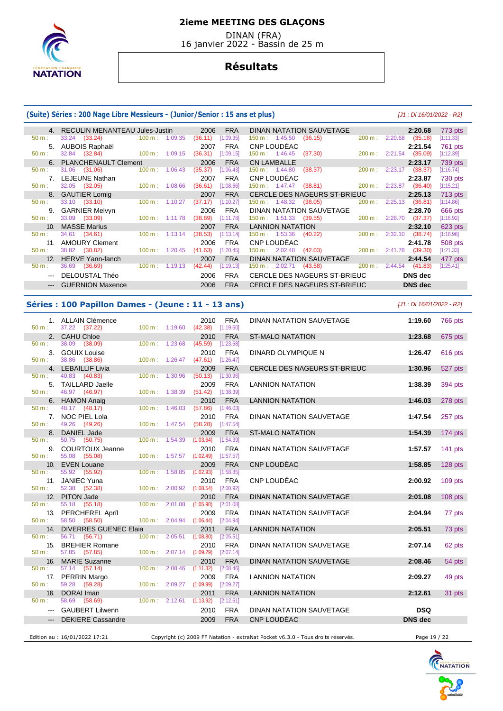

 DINAN (FRA) 16 janvier 2022 - Bassin de 25 m

## **Résultats**

#### **(Suite) Séries : 200 Nage Libre Messieurs - (Junior/Senior : 15 ans et plus)** [J1 : Di 16/01/2022 - R2]

|          | 4. RECULIN MENANTEAU Jules-Justin |                              | 2006<br><b>FRA</b>   | DINAN NATATION SAUVETAGE                                 | 2:20.68<br>773 pts                     |
|----------|-----------------------------------|------------------------------|----------------------|----------------------------------------------------------|----------------------------------------|
| 50 m:    | 33.24 (33.24)                     | $100 \text{ m}$ : 1:09.35    | (36.11)<br>[1:09.35] | $150 \text{ m}: 1:45.50$<br>(36.15)<br>$200 \text{ m}$ : | 2:20.68<br>(35.18)<br>[1:11.33]        |
|          | 5. AUBOIS Raphaël                 |                              | <b>FRA</b><br>2007   | CNP LOUDÉAC                                              | 2:21.54<br>761 pts                     |
| 50 m:    | 32.84 (32.84)                     | $100 \text{ m}$ : 1:09.15    | (36.31)<br>[1:09.15] | $150 \text{ m}: 1:46.45$<br>(37.30)                      | 200 m: 2:21.54<br>(35.09)<br>[1:12.39] |
|          | 6. PLANCHENAULT Clement           |                              | <b>FRA</b><br>2006   | <b>CN LAMBALLE</b>                                       | 2:23.17<br>739 pts                     |
| 50 m:    | 31.06 (31.06)                     | 100 m:<br>1:06.43            | [1:06.43]<br>(35.37) | $150 \text{ m}: 1:44.80$<br>(38.37)<br>$200 \text{ m}$ : | 2:23.17<br>(38.37)<br>[1:16.74]        |
|          | LEJEUNE Nathan                    |                              | <b>FRA</b><br>2007   | CNP LOUDEAC                                              | 2:23.87<br>730 pts                     |
| 50 m:    | 32.05 (32.05)                     | $100 \text{ m}$ :<br>1:08.66 | (36.61)<br>[1:08.66] | 150 m : 1:47.47<br>(38.81)                               | 200 m: 2:23.87<br>(36.40)<br>[1:15.21] |
|          | 8. GAUTIER Lomig                  |                              | <b>FRA</b><br>2007   | CERCLE DES NAGEURS ST-BRIEUC                             | 2:25.13<br>713 pts                     |
| $50 m$ : | 33.10 (33.10)                     | $100 \text{ m}$ :<br>1:10.27 | (37.17)<br>[1:10.27] | $150 \text{ m}: 1:48.32$<br>(38.05)<br>200 m:            | 2:25.13<br>(36.81)<br>[1:14.86]        |
| 9.       | <b>GARNIER Melvyn</b>             |                              | <b>FRA</b><br>2006   | DINAN NATATION SAUVETAGE                                 | 2:28.70<br>666 pts                     |
| 50 m:    | 33.09 (33.09)                     | $100 \text{ m}$ :<br>1:11.78 | [1:11.78]<br>(38.69) | $150 \text{ m}: 1:51.33$ (39.55)<br>200 m:               | 2:28.70<br>(37.37)<br>[1:16.92]        |
| 10.      | <b>MASSE Marius</b>               |                              | <b>FRA</b><br>2007   | <b>LANNION NATATION</b>                                  | 2:32.10<br>623 pts                     |
| $50 m$ : | 34.61 (34.61)                     | $100 \text{ m}$ :<br>1:13.14 | (38.53)<br>[1:13.14] | 150 m : 1:53.36 (40.22)<br>200 m:                        | 2:32.10<br>(38.74)<br>[1:18.96]        |
| 11.      | <b>AMOURY Clement</b>             |                              | <b>FRA</b><br>2006   | CNP LOUDÉAC                                              | 2:41.78<br>508 pts                     |
| 50 m:    | 38.82 (38.82)                     | $100 \text{ m}: 1:20.45$     | (41.63)<br>[1:20.45] | 150 m : 2:02.48 (42.03)                                  | 200 m: 2:41.78<br>(39.30)<br>[1:21.33] |
| 12.      | HERVE Yann-fanch                  |                              | <b>FRA</b><br>2007   | DINAN NATATION SAUVETAGE                                 | 2:44.54<br>477 pts                     |
| 50 m:    | (36.69)<br>36.69                  | $100 m$ :<br>1:19.13         | (42.44)<br>1:19.13   | 150 m: 2:02.71<br>200 m:<br>(43.58)                      | 2:44.54<br>(41.83)<br>[1:25.41]        |
|          | DELOUSTAL Théo                    |                              | <b>FRA</b><br>2006   | CERCLE DES NAGEURS ST-BRIEUC                             | <b>DNS</b> dec                         |
|          | <b>GUERNION Maxence</b>           |                              | 2006<br><b>FRA</b>   | CERCLE DES NAGEURS ST-BRIEUC                             | <b>DNS</b> dec                         |
|          |                                   |                              |                      |                                                          |                                        |

## **Séries : 100 Papillon Dames - (Jeune : 11 - 13 ans)** [J1 : Di 16/01/2022 - R2]

 1. ALLAIN Clémence 2010 FRA DINAN NATATION SAUVETAGE **1:19.60** 766 pts 50 m : 37.22 (37.22) 100 m : 1:19.60 (42.38) [1:19.60] 2. CAHU Chloe 2010 FRA ST-MALO NATATION **1:23.68** 675 pts 50 m : 38.09 (38.09) 100 m : 1:23.68 (45.59) [1:23.68] 3. GOUIX Louise 2010 FRA DINARD OLYMPIQUE N **1:26.47** 616 pts 50 m : 38.86 (38.86) 100 m : 1:26.47 (47.61) [1:26.47] 4. LEBAILLIF Livia 2009 FRA CERCLE DES NAGEURS ST-BRIEUC **1:30.96** 527 pts 50 m : 40.83 (40.83) 100 m : 1:30.96 (50.13) [1:30.96] 5. TAILLARD Jaelle 2009 FRA LANNION NATATION **1:38.39** 394 pts 46.97 (46.97) 6. HAMON Anaig 2010 FRA LANNION NATATION **1:46.03** 278 pts 50 m : 48.17 (48.17) 100 m : 1:46.03 (57.86) [1:46.03] 7. NOC PIEL Lola 2010 FRA DINAN NATATION SAUVETAGE **1:47.54** 257 pts 50 m : 49.26 (49.26) 100 m : 1:47.54 (58.28) [1:47.54] 8. DANIEL Jade 2009 FRA ST-MALO NATATION **1:54.39** 174 pts 50 m : 50.75 (50.75) 100 m : 1:54.39 (1:03.64) [1:54.39] 9. COURTOUX Jeanne 2010 FRA DINAN NATATION SAUVETAGE **1:57.57** 141 pts 50 m : 55.08 (55.08) 100 m : 1:57.57 (1:02.49) [1:57.57] 10. EVEN Louane 2009 FRA CNP LOUDÉAC **1:58.85** 128 pts 50 m : 55.92 (55.92) 100 m : 1:58.85 (1:02.93) [1:58.85] 11. JANIEC Yuna 2010 FRA CNP LOUDÉAC **2:00.92** 109 pts  $(52.38)$  12. PITON Jade 2010 FRA DINAN NATATION SAUVETAGE **2:01.08** 108 pts 50 m : 55.18 (55.18) 100 m : 2:01.08 (1:05.90) [2:01.08] 13. PERCHEREL Aprïl 2009 FRA DINAN NATATION SAUVETAGE **2:04.94** 77 pts 50 m : 58.50 (58.50) 100 m : 2:04.94 (1:06.44) [2:04.94] 14. DIVERRES GUENEC Elaia 2011 FRA LANNION NATATION **2:05.51** 73 pts 50 m : 56.71 (56.71) 100 m : 2:05.51 (1:08.80) [2:05.51] 15. BREHIER Romane 2010 FRA DINAN NATATION SAUVETAGE **2:07.14** 62 pts 57.85 (57.85) 16. MARIE Suzanne 2010 FRA DINAN NATATION SAUVETAGE **2:08.46** 54 pts 50 m : 57.14 (57.14) 100 m : 2:08.46 (1:11.32) [2:08.46] 17. PERRIN Margo 2009 FRA LANNION NATATION **2:09.27** 49 pts 59.28 (59.28)<br>DORAI Iman 18. DORAI Iman 2011 FRA LANNION NATATION **2:12.61** 31 pts 50 m : 58.69 (58.69) 100 m : 2:12.61 (1:13.92) [2:12.61] --- GAUBERT Lilwenn 2010 FRA DINAN NATATION SAUVETAGE **DSQ**  --- DEKIERE Cassandre 2009 FRA CNP LOUDÉAC **DNS dec**  Edition au : 16/01/2022 17:21 Copyright (c) 2009 FF Natation - extraNat Pocket v6.3.0 - Tous droits réservés. Page 19 / 22

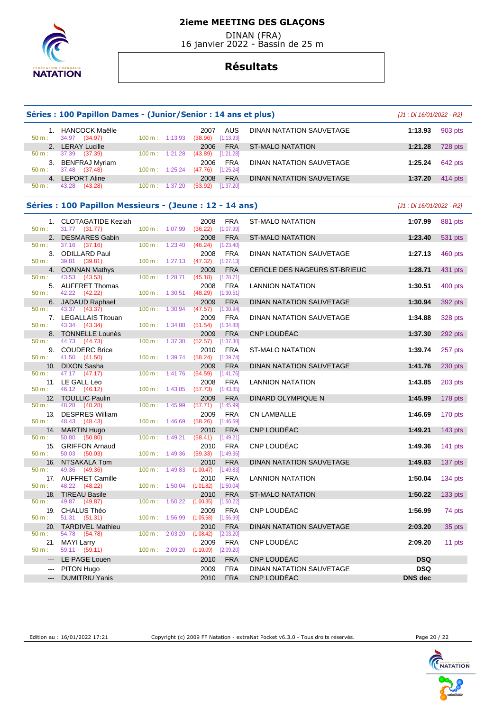

 DINAN (FRA) 16 janvier 2022 - Bassin de 25 m

# **Résultats**

|                     | Séries : 100 Papillon Dames - (Junior/Senior : 14 ans et plus) |                          |         |                                           |            |                                 |                | [J1 : Di 16/01/2022 - R2] |  |  |
|---------------------|----------------------------------------------------------------|--------------------------|---------|-------------------------------------------|------------|---------------------------------|----------------|---------------------------|--|--|
| 50 m:               | 1. HANCOCK Maëlle<br>34.97 (34.97)                             | 100 m: 1:13.93           |         | 2007<br>$(38.96)$ [1:13.93]               | AUS        | DINAN NATATION SAUVETAGE        | 1:13.93        | 903 pts                   |  |  |
|                     | 2. LERAY Lucille                                               |                          |         | 2006                                      | <b>FRA</b> | <b>ST-MALO NATATION</b>         | 1:21.28        | 728 pts                   |  |  |
| 50 m:               | 37.39<br>(37.39)                                               | 100 m: 1:21.28           |         | (43.89)<br>[1:21.28]                      |            |                                 |                |                           |  |  |
| 50 m:               | 3. BENFRAJ Myriam<br>37.48<br>(37.48)                          | $100 \text{ m}: 1:25.24$ |         | 2006<br>(47.76)<br>$[1:25.24]$            | FRA        | DINAN NATATION SAUVETAGE        | 1:25.24        | 642 pts                   |  |  |
|                     | 4. LEPORT Aline                                                |                          |         | 2008                                      | <b>FRA</b> | DINAN NATATION SAUVETAGE        | 1:37.20        | $414$ pts                 |  |  |
| 50 m:               | 43.28 (43.28)                                                  | 100 m: 1:37.20           |         | (53.92)<br>[1:37.20]                      |            |                                 |                |                           |  |  |
|                     | Séries : 100 Papillon Messieurs - (Jeune : 12 - 14 ans)        |                          |         |                                           |            |                                 |                | [J1 : Di 16/01/2022 - R2] |  |  |
|                     | 1. CLOTAGATIDE Keziah                                          |                          |         | 2008                                      | <b>FRA</b> | <b>ST-MALO NATATION</b>         | 1:07.99        | 881 pts                   |  |  |
| 50 m:               | 31.77 (31.77)                                                  | 100 m: 1:07.99           |         | $(36.22)$ [1:07.99]                       |            |                                 |                |                           |  |  |
|                     | 2. DESMARES Gabin                                              |                          |         | 2008                                      | <b>FRA</b> | <b>ST-MALO NATATION</b>         | 1:23.40        | 531 pts                   |  |  |
| 50 m:               | 37.16<br>(37.16)                                               | 100 m: 1:23.40           |         | [1:23.40]<br>(46.24)                      |            |                                 |                |                           |  |  |
| 50 m:               | 3. ODILLARD Paul<br>39.81 (39.81)                              | $100 \text{ m}: 1:27.13$ |         | 2008<br>(47.32)<br>$[1:27.13]$            | <b>FRA</b> | DINAN NATATION SAUVETAGE        | 1:27.13        | 460 pts                   |  |  |
|                     | 4. CONNAN Mathys                                               |                          |         | 2009                                      | <b>FRA</b> | CERCLE DES NAGEURS ST-BRIEUC    | 1:28.71        | 431 pts                   |  |  |
| 50 m:               | 43.53<br>(43.53)                                               | 100 m:                   | 1:28.71 | (45.18)<br>[1:28.71]                      |            |                                 |                |                           |  |  |
|                     | 5. AUFFRET Thomas                                              |                          |         | 2008                                      | <b>FRA</b> | <b>LANNION NATATION</b>         | 1:30.51        | 400 pts                   |  |  |
| 50 m:               | 42.22 (42.22)<br>6. JADAUD Raphael                             | 100 m: 1:30.51           |         | $(48.29)$ [1:30.51]<br>2009               | <b>FRA</b> | DINAN NATATION SAUVETAGE        | 1:30.94        | 392 pts                   |  |  |
| 50 m :              | 43.37 (43.37)                                                  | 100 m:                   | 1:30.94 | (47.57)<br>[1:30.94]                      |            |                                 |                |                           |  |  |
|                     | 7. LEGALLAIS Titouan                                           |                          |         | 2009                                      | <b>FRA</b> | DINAN NATATION SAUVETAGE        | 1:34.88        | <b>328 pts</b>            |  |  |
| 50 m:               | 43.34 (43.34)                                                  | 100 m: 1:34.88           |         | $(51.54)$ [1:34.88]                       |            |                                 |                |                           |  |  |
|                     | 8. TONNELLE Lounès                                             |                          |         | 2009                                      | <b>FRA</b> | CNP LOUDEAC                     | 1:37.30        | 292 pts                   |  |  |
| 50 m:               | 44.73 (44.73)<br>9. COUDERC Brice                              | $100 m$ : 1:37.30        |         | (52.57)<br>[1:37.30]<br>2010              | <b>FRA</b> | <b>ST-MALO NATATION</b>         | 1:39.74        | 257 pts                   |  |  |
| 50 m:               | 41.50 (41.50)                                                  | 100 m: 1:39.74           |         | (58.24)<br>[1:39.74]                      |            |                                 |                |                           |  |  |
| 10.                 | <b>DIXON Sasha</b>                                             |                          |         | 2009                                      | <b>FRA</b> | DINAN NATATION SAUVETAGE        | 1:41.76        | $230$ pts                 |  |  |
| 50 m:               | 47.17 (47.17)                                                  | $100 \text{ m}$ :        | 1:41.76 | (54.59)<br>$[1:41.76]$                    |            |                                 |                |                           |  |  |
| 50 m:               | 11. LE GALL Leo<br>46.12 (46.12)                               | 100 m: 1:43.85           |         | 2008<br>$(57.73)$ [1:43.85]               | <b>FRA</b> | <b>LANNION NATATION</b>         | 1:43.85        | 203 pts                   |  |  |
|                     | 12. TOULLIC Paulin                                             |                          |         | 2009                                      | <b>FRA</b> | DINARD OLYMPIQUE N              | 1:45.99        | 178 pts                   |  |  |
| $50 m$ :            | 48.28 (48.28)                                                  | $100 \text{ m}$ :        | 1:45.99 | $(57.71)$ [1:45.99]                       |            |                                 |                |                           |  |  |
|                     | 13. DESPRES William                                            |                          |         | 2009                                      | <b>FRA</b> | <b>CN LAMBALLE</b>              | 1:46.69        | 170 pts                   |  |  |
| 50 m:               | 48.43 (48.43)                                                  | 100 m: 1:46.69           |         | $(58.26)$ [1:46.69]                       |            |                                 |                |                           |  |  |
| 50 m:               | 14. MARTIN Hugo<br>50.80<br>(50.80)                            | $100 m$ : 1:49.21        |         | 2010<br>(58.41)<br>[1:49.21]              | <b>FRA</b> | CNP LOUDÉAC                     | 1:49.21        | 143 pts                   |  |  |
|                     | 15. GRIFFON Arnaud                                             |                          |         | 2010                                      | <b>FRA</b> | CNP LOUDÉAC                     | 1:49.36        | 141 pts                   |  |  |
| 50 m:               | 50.03 (50.03)                                                  | $100 \text{ m}: 1:49.36$ |         | $(59.33)$ [1:49.36]                       |            |                                 |                |                           |  |  |
| 16.                 | NTSAKALA Tom                                                   |                          |         | 2010                                      | <b>FRA</b> | DINAN NATATION SAUVETAGE        | 1:49.83        | 137 pts                   |  |  |
| 50 m:               | 49.36<br>(49.36)                                               | $100 \text{ m}: 1:49.83$ |         | $(1:00.47)$ [1:49.83]                     |            |                                 |                |                           |  |  |
| $50 m$ :            | 17. AUFFRET Camille<br>48.22 (48.22)                           | 100 m:                   |         | 2010<br>$1:50.04$ $(1:01.82)$ $[1:50.04]$ | <b>FRA</b> | <b>LANNION NATATION</b>         | 1:50.04        | 134 pts                   |  |  |
|                     | 18. TIREAU Basile                                              |                          |         | 2010                                      | <b>FRA</b> | <b>ST-MALO NATATION</b>         | 1:50.22        | $133$ pts                 |  |  |
| 50 m:               | 49.87 (49.87)                                                  | 100 m:                   | 1:50.22 | (1:00.35)<br>[1:50.22]                    |            |                                 |                |                           |  |  |
|                     | 19. CHALUS Théo                                                |                          |         | 2009                                      | <b>FRA</b> | CNP LOUDÉAC                     | 1:56.99        | 74 pts                    |  |  |
| 50 m:               | 51.31 (51.31)                                                  | 100 m: 1:56.99           |         | $(1:05.68)$ $[1:56.99]$                   |            |                                 |                |                           |  |  |
| $50 m$ :            | 20. TARDIVEL Mathieu<br>54.78<br>(54.78)                       | 100 m: 2:03.20           |         | 2010<br>(1:08.42)<br>[2:03.20]            | <b>FRA</b> | <b>DINAN NATATION SAUVETAGE</b> | 2:03.20        | 35 pts                    |  |  |
| 21.                 | <b>MAYI Larry</b>                                              |                          |         | 2009                                      | <b>FRA</b> | CNP LOUDÉAC                     | 2:09.20        | 11 pts                    |  |  |
| 50 m:               | 59.11 (59.11)                                                  | 100 m: 2:09.20           |         | (1:10.09)<br>[2:09.20]                    |            |                                 |                |                           |  |  |
| $\qquad \qquad - -$ | LE PAGE Louen                                                  |                          |         | 2010                                      | <b>FRA</b> | CNP LOUDÉAC                     | <b>DSQ</b>     |                           |  |  |
| $\qquad \qquad - -$ | PITON Hugo                                                     |                          |         | 2009                                      | <b>FRA</b> | DINAN NATATION SAUVETAGE        | <b>DSQ</b>     |                           |  |  |
| ---                 | <b>DUMITRIU Yanis</b>                                          |                          |         | 2010                                      | <b>FRA</b> | CNP LOUDÉAC                     | <b>DNS dec</b> |                           |  |  |

Edition au : 16/01/2022 17:21 Copyright (c) 2009 FF Natation - extraNat Pocket v6.3.0 - Tous droits réservés. Page 20 / 22

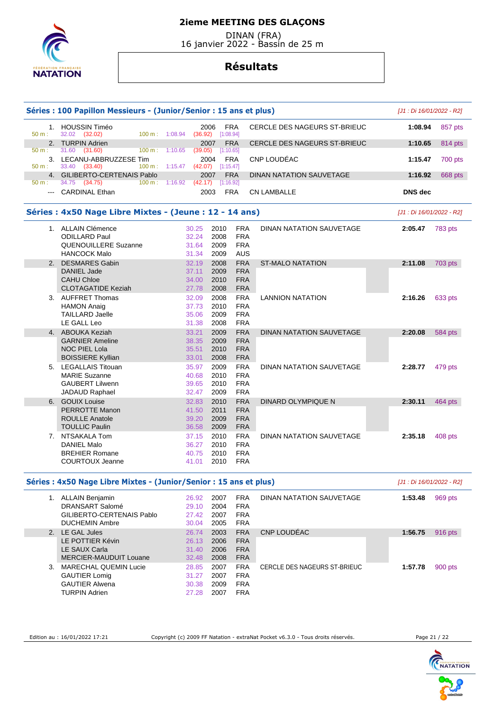

 DINAN (FRA) 16 janvier 2022 - Bassin de 25 m

# **Résultats**

|          | Séries : 100 Papillon Messieurs - (Junior/Senior : 15 ans et plus) |                                 |                                                   | [J1 : Di 16/01/2022 - R2] |  |  |
|----------|--------------------------------------------------------------------|---------------------------------|---------------------------------------------------|---------------------------|--|--|
| 50 m:    | 1. HOUSSIN Timéo<br>32.02 (32.02)<br>100 m: 1:08.94                | 2006<br>[1:08.94]<br>(36.92)    | <b>FRA</b><br>CERCLE DES NAGEURS ST-BRIEUC        | 1:08.94<br>857 pts        |  |  |
|          | 2. TURPIN Adrien                                                   | 2007                            | <b>FRA</b><br><b>CERCLE DES NAGEURS ST-BRIEUC</b> | 1:10.65<br>814 pts        |  |  |
| $50 m$ : | 31.60 (31.60)<br>$100 \text{ m}$ :                                 | 1:10.65<br>(39.05)<br>[1:10.65] |                                                   |                           |  |  |
| 50 m:    | 3. LECANU-ABBRUZZESE Tim<br>33.40 (33.40)<br>100 m: 1:15.47        | 2004<br>(42.07)<br>[1:15.47]    | CNP LOUDÉAC<br><b>FRA</b>                         | 1:15.47<br>700 pts        |  |  |
|          | 4. GILIBERTO-CERTENAIS Pablo                                       | 2007                            | <b>FRA</b><br>DINAN NATATION SAUVETAGE            | 1:16.92<br>668 pts        |  |  |
| 50 m:    | 34.75 (34.75)<br>$100 \text{ m}$ :                                 | 1:16.92<br>(42.17)<br>[1:16.92] |                                                   |                           |  |  |
|          | --- CARDINAL Ethan                                                 | 2003                            | <b>FRA</b><br><b>CN LAMBALLE</b>                  | <b>DNS</b> dec            |  |  |
|          | Séries : 4x50 Nage Libre Mixtes - (Jeune : 12 - 14 ans)            |                                 |                                                   | [J1 : Di 16/01/2022 - R2] |  |  |
|          | 1. ALLAIN Clémence                                                 | 30.25<br>2010                   | <b>FRA</b><br>DINAN NATATION SAUVETAGE            | 2:05.47<br>783 pts        |  |  |
|          | <b>ODILLARD Paul</b>                                               | 32.24<br>2008                   | <b>FRA</b>                                        |                           |  |  |
|          | <b>QUENOUILLERE Suzanne</b>                                        | 2009<br>31.64                   | <b>FRA</b>                                        |                           |  |  |
|          | <b>HANCOCK Malo</b>                                                | 2009<br>31.34                   | AUS                                               |                           |  |  |
| 2.       | <b>DESMARES Gabin</b>                                              | 32.19<br>2008                   | <b>FRA</b><br><b>ST-MALO NATATION</b>             | 2:11.08<br>703 pts        |  |  |
|          | DANIEL Jade                                                        | 37.11<br>2009                   | <b>FRA</b>                                        |                           |  |  |
|          | <b>CAHU Chloe</b>                                                  | 34.00<br>2010                   | <b>FRA</b>                                        |                           |  |  |
|          | <b>CLOTAGATIDE Keziah</b>                                          | 27.78<br>2008                   | <b>FRA</b>                                        |                           |  |  |
|          | 3. AUFFRET Thomas                                                  | 32.09<br>2008                   | <b>FRA</b><br><b>LANNION NATATION</b>             | 2:16.26<br>633 pts        |  |  |
|          | <b>HAMON Anaig</b>                                                 | 2010<br>37.73                   | <b>FRA</b>                                        |                           |  |  |
|          | <b>TAILLARD Jaelle</b>                                             | 2009<br>35.06                   | <b>FRA</b>                                        |                           |  |  |
|          | LE GALL Leo                                                        | 31.38<br>2008                   | <b>FRA</b>                                        |                           |  |  |
| 4.       | ABOUKA Keziah                                                      | 33.21<br>2009                   | <b>FRA</b><br><b>DINAN NATATION SAUVETAGE</b>     | 2:20.08<br>584 pts        |  |  |
|          | <b>GARNIER Ameline</b>                                             | 38.35<br>2009                   | <b>FRA</b>                                        |                           |  |  |
|          | <b>NOC PIEL Lola</b>                                               | 35.51<br>2010                   | <b>FRA</b>                                        |                           |  |  |
|          | <b>BOISSIERE Kyllian</b>                                           | 33.01<br>2008                   | <b>FRA</b>                                        |                           |  |  |
|          | 5. LEGALLAIS Titouan                                               | 2009<br>35.97                   | <b>FRA</b><br>DINAN NATATION SAUVETAGE            | 2:28.77<br>479 pts        |  |  |
|          | <b>MARIE Suzanne</b>                                               | 40.68<br>2010                   | <b>FRA</b>                                        |                           |  |  |
|          | <b>GAUBERT Lilwenn</b>                                             | 39.65<br>2010                   | <b>FRA</b>                                        |                           |  |  |
|          | JADAUD Raphael                                                     | 2009<br>32.47                   | <b>FRA</b>                                        |                           |  |  |
|          | 6. GOUIX Louise                                                    | 32.83<br>2010                   | <b>FRA</b><br>DINARD OLYMPIQUE N                  | 2:30.11<br>464 pts        |  |  |
|          | <b>PERROTTE Manon</b>                                              | 41.50<br>2011                   | <b>FRA</b>                                        |                           |  |  |
|          | <b>ROULLE Anatole</b>                                              | 39.20<br>2009                   | <b>FRA</b>                                        |                           |  |  |
|          | <b>TOULLIC Paulin</b>                                              | 2009<br>36.58                   | <b>FRA</b>                                        |                           |  |  |
|          | 7. NTSAKALA Tom                                                    | 37.15<br>2010                   | <b>FRA</b><br>DINAN NATATION SAUVETAGE            | 2:35.18<br>408 pts        |  |  |
|          | <b>DANIEL Malo</b>                                                 | 36.27<br>2010                   | <b>FRA</b>                                        |                           |  |  |
|          | <b>BREHIER Romane</b>                                              | 40.75<br>2010                   | <b>FRA</b>                                        |                           |  |  |
|          | <b>COURTOUX Jeanne</b>                                             | 2010<br>41.01                   | <b>FRA</b>                                        |                           |  |  |
|          | Séries : 4x50 Nage Libre Mixtes - (Junior/Senior : 15 ans et plus) |                                 |                                                   | [J1 : Di 16/01/2022 - R2] |  |  |
|          | 1. ALLAIN Benjamin                                                 | 26.92<br>2007                   | <b>FRA</b><br>DINAN NATATION SAUVETAGE            | 1:53.48<br>969 pts        |  |  |
|          | <b>DRANSART Salomé</b>                                             | 29.10<br>2004                   | <b>FRA</b>                                        |                           |  |  |
|          | GILIBERTO-CERTENAIS Pablo                                          | 27.42<br>2007                   | <b>FRA</b>                                        |                           |  |  |
|          | <b>DUCHEMIN Ambre</b>                                              | 30.04<br>2005                   | <b>FRA</b>                                        |                           |  |  |
|          | 2. LE GAL Jules                                                    | 26.74<br>2003                   | CNP LOUDÉAC<br><b>FRA</b>                         | 1:56.75<br>916 pts        |  |  |
|          | <b>LE POTTIER Kévin</b>                                            | 26.13<br>2006                   | <b>FRA</b>                                        |                           |  |  |
|          | LE SAUX Carla                                                      | 2006<br>31.40                   | <b>FRA</b>                                        |                           |  |  |
|          | MERCIER-MAUDUIT Louane                                             | 32.48<br>2008                   | <b>FRA</b>                                        |                           |  |  |
| 3.       | MARECHAL QUEMIN Lucie                                              | 2007<br>28.85                   | <b>FRA</b><br>CERCLE DES NAGEURS ST-BRIEUC        | 1:57.78<br>900 pts        |  |  |
|          | <b>GAUTIER Lomig</b>                                               | 31.27<br>2007                   | <b>FRA</b>                                        |                           |  |  |
|          | <b>GAUTIER Alwena</b>                                              | 30.38<br>2009                   | <b>FRA</b>                                        |                           |  |  |
|          | <b>TURPIN Adrien</b>                                               | 27.28<br>2007                   | <b>FRA</b>                                        |                           |  |  |
|          |                                                                    |                                 |                                                   |                           |  |  |

Edition au : 16/01/2022 17:21 Copyright (c) 2009 FF Natation - extraNat Pocket v6.3.0 - Tous droits réservés. Page 21 / 22